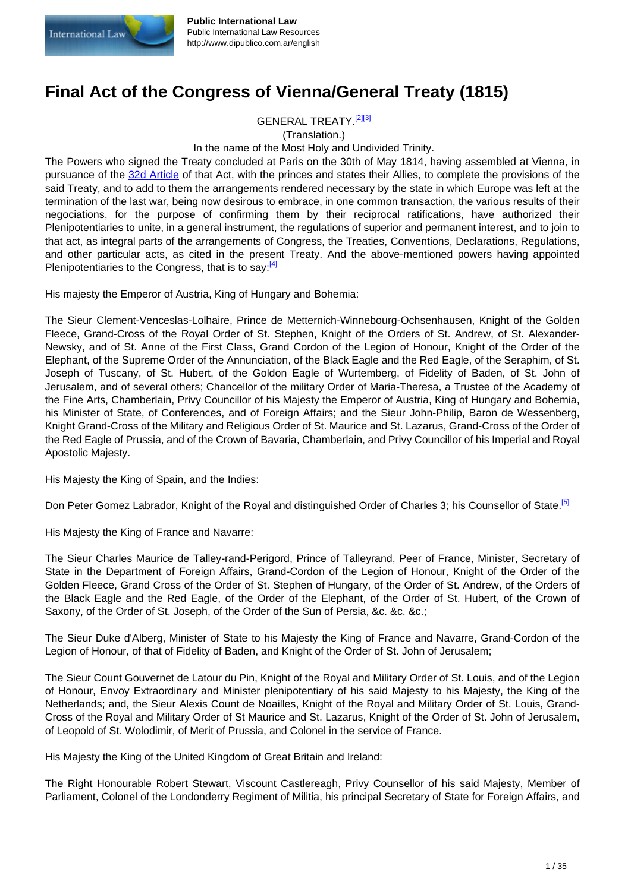## **Final Act of the Congress of Vienna/General Treaty (1815)**

GENERAL TREATY.<sup>[\[2\]](http://en.wikisource.org/wiki/Final_Act_of_the_Congress_of_Vienna/General_Treaty#cite_note-Hansard-71-113-1)[\[3\]](http://en.wikisource.org/wiki/Final_Act_of_the_Congress_of_Vienna/General_Treaty#cite_note-2)</sup>

(Translation.)

In the name of the Most Holy and Undivided Trinity.

The Powers who signed the Treaty concluded at Paris on the 30th of May 1814, having assembled at Vienna, in pursuance of the [32d Article](http://en.wikisource.org/wiki/Treaty_of_Paris_%281814%29#ART.XXXII) of that Act, with the princes and states their Allies, to complete the provisions of the said Treaty, and to add to them the arrangements rendered necessary by the state in which Europe was left at the termination of the last war, being now desirous to embrace, in one common transaction, the various results of their negociations, for the purpose of confirming them by their reciprocal ratifications, have authorized their Plenipotentiaries to unite, in a general instrument, the regulations of superior and permanent interest, and to join to that act, as integral parts of the arrangements of Congress, the Treaties, Conventions, Declarations, Regulations, and other particular acts, as cited in the present Treaty. And the above-mentioned powers having appointed Plenipotentiaries to the Congress, that is to say.<sup>[\[4\]](http://en.wikisource.org/wiki/Final_Act_of_the_Congress_of_Vienna/General_Treaty#cite_note-3)</sup>

His majesty the Emperor of Austria, King of Hungary and Bohemia:

The Sieur Clement-Venceslas-Lolhaire, Prince de Metternich-Winnebourg-Ochsenhausen, Knight of the Golden Fleece, Grand-Cross of the Royal Order of St. Stephen, Knight of the Orders of St. Andrew, of St. Alexander-Newsky, and of St. Anne of the First Class, Grand Cordon of the Legion of Honour, Knight of the Order of the Elephant, of the Supreme Order of the Annunciation, of the Black Eagle and the Red Eagle, of the Seraphim, of St. Joseph of Tuscany, of St. Hubert, of the Goldon Eagle of Wurtemberg, of Fidelity of Baden, of St. John of Jerusalem, and of several others; Chancellor of the military Order of Maria-Theresa, a Trustee of the Academy of the Fine Arts, Chamberlain, Privy Councillor of his Majesty the Emperor of Austria, King of Hungary and Bohemia, his Minister of State, of Conferences, and of Foreign Affairs; and the Sieur John-Philip, Baron de Wessenberg, Knight Grand-Cross of the Military and Religious Order of St. Maurice and St. Lazarus, Grand-Cross of the Order of the Red Eagle of Prussia, and of the Crown of Bavaria, Chamberlain, and Privy Councillor of his Imperial and Royal Apostolic Majesty.

His Majesty the King of Spain, and the Indies:

Don Peter Gomez Labrador, Knight of the Royal and distinguished Order of Charles 3; his Counsellor of State.<sup>[\[5\]](http://en.wikisource.org/wiki/Final_Act_of_the_Congress_of_Vienna/General_Treaty#cite_note-4)</sup>

His Majesty the King of France and Navarre:

The Sieur Charles Maurice de Talley-rand-Perigord, Prince of Talleyrand, Peer of France, Minister, Secretary of State in the Department of Foreign Affairs, Grand-Cordon of the Legion of Honour, Knight of the Order of the Golden Fleece, Grand Cross of the Order of St. Stephen of Hungary, of the Order of St. Andrew, of the Orders of the Black Eagle and the Red Eagle, of the Order of the Elephant, of the Order of St. Hubert, of the Crown of Saxony, of the Order of St. Joseph, of the Order of the Sun of Persia, &c. &c. &c.;

The Sieur Duke d'Alberg, Minister of State to his Majesty the King of France and Navarre, Grand-Cordon of the Legion of Honour, of that of Fidelity of Baden, and Knight of the Order of St. John of Jerusalem;

The Sieur Count Gouvernet de Latour du Pin, Knight of the Royal and Military Order of St. Louis, and of the Legion of Honour, Envoy Extraordinary and Minister plenipotentiary of his said Majesty to his Majesty, the King of the Netherlands; and, the Sieur Alexis Count de Noailles, Knight of the Royal and Military Order of St. Louis, Grand-Cross of the Royal and Military Order of St Maurice and St. Lazarus, Knight of the Order of St. John of Jerusalem, of Leopold of St. Wolodimir, of Merit of Prussia, and Colonel in the service of France.

His Majesty the King of the United Kingdom of Great Britain and Ireland:

The Right Honourable Robert Stewart, Viscount Castlereagh, Privy Counsellor of his said Majesty, Member of Parliament, Colonel of the Londonderry Regiment of Militia, his principal Secretary of State for Foreign Affairs, and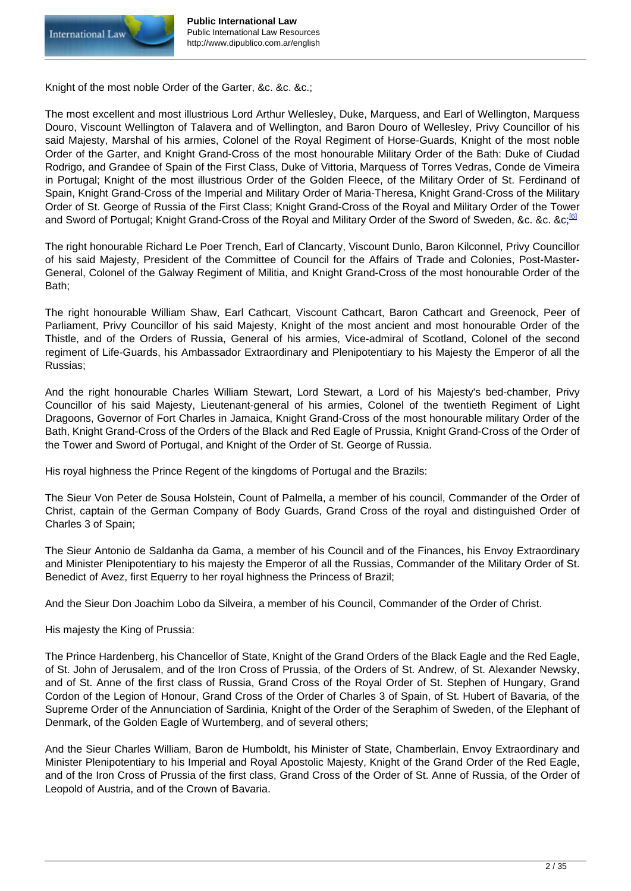Knight of the most noble Order of the Garter, &c. &c. &c.;

The most excellent and most illustrious Lord Arthur Wellesley, Duke, Marquess, and Earl of Wellington, Marquess Douro, Viscount Wellington of Talavera and of Wellington, and Baron Douro of Wellesley, Privy Councillor of his said Majesty, Marshal of his armies, Colonel of the Royal Regiment of Horse-Guards, Knight of the most noble Order of the Garter, and Knight Grand-Cross of the most honourable Military Order of the Bath: Duke of Ciudad Rodrigo, and Grandee of Spain of the First Class, Duke of Vittoria, Marquess of Torres Vedras, Conde de Vimeira in Portugal; Knight of the most illustrious Order of the Golden Fleece, of the Military Order of St. Ferdinand of Spain, Knight Grand-Cross of the Imperial and Military Order of Maria-Theresa, Knight Grand-Cross of the Military Order of St. George of Russia of the First Class; Knight Grand-Cross of the Royal and Military Order of the Tower and Sword of Portugal; Knight Grand-Cross of the Royal and Military Order of the Sword of Sweden, &c. &c. &c<sup>. [\[6\]](http://en.wikisource.org/wiki/Final_Act_of_the_Congress_of_Vienna/General_Treaty#cite_note-5)</sup>

The right honourable Richard Le Poer Trench, Earl of Clancarty, Viscount Dunlo, Baron Kilconnel, Privy Councillor of his said Majesty, President of the Committee of Council for the Affairs of Trade and Colonies, Post-Master-General, Colonel of the Galway Regiment of Militia, and Knight Grand-Cross of the most honourable Order of the Bath;

The right honourable William Shaw, Earl Cathcart, Viscount Cathcart, Baron Cathcart and Greenock, Peer of Parliament, Privy Councillor of his said Majesty, Knight of the most ancient and most honourable Order of the Thistle, and of the Orders of Russia, General of his armies, Vice-admiral of Scotland, Colonel of the second regiment of Life-Guards, his Ambassador Extraordinary and Plenipotentiary to his Majesty the Emperor of all the Russias;

And the right honourable Charles William Stewart, Lord Stewart, a Lord of his Majesty's bed-chamber, Privy Councillor of his said Majesty, Lieutenant-general of his armies, Colonel of the twentieth Regiment of Light Dragoons, Governor of Fort Charles in Jamaica, Knight Grand-Cross of the most honourable military Order of the Bath, Knight Grand-Cross of the Orders of the Black and Red Eagle of Prussia, Knight Grand-Cross of the Order of the Tower and Sword of Portugal, and Knight of the Order of St. George of Russia.

His royal highness the Prince Regent of the kingdoms of Portugal and the Brazils:

The Sieur Von Peter de Sousa Holstein, Count of Palmella, a member of his council, Commander of the Order of Christ, captain of the German Company of Body Guards, Grand Cross of the royal and distinguished Order of Charles 3 of Spain;

The Sieur Antonio de Saldanha da Gama, a member of his Council and of the Finances, his Envoy Extraordinary and Minister Plenipotentiary to his majesty the Emperor of all the Russias, Commander of the Military Order of St. Benedict of Avez, first Equerry to her royal highness the Princess of Brazil;

And the Sieur Don Joachim Lobo da Silveira, a member of his Council, Commander of the Order of Christ.

His majesty the King of Prussia:

The Prince Hardenberg, his Chancellor of State, Knight of the Grand Orders of the Black Eagle and the Red Eagle, of St. John of Jerusalem, and of the Iron Cross of Prussia, of the Orders of St. Andrew, of St. Alexander Newsky, and of St. Anne of the first class of Russia, Grand Cross of the Royal Order of St. Stephen of Hungary, Grand Cordon of the Legion of Honour, Grand Cross of the Order of Charles 3 of Spain, of St. Hubert of Bavaria, of the Supreme Order of the Annunciation of Sardinia, Knight of the Order of the Seraphim of Sweden, of the Elephant of Denmark, of the Golden Eagle of Wurtemberg, and of several others;

And the Sieur Charles William, Baron de Humboldt, his Minister of State, Chamberlain, Envoy Extraordinary and Minister Plenipotentiary to his Imperial and Royal Apostolic Majesty, Knight of the Grand Order of the Red Eagle, and of the Iron Cross of Prussia of the first class, Grand Cross of the Order of St. Anne of Russia, of the Order of Leopold of Austria, and of the Crown of Bavaria.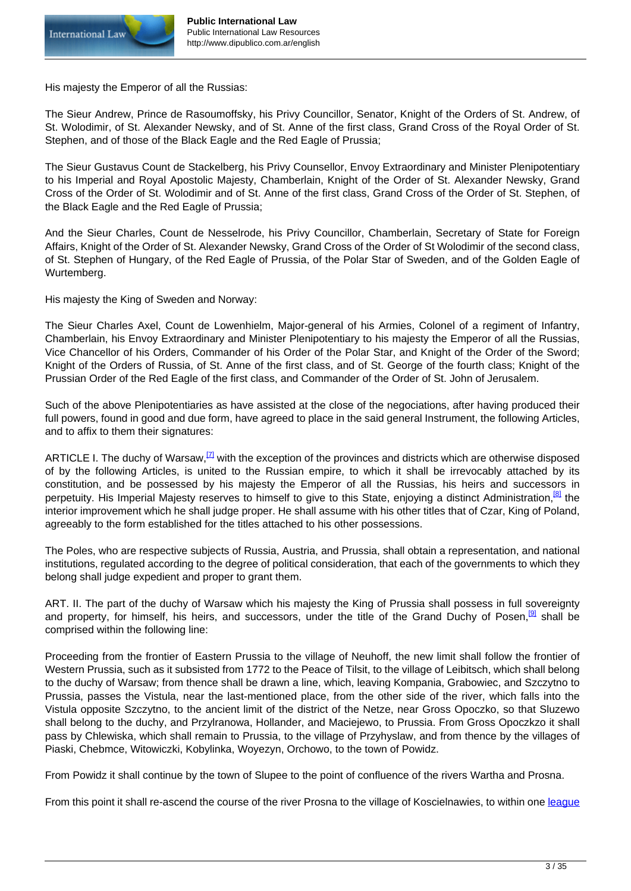His majesty the Emperor of all the Russias:

The Sieur Andrew, Prince de Rasoumoffsky, his Privy Councillor, Senator, Knight of the Orders of St. Andrew, of St. Wolodimir, of St. Alexander Newsky, and of St. Anne of the first class, Grand Cross of the Royal Order of St. Stephen, and of those of the Black Eagle and the Red Eagle of Prussia;

The Sieur Gustavus Count de Stackelberg, his Privy Counsellor, Envoy Extraordinary and Minister Plenipotentiary to his Imperial and Royal Apostolic Majesty, Chamberlain, Knight of the Order of St. Alexander Newsky, Grand Cross of the Order of St. Wolodimir and of St. Anne of the first class, Grand Cross of the Order of St. Stephen, of the Black Eagle and the Red Eagle of Prussia;

And the Sieur Charles, Count de Nesselrode, his Privy Councillor, Chamberlain, Secretary of State for Foreign Affairs, Knight of the Order of St. Alexander Newsky, Grand Cross of the Order of St Wolodimir of the second class, of St. Stephen of Hungary, of the Red Eagle of Prussia, of the Polar Star of Sweden, and of the Golden Eagle of Wurtemberg.

His majesty the King of Sweden and Norway:

The Sieur Charles Axel, Count de Lowenhielm, Major-general of his Armies, Colonel of a regiment of Infantry, Chamberlain, his Envoy Extraordinary and Minister Plenipotentiary to his majesty the Emperor of all the Russias, Vice Chancellor of his Orders, Commander of his Order of the Polar Star, and Knight of the Order of the Sword; Knight of the Orders of Russia, of St. Anne of the first class, and of St. George of the fourth class; Knight of the Prussian Order of the Red Eagle of the first class, and Commander of the Order of St. John of Jerusalem.

Such of the above Plenipotentiaries as have assisted at the close of the negociations, after having produced their full powers, found in good and due form, have agreed to place in the said general Instrument, the following Articles, and to affix to them their signatures:

ARTICLE I. The duchy of Warsaw,  $\frac{7}{2}$  with the exception of the provinces and districts which are otherwise disposed of by the following Articles, is united to the Russian empire, to which it shall be irrevocably attached by its constitution, and be possessed by his majesty the Emperor of all the Russias, his heirs and successors in perpetuity. His Imperial Majesty reserves to himself to give to this State, enjoying a distinct Administrati[on](http://en.wikisource.org/wiki/Final_Act_of_the_Congress_of_Vienna/General_Treaty#cite_note-7),<sup>[8]</sup> the interior improvement which he shall judge proper. He shall assume with his other titles that of Czar, King of Poland, agreeably to the form established for the titles attached to his other possessions.

The Poles, who are respective subjects of Russia, Austria, and Prussia, shall obtain a representation, and national institutions, regulated according to the degree of political consideration, that each of the governments to which they belong shall judge expedient and proper to grant them.

ART. II. The part of the duchy of Warsaw which his majesty the King of Prussia shall possess in full sovereignty and property, for himself, his heirs, and successors, under the title of the Grand Duchy of [Po](http://en.wikisource.org/wiki/Final_Act_of_the_Congress_of_Vienna/General_Treaty#cite_note-8)sen.<sup>[9]</sup> shall be comprised within the following line:

Proceeding from the frontier of Eastern Prussia to the village of Neuhoff, the new limit shall follow the frontier of Western Prussia, such as it subsisted from 1772 to the Peace of Tilsit, to the village of Leibitsch, which shall belong to the duchy of Warsaw; from thence shall be drawn a line, which, leaving Kompania, Grabowiec, and Szczytno to Prussia, passes the Vistula, near the last-mentioned place, from the other side of the river, which falls into the Vistula opposite Szczytno, to the ancient limit of the district of the Netze, near Gross Opoczko, so that Sluzewo shall belong to the duchy, and Przylranowa, Hollander, and Maciejewo, to Prussia. From Gross Opoczkzo it shall pass by Chlewiska, which shall remain to Prussia, to the village of Przyhyslaw, and from thence by the villages of Piaski, Chebmce, Witowiczki, Kobylinka, Woyezyn, Orchowo, to the town of Powidz.

From Powidz it shall continue by the town of Slupee to the point of confluence of the rivers Wartha and Prosna.

From this point it shall re-ascend the course of the river Prosna to the village of Koscielnawies, to within one [league](http://en.wikipedia.org/wiki/League_%28unit%29)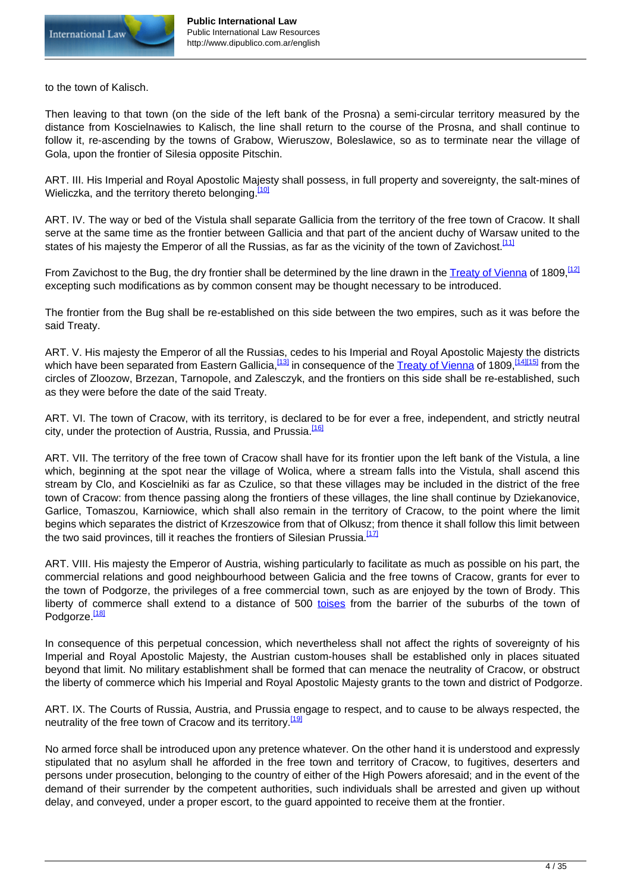

to the town of Kalisch.

Then leaving to that town (on the side of the left bank of the Prosna) a semi-circular territory measured by the distance from Koscielnawies to Kalisch, the line shall return to the course of the Prosna, and shall continue to follow it, re-ascending by the towns of Grabow, Wieruszow, Boleslawice, so as to terminate near the village of Gola, upon the frontier of Silesia opposite Pitschin.

ART. III. His Imperial and Royal Apostolic Majesty shall possess, in full property and sovereignty, the salt-mines of Wieliczka, and the territory thereto belonging.<sup>[\[10\]](http://en.wikisource.org/wiki/Final_Act_of_the_Congress_of_Vienna/General_Treaty#cite_note-9)</sup>

ART. IV. The way or bed of the Vistula shall separate Gallicia from the territory of the free town of Cracow. It shall serve at the same time as the frontier between Gallicia and that part of the ancient duchy of Warsaw united to the states of his majesty the Emperor of all the Russias, as far as the vicinity of the town of Zavichost.<sup>[\[11\]](http://en.wikisource.org/wiki/Final_Act_of_the_Congress_of_Vienna/General_Treaty#cite_note-10)</sup>

From Zavichost to the Bug, the dry frontier shall be determined by the line drawn in the [Treaty of Vienna](http://en.wikisource.org/wiki/Treaty_of_Vienna_%281809%29) of 1809.<sup>[[12\]](http://en.wikisource.org/wiki/Final_Act_of_the_Congress_of_Vienna/General_Treaty#cite_note-Hertslet-23-11)</sup> excepting such modifications as by common consent may be thought necessary to be introduced.

The frontier from the Bug shall be re-established on this side between the two empires, such as it was before the said Treaty.

ART. V. His majesty the Emperor of all the Russias, cedes to his Imperial and Royal Apostolic Majesty the districts which have been separated from Eastern Gallicia, <sup>[\[13\]](http://en.wikisource.org/wiki/Final_Act_of_the_Congress_of_Vienna/General_Treaty#cite_note-12)</sup> in consequence of the [Treaty of Vienna](http://en.wikisource.org/wiki/Treaty_of_Vienna_%281809%29) of 1809, [[14\]\[1](http://en.wikisource.org/wiki/Final_Act_of_the_Congress_of_Vienna/General_Treaty#cite_note-13)[5\]](http://en.wikisource.org/wiki/Final_Act_of_the_Congress_of_Vienna/General_Treaty#cite_note-14) from the circles of Zloozow, Brzezan, Tarnopole, and Zalesczyk, and the frontiers on this side shall be re-established, such as they were before the date of the said Treaty.

ART. VI. The town of Cracow, with its territory, is declared to be for ever a free, independent, and strictly neutral city, under the protection of Austria, Russia, and Prussia.<sup>[\[16\]](http://en.wikisource.org/wiki/Final_Act_of_the_Congress_of_Vienna/General_Treaty#cite_note-15)</sup>

ART. VII. The territory of the free town of Cracow shall have for its frontier upon the left bank of the Vistula, a line which, beginning at the spot near the village of Wolica, where a stream falls into the Vistula, shall ascend this stream by Clo, and Koscielniki as far as Czulice, so that these villages may be included in the district of the free town of Cracow: from thence passing along the frontiers of these villages, the line shall continue by Dziekanovice, Garlice, Tomaszou, Karniowice, which shall also remain in the territory of Cracow, to the point where the limit begins which separates the district of Krzeszowice from that of Olkusz; from thence it shall follow this limit between the two said provinces, till it reaches the frontiers of Silesian Prussia.<sup>[\[17\]](http://en.wikisource.org/wiki/Final_Act_of_the_Congress_of_Vienna/General_Treaty#cite_note-16)</sup>

ART. VIII. His majesty the Emperor of Austria, wishing particularly to facilitate as much as possible on his part, the commercial relations and good neighbourhood between Galicia and the free towns of Cracow, grants for ever to the town of Podgorze, the privileges of a free commercial town, such as are enjoyed by the town of Brody. This liberty of commerce shall extend to a distance of 500 [toises](http://en.wikisource.org/w/index.php?title=Toise&action=edit&redlink=1) from the barrier of the suburbs of the town of Podgorze.<sup>[\[18\]](http://en.wikisource.org/wiki/Final_Act_of_the_Congress_of_Vienna/General_Treaty#cite_note-17)</sup>

In consequence of this perpetual concession, which nevertheless shall not affect the rights of sovereignty of his Imperial and Royal Apostolic Majesty, the Austrian custom-houses shall be established only in places situated beyond that limit. No military establishment shall be formed that can menace the neutrality of Cracow, or obstruct the liberty of commerce which his Imperial and Royal Apostolic Majesty grants to the town and district of Podgorze.

ART. IX. The Courts of Russia, Austria, and Prussia engage to respect, and to cause to be always respected, the neutrality of the free town of Cracow and its territory.<sup>[\[19\]](http://en.wikisource.org/wiki/Final_Act_of_the_Congress_of_Vienna/General_Treaty#cite_note-18)</sup>

No armed force shall be introduced upon any pretence whatever. On the other hand it is understood and expressly stipulated that no asylum shall he afforded in the free town and territory of Cracow, to fugitives, deserters and persons under prosecution, belonging to the country of either of the High Powers aforesaid; and in the event of the demand of their surrender by the competent authorities, such individuals shall be arrested and given up without delay, and conveyed, under a proper escort, to the guard appointed to receive them at the frontier.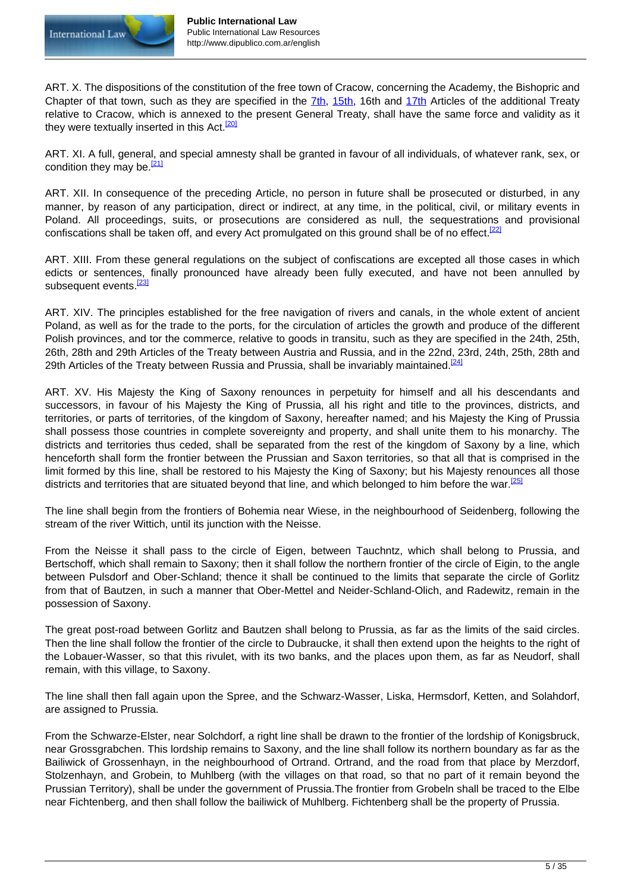

ART. X. The dispositions of the constitution of the free town of Cracow, concerning the Academy, the Bishopric and Chapter of that town, such as they are specified in the [7th](http://en.wikisource.org/w/index.php?title=Final_Act_of_the_Congress_of_Vienna/Additional_treaty_relative_to_Cracow&action=edit&redlink=1), [15th](http://en.wikisource.org/w/index.php?title=Final_Act_of_the_Congress_of_Vienna/Additional_treaty_relative_to_Cracow&action=edit&redlink=1), 16th and [17th](http://en.wikisource.org/w/index.php?title=Final_Act_of_the_Congress_of_Vienna/Additional_treaty_relative_to_Cracow&action=edit&redlink=1) Articles of the additional Treaty relative to Cracow, which is annexed to the present General Treaty, shall have the same force and validity as it they were textually inserted in this Act.<sup>[\[20\]](http://en.wikisource.org/wiki/Final_Act_of_the_Congress_of_Vienna/General_Treaty#cite_note-19)</sup>

ART. XI. A full, general, and special amnesty shall be granted in favour of all individuals, of whatever rank, sex, or condition they may be.  $[21]$ 

ART. XII. In consequence of the preceding Article, no person in future shall be prosecuted or disturbed, in any manner, by reason of any participation, direct or indirect, at any time, in the political, civil, or military events in Poland. All proceedings, suits, or prosecutions are considered as null, the sequestrations and provisional confiscations shall be taken off, and every Act promulgated on this ground shall be of no effect.<sup>[\[22\]](http://en.wikisource.org/wiki/Final_Act_of_the_Congress_of_Vienna/General_Treaty#cite_note-21)</sup>

ART. XIII. From these general regulations on the subject of confiscations are excepted all those cases in which edicts or sentences, finally pronounced have already been fully executed, and have not been annulled by subsequent events.<sup>[\[23\]](http://en.wikisource.org/wiki/Final_Act_of_the_Congress_of_Vienna/General_Treaty#cite_note-22)</sup>

ART. XIV. The principles established for the free navigation of rivers and canals, in the whole extent of ancient Poland, as well as for the trade to the ports, for the circulation of articles the growth and produce of the different Polish provinces, and tor the commerce, relative to goods in transitu, such as they are specified in the 24th, 25th, 26th, 28th and 29th Articles of the Treaty between Austria and Russia, and in the 22nd, 23rd, 24th, 25th, 28th and 29th Articles of the Treaty between Russia and Prussia, shall be invariably maintained.<sup>[\[24\]](http://en.wikisource.org/wiki/Final_Act_of_the_Congress_of_Vienna/General_Treaty#cite_note-23)</sup>

ART. XV. His Majesty the King of Saxony renounces in perpetuity for himself and all his descendants and successors, in favour of his Majesty the King of Prussia, all his right and title to the provinces, districts, and territories, or parts of territories, of the kingdom of Saxony, hereafter named; and his Majesty the King of Prussia shall possess those countries in complete sovereignty and property, and shall unite them to his monarchy. The districts and territories thus ceded, shall be separated from the rest of the kingdom of Saxony by a line, which henceforth shall form the frontier between the Prussian and Saxon territories, so that all that is comprised in the limit formed by this line, shall be restored to his Majesty the King of Saxony; but his Majesty renounces all those districts and territories that are situated beyond that line, and which belonged to him before the war.<sup>[\[25\]](http://en.wikisource.org/wiki/Final_Act_of_the_Congress_of_Vienna/General_Treaty#cite_note-24)</sup>

The line shall begin from the frontiers of Bohemia near Wiese, in the neighbourhood of Seidenberg, following the stream of the river Wittich, until its junction with the Neisse.

From the Neisse it shall pass to the circle of Eigen, between Tauchntz, which shall belong to Prussia, and Bertschoff, which shall remain to Saxony; then it shall follow the northern frontier of the circle of Eigin, to the angle between Pulsdorf and Ober-Schland; thence it shall be continued to the limits that separate the circle of Gorlitz from that of Bautzen, in such a manner that Ober-Mettel and Neider-Schland-Olich, and Radewitz, remain in the possession of Saxony.

The great post-road between Gorlitz and Bautzen shall belong to Prussia, as far as the limits of the said circles. Then the line shall follow the frontier of the circle to Dubraucke, it shall then extend upon the heights to the right of the Lobauer-Wasser, so that this rivulet, with its two banks, and the places upon them, as far as Neudorf, shall remain, with this village, to Saxony.

The line shall then fall again upon the Spree, and the Schwarz-Wasser, Liska, Hermsdorf, Ketten, and Solahdorf, are assigned to Prussia.

From the Schwarze-Elster, near Solchdorf, a right line shall be drawn to the frontier of the lordship of Konigsbruck, near Grossgrabchen. This lordship remains to Saxony, and the line shall follow its northern boundary as far as the Bailiwick of Grossenhayn, in the neighbourhood of Ortrand. Ortrand, and the road from that place by Merzdorf, Stolzenhayn, and Grobein, to Muhlberg (with the villages on that road, so that no part of it remain beyond the Prussian Territory), shall be under the government of Prussia.The frontier from Grobeln shall be traced to the Elbe near Fichtenberg, and then shall follow the bailiwick of Muhlberg. Fichtenberg shall be the property of Prussia.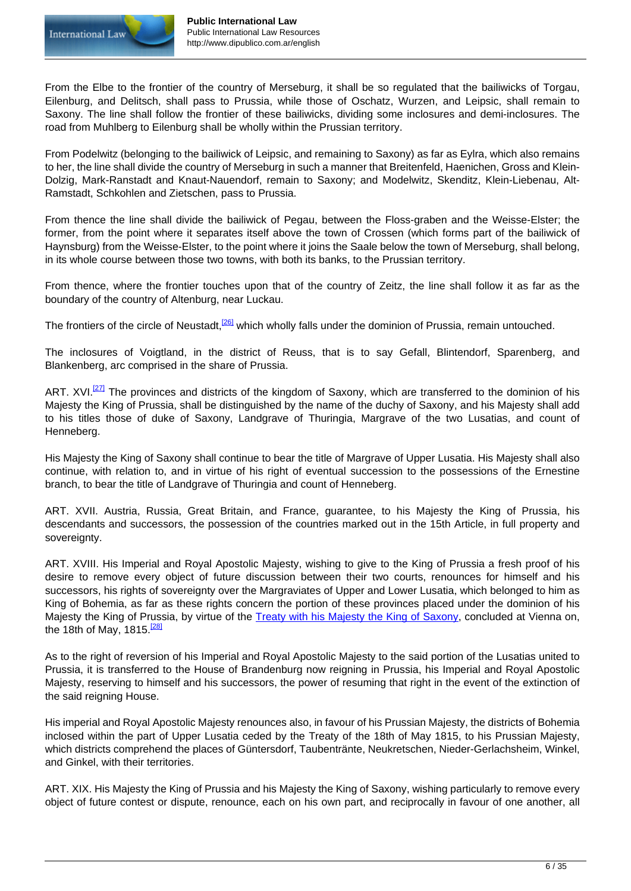

From the Elbe to the frontier of the country of Merseburg, it shall be so regulated that the bailiwicks of Torgau, Eilenburg, and Delitsch, shall pass to Prussia, while those of Oschatz, Wurzen, and Leipsic, shall remain to Saxony. The line shall follow the frontier of these bailiwicks, dividing some inclosures and demi-inclosures. The road from Muhlberg to Eilenburg shall be wholly within the Prussian territory.

From Podelwitz (belonging to the bailiwick of Leipsic, and remaining to Saxony) as far as Eylra, which also remains to her, the line shall divide the country of Merseburg in such a manner that Breitenfeld, Haenichen, Gross and Klein-Dolzig, Mark-Ranstadt and Knaut-Nauendorf, remain to Saxony; and Modelwitz, Skenditz, Klein-Liebenau, Alt-Ramstadt, Schkohlen and Zietschen, pass to Prussia.

From thence the line shall divide the bailiwick of Pegau, between the Floss-graben and the Weisse-Elster; the former, from the point where it separates itself above the town of Crossen (which forms part of the bailiwick of Haynsburg) from the Weisse-Elster, to the point where it joins the Saale below the town of Merseburg, shall belong, in its whole course between those two towns, with both its banks, to the Prussian territory.

From thence, where the frontier touches upon that of the country of Zeitz, the line shall follow it as far as the boundary of the country of Altenburg, near Luckau.

The frontiers of the circle of Neustadt.<sup>[\[26\]](http://en.wikisource.org/wiki/Final_Act_of_the_Congress_of_Vienna/General_Treaty#cite_note-25)</sup> which wholly falls under the dominion of Prussia, remain untouched.

The inclosures of Voigtland, in the district of Reuss, that is to say Gefall, Blintendorf, Sparenberg, and Blankenberg, arc comprised in the share of Prussia.

ART. XVI.<sup>[\[27\]](http://en.wikisource.org/wiki/Final_Act_of_the_Congress_of_Vienna/General_Treaty#cite_note-26)</sup> The provinces and districts of the kingdom of Saxony, which are transferred to the dominion of his Majesty the King of Prussia, shall be distinguished by the name of the duchy of Saxony, and his Majesty shall add to his titles those of duke of Saxony, Landgrave of Thuringia, Margrave of the two Lusatias, and count of Henneberg.

His Majesty the King of Saxony shall continue to bear the title of Margrave of Upper Lusatia. His Majesty shall also continue, with relation to, and in virtue of his right of eventual succession to the possessions of the Ernestine branch, to bear the title of Landgrave of Thuringia and count of Henneberg.

ART. XVII. Austria, Russia, Great Britain, and France, guarantee, to his Majesty the King of Prussia, his descendants and successors, the possession of the countries marked out in the 15th Article, in full property and sovereignty.

ART. XVIII. His Imperial and Royal Apostolic Majesty, wishing to give to the King of Prussia a fresh proof of his desire to remove every object of future discussion between their two courts, renounces for himself and his successors, his rights of sovereignty over the Margraviates of Upper and Lower Lusatia, which belonged to him as King of Bohemia, as far as these rights concern the portion of these provinces placed under the dominion of his Majesty the King of Prussia, by virtue of the [Treaty with his Majesty the King of Saxony,](http://en.wikisource.org/w/index.php?title=Treaty_between_Prussia_and_Saxony&action=edit&redlink=1) concluded at Vienna on, the 18th of May,  $1815.<sup>[28]</sup>$  $1815.<sup>[28]</sup>$  $1815.<sup>[28]</sup>$ 

As to the right of reversion of his Imperial and Royal Apostolic Majesty to the said portion of the Lusatias united to Prussia, it is transferred to the House of Brandenburg now reigning in Prussia, his Imperial and Royal Apostolic Majesty, reserving to himself and his successors, the power of resuming that right in the event of the extinction of the said reigning House.

His imperial and Royal Apostolic Majesty renounces also, in favour of his Prussian Majesty, the districts of Bohemia inclosed within the part of Upper Lusatia ceded by the Treaty of the 18th of May 1815, to his Prussian Majesty, which districts comprehend the places of Güntersdorf, Taubentränte, Neukretschen, Nieder-Gerlachsheim, Winkel, and Ginkel, with their territories.

ART. XIX. His Majesty the King of Prussia and his Majesty the King of Saxony, wishing particularly to remove every object of future contest or dispute, renounce, each on his own part, and reciprocally in favour of one another, all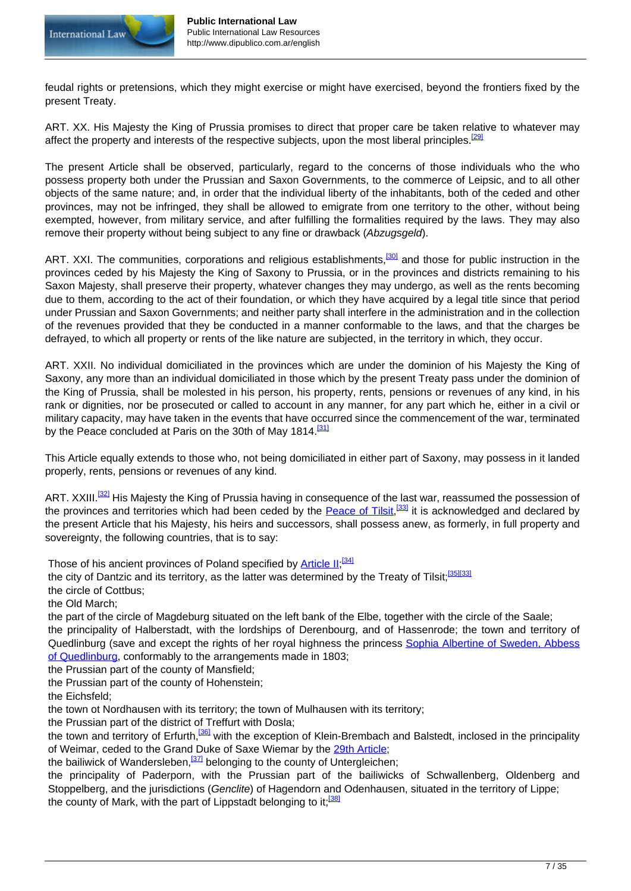feudal rights or pretensions, which they might exercise or might have exercised, beyond the frontiers fixed by the present Treaty.

ART. XX. His Majesty the King of Prussia promises to direct that proper care be taken relative to whatever may affect the property and interests of the respective subjects, upon the most liberal principles.  $291$ 

The present Article shall be observed, particularly, regard to the concerns of those individuals who the who possess property both under the Prussian and Saxon Governments, to the commerce of Leipsic, and to all other objects of the same nature; and, in order that the individual liberty of the inhabitants, both of the ceded and other provinces, may not be infringed, they shall be allowed to emigrate from one territory to the other, without being exempted, however, from military service, and after fulfilling the formalities required by the laws. They may also remove their property without being subject to any fine or drawback (Abzugsgeld).

ART. XXI. The communitie[s,](http://en.wikisource.org/wiki/Final_Act_of_the_Congress_of_Vienna/General_Treaty#cite_note-29) corporations and religious establishments,<sup>[30]</sup> and those for public instruction in the provinces ceded by his Majesty the King of Saxony to Prussia, or in the provinces and districts remaining to his Saxon Majesty, shall preserve their property, whatever changes they may undergo, as well as the rents becoming due to them, according to the act of their foundation, or which they have acquired by a legal title since that period under Prussian and Saxon Governments; and neither party shall interfere in the administration and in the collection of the revenues provided that they be conducted in a manner conformable to the laws, and that the charges be defrayed, to which all property or rents of the like nature are subjected, in the territory in which, they occur.

ART. XXII. No individual domiciliated in the provinces which are under the dominion of his Majesty the King of Saxony, any more than an individual domiciliated in those which by the present Treaty pass under the dominion of the King of Prussia, shall be molested in his person, his property, rents, pensions or revenues of any kind, in his rank or dignities, nor be prosecuted or called to account in any manner, for any part which he, either in a civil or military capacity, may have taken in the events that have occurred since the commencement of the war, terminated by the Peace concluded at Paris on the 30th of May 1814.<sup>[\[31\]](http://en.wikisource.org/wiki/Final_Act_of_the_Congress_of_Vienna/General_Treaty#cite_note-30)</sup>

This Article equally extends to those who, not being domiciliated in either part of Saxony, may possess in it landed properly, rents, pensions or revenues of any kind.

ART. XXIII.<sup>[\[32\]](http://en.wikisource.org/wiki/Final_Act_of_the_Congress_of_Vienna/General_Treaty#cite_note-31)</sup> His Majesty the King of Prussia having in consequence of the last war, reassumed the possession of the provinces and territories which had been ceded by the [Peace of Tilsit](http://en.wikisource.org/wiki/Peace_of_Tilsit)[,](http://en.wikisource.org/wiki/Final_Act_of_the_Congress_of_Vienna/General_Treaty#cite_note-Hertslet-225-Tilsit-32)<sup>[33]</sup> it is acknowledged and declared by the present Article that his Majesty, his heirs and successors, shall possess anew, as formerly, in full property and sovereignty, the following countries, that is to say:

Those of his ancient provinces of Poland specified by **Article II**;<sup>[\[34\]](http://en.wikisource.org/wiki/Final_Act_of_the_Congress_of_Vienna/General_Treaty#cite_note-33)</sup>

the city of Dantzic and its territory, as the latter was determined by the Treaty of Tilsit; [\[35\]](http://en.wikisource.org/wiki/Final_Act_of_the_Congress_of_Vienna/General_Treaty#cite_note-34)[\[33\]](http://en.wikisource.org/wiki/Final_Act_of_the_Congress_of_Vienna/General_Treaty#cite_note-Hertslet-225-Tilsit-32) the circle of Cottbus;

the Old March;

the part of the circle of Magdeburg situated on the left bank of the Elbe, together with the circle of the Saale;

the principality of Halberstadt, with the lordships of Derenbourg, and of Hassenrode; the town and territory of Quedlinburg (save and except the rights of her royal highness the princess [Sophia Albertine of Sweden, Abbess](http://en.wikipedia.org/wiki/Sophia_Albertina_of_Sweden,_Abbess_of_Quedlinburg) [of Quedlinburg,](http://en.wikipedia.org/wiki/Sophia_Albertina_of_Sweden,_Abbess_of_Quedlinburg) conformably to the arrangements made in 1803;

the Prussian part of the county of Mansfield;

the Prussian part of the county of Hohenstein;

the Eichsfeld;

the town ot Nordhausen with its territory; the town of Mulhausen with its territory;

the Prussian part of the district of Treffurt with Dosla;

the town and territory of Erfurth,<sup>[\[36\]](http://en.wikisource.org/wiki/Final_Act_of_the_Congress_of_Vienna/General_Treaty#cite_note-35)</sup> with the exception of Klein-Brembach and Balstedt, inclosed in the principality of Weimar, ceded to the Grand Duke of Saxe Wiemar by the [29th Article;](http://en.wikisource.org/wiki/Final_Act_of_the_Congress_of_Vienna/General_Treaty#XXIX)

the bailiwick of Wandersleben,  $\frac{37}{2}$  belonging to the county of Untergleichen;

the principality of Paderporn, with the Prussian part of the bailiwicks of Schwallenberg, Oldenberg and Stoppelberg, and the jurisdictions (Genclite) of Hagendorn and Odenhausen, situated in the territory of Lippe; the county of Mark, with the part of Lippstadt belonging to it;<sup>[\[38\]](http://en.wikisource.org/wiki/Final_Act_of_the_Congress_of_Vienna/General_Treaty#cite_note-37)</sup>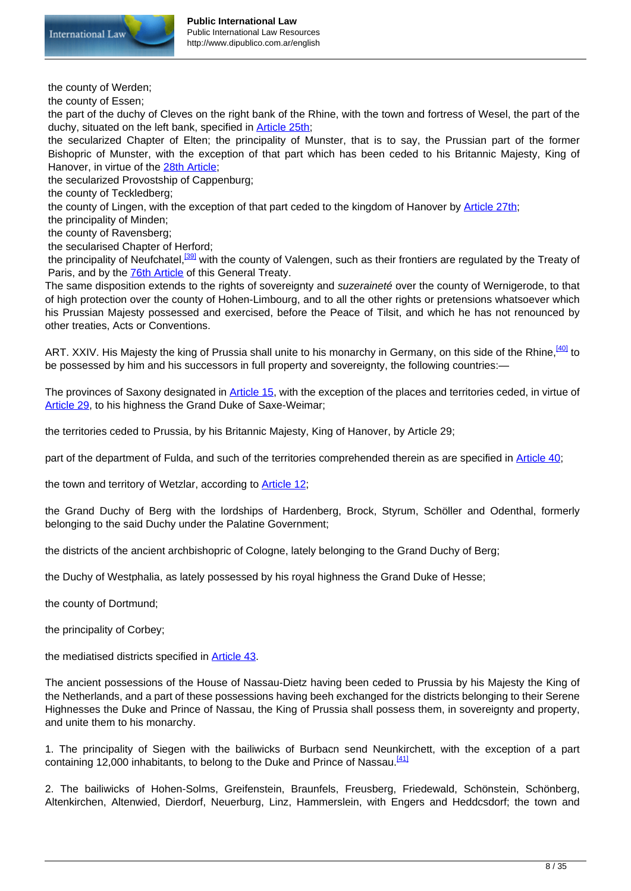the county of Werden;

the county of Essen;

the part of the duchy of Cleves on the right bank of the Rhine, with the town and fortress of Wesel, the part of the duchy, situated on the left bank, specified in [Article 25th](http://en.wikisource.org/wiki/Final_Act_of_the_Congress_of_Vienna/General_Treaty#XXV);

the secularized Chapter of Elten; the principality of Munster, that is to say, the Prussian part of the former Bishopric of Munster, with the exception of that part which has been ceded to his Britannic Majesty, King of Hanover, in virtue of the [28th Article](http://en.wikisource.org/wiki/Final_Act_of_the_Congress_of_Vienna/General_Treaty#XXVIII);

the secularized Provostship of Cappenburg;

the county of Teckledberg;

the county of Lingen, with the exception of that part ceded to the kingdom of Hanover by **Article 27th**;

the principality of Minden;

the county of Ravensberg;

the secularised Chapter of Herford;

the principality of Neufchatel,<sup>[\[39\]](http://en.wikisource.org/wiki/Final_Act_of_the_Congress_of_Vienna/General_Treaty#cite_note-38)</sup> with the county of Valengen, such as their frontiers are regulated by the Treaty of Paris, and by the **76th Article** of this General Treaty.

The same disposition extends to the rights of sovereignty and suzeraineté over the county of Wernigerode, to that of high protection over the county of Hohen-Limbourg, and to all the other rights or pretensions whatsoever which his Prussian Majesty possessed and exercised, before the Peace of Tilsit, and which he has not renounced by other treaties, Acts or Conventions.

ART. XXIV. His Majesty the king of Prussia shall unite to his monarchy in Germany, on this side of the Rhine,<sup>[\[40\]](http://en.wikisource.org/wiki/Final_Act_of_the_Congress_of_Vienna/General_Treaty#cite_note-39)</sup> to be possessed by him and his successors in full property and sovereignty, the following countries:—

The provinces of Saxony designated in [Article 15](http://en.wikisource.org/wiki/Final_Act_of_the_Congress_of_Vienna/General_Treaty#XV), with the exception of the places and territories ceded, in virtue of [Article 29](http://en.wikisource.org/wiki/Final_Act_of_the_Congress_of_Vienna/General_Treaty#XXIX), to his highness the Grand Duke of Saxe-Weimar;

the territories ceded to Prussia, by his Britannic Majesty, King of Hanover, by Article 29;

part of the department of Fulda, and such of the territories comprehended therein as are specified in [Article 40;](http://en.wikisource.org/wiki/Final_Act_of_the_Congress_of_Vienna/General_Treaty#XL)

the town and territory of Wetzlar, according to [Article 12;](http://en.wikisource.org/wiki/Final_Act_of_the_Congress_of_Vienna/General_Treaty#XII)

the Grand Duchy of Berg with the lordships of Hardenberg, Brock, Styrum, Schöller and Odenthal, formerly belonging to the said Duchy under the Palatine Government;

the districts of the ancient archbishopric of Cologne, lately belonging to the Grand Duchy of Berg;

the Duchy of Westphalia, as lately possessed by his royal highness the Grand Duke of Hesse;

the county of Dortmund;

the principality of Corbey;

the mediatised districts specified in [Article 43](http://en.wikisource.org/wiki/Final_Act_of_the_Congress_of_Vienna/General_Treaty#XLIII).

The ancient possessions of the House of Nassau-Dietz having been ceded to Prussia by his Majesty the King of the Netherlands, and a part of these possessions having beeh exchanged for the districts belonging to their Serene Highnesses the Duke and Prince of Nassau, the King of Prussia shall possess them, in sovereignty and property, and unite them to his monarchy.

1. The principality of Siegen with the bailiwicks of Burbacn send Neunkirchett, with the exception of a part containing 12,000 inhabitants, to belong to the Duke and Prince of Nassau.<sup>[\[41\]](http://en.wikisource.org/wiki/Final_Act_of_the_Congress_of_Vienna/General_Treaty#cite_note-40)</sup>

2. The bailiwicks of Hohen-Solms, Greifenstein, Braunfels, Freusberg, Friedewald, Schönstein, Schönberg, Altenkirchen, Altenwied, Dierdorf, Neuerburg, Linz, Hammerslein, with Engers and Heddcsdorf; the town and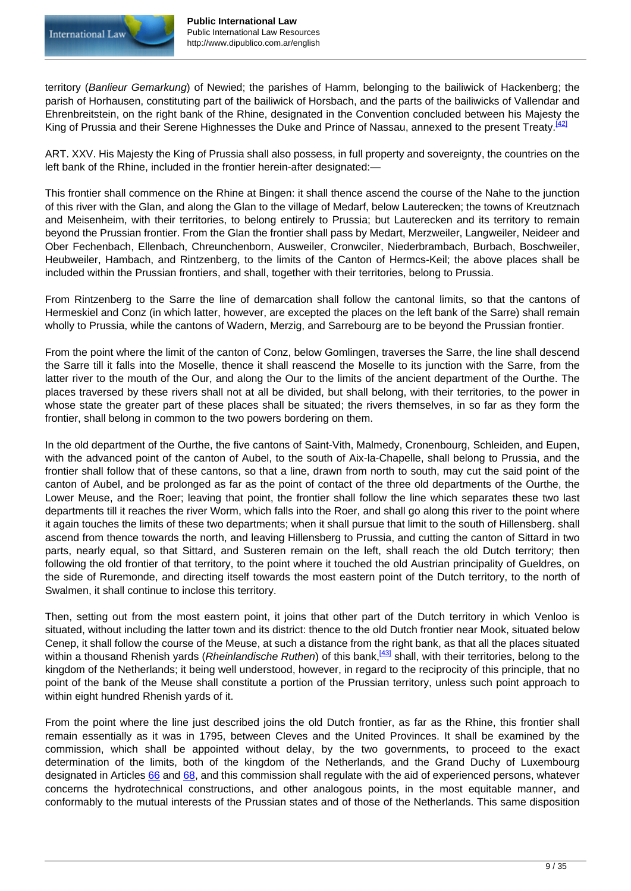territory (Banlieur Gemarkung) of Newied; the parishes of Hamm, belonging to the bailiwick of Hackenberg; the parish of Horhausen, constituting part of the bailiwick of Horsbach, and the parts of the bailiwicks of Vallendar and Ehrenbreitstein, on the right bank of the Rhine, designated in the Convention concluded between his Majesty the King of Prussia and their Serene Highnesses the Duke and Prince of Nassau, annexed to the present Treaty.<sup>[\[42\]](http://en.wikisource.org/wiki/Final_Act_of_the_Congress_of_Vienna/General_Treaty#cite_note-41)</sup>

ART. XXV. His Majesty the King of Prussia shall also possess, in full property and sovereignty, the countries on the left bank of the Rhine, included in the frontier herein-after designated:—

This frontier shall commence on the Rhine at Bingen: it shall thence ascend the course of the Nahe to the junction of this river with the Glan, and along the Glan to the village of Medarf, below Lauterecken; the towns of Kreutznach and Meisenheim, with their territories, to belong entirely to Prussia; but Lauterecken and its territory to remain beyond the Prussian frontier. From the Glan the frontier shall pass by Medart, Merzweiler, Langweiler, Neideer and Ober Fechenbach, Ellenbach, Chreunchenborn, Ausweiler, Cronwciler, Niederbrambach, Burbach, Boschweiler, Heubweiler, Hambach, and Rintzenberg, to the limits of the Canton of Hermcs-Keil; the above places shall be included within the Prussian frontiers, and shall, together with their territories, belong to Prussia.

From Rintzenberg to the Sarre the line of demarcation shall follow the cantonal limits, so that the cantons of Hermeskiel and Conz (in which latter, however, are excepted the places on the left bank of the Sarre) shall remain wholly to Prussia, while the cantons of Wadern, Merzig, and Sarrebourg are to be beyond the Prussian frontier.

From the point where the limit of the canton of Conz, below Gomlingen, traverses the Sarre, the line shall descend the Sarre till it falls into the Moselle, thence it shall reascend the Moselle to its junction with the Sarre, from the latter river to the mouth of the Our, and along the Our to the limits of the ancient department of the Ourthe. The places traversed by these rivers shall not at all be divided, but shall belong, with their territories, to the power in whose state the greater part of these places shall be situated; the rivers themselves, in so far as they form the frontier, shall belong in common to the two powers bordering on them.

In the old department of the Ourthe, the five cantons of Saint-Vith, Malmedy, Cronenbourg, Schleiden, and Eupen, with the advanced point of the canton of Aubel, to the south of Aix-la-Chapelle, shall belong to Prussia, and the frontier shall follow that of these cantons, so that a line, drawn from north to south, may cut the said point of the canton of Aubel, and be prolonged as far as the point of contact of the three old departments of the Ourthe, the Lower Meuse, and the Roer; leaving that point, the frontier shall follow the line which separates these two last departments till it reaches the river Worm, which falls into the Roer, and shall go along this river to the point where it again touches the limits of these two departments; when it shall pursue that limit to the south of Hillensberg. shall ascend from thence towards the north, and leaving Hillensberg to Prussia, and cutting the canton of Sittard in two parts, nearly equal, so that Sittard, and Susteren remain on the left, shall reach the old Dutch territory; then following the old frontier of that territory, to the point where it touched the old Austrian principality of Gueldres, on the side of Ruremonde, and directing itself towards the most eastern point of the Dutch territory, to the north of Swalmen, it shall continue to inclose this territory.

Then, setting out from the most eastern point, it joins that other part of the Dutch territory in which Venloo is situated, without including the latter town and its district: thence to the old Dutch frontier near Mook, situated below Cenep, it shall follow the course of the Meuse, at such a distance from the right bank, as that all the places situated within a thousand Rhenish yards (Rheinlandische Ruthen) of this bank,<sup>[\[43\]](http://en.wikisource.org/wiki/Final_Act_of_the_Congress_of_Vienna/General_Treaty#cite_note-42)</sup> shall, with their territories, belong to the kingdom of the Netherlands; it being well understood, however, in regard to the reciprocity of this principle, that no point of the bank of the Meuse shall constitute a portion of the Prussian territory, unless such point approach to within eight hundred Rhenish yards of it.

From the point where the line just described joins the old Dutch frontier, as far as the Rhine, this frontier shall remain essentially as it was in 1795, between Cleves and the United Provinces. It shall be examined by the commission, which shall be appointed without delay, by the two governments, to proceed to the exact determination of the limits, both of the kingdom of the Netherlands, and the Grand Duchy of Luxembourg designated in Articles [66](http://en.wikisource.org/wiki/Final_Act_of_the_Congress_of_Vienna/General_Treaty#ART.LXVI) and [68](http://en.wikisource.org/wiki/Final_Act_of_the_Congress_of_Vienna/General_Treaty#ART.LXVIII), and this commission shall regulate with the aid of experienced persons, whatever concerns the hydrotechnical constructions, and other analogous points, in the most equitable manner, and conformably to the mutual interests of the Prussian states and of those of the Netherlands. This same disposition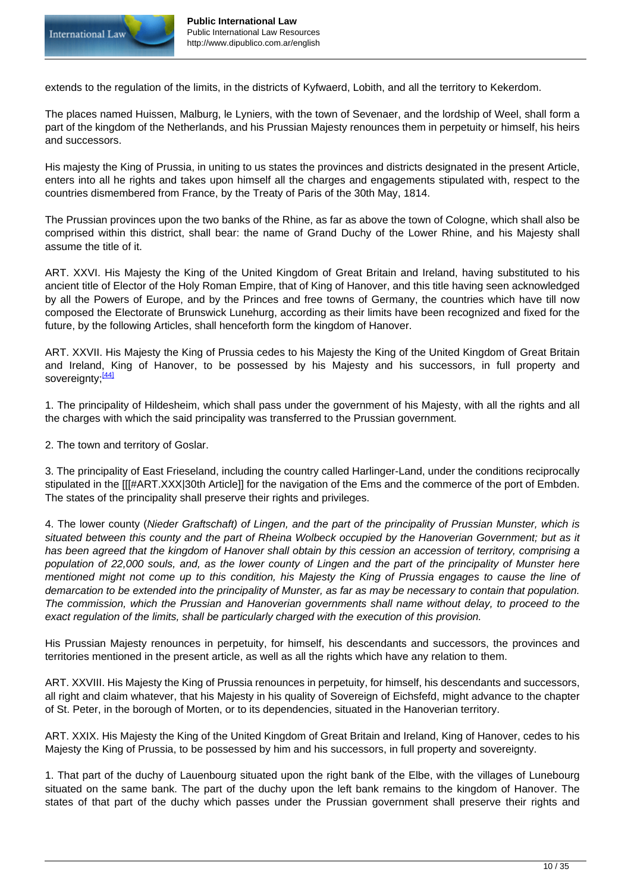extends to the regulation of the limits, in the districts of Kyfwaerd, Lobith, and all the territory to Kekerdom.

The places named Huissen, Malburg, le Lyniers, with the town of Sevenaer, and the lordship of Weel, shall form a part of the kingdom of the Netherlands, and his Prussian Majesty renounces them in perpetuity or himself, his heirs and successors.

His majesty the King of Prussia, in uniting to us states the provinces and districts designated in the present Article, enters into all he rights and takes upon himself all the charges and engagements stipulated with, respect to the countries dismembered from France, by the Treaty of Paris of the 30th May, 1814.

The Prussian provinces upon the two banks of the Rhine, as far as above the town of Cologne, which shall also be comprised within this district, shall bear: the name of Grand Duchy of the Lower Rhine, and his Majesty shall assume the title of it.

ART. XXVI. His Majesty the King of the United Kingdom of Great Britain and Ireland, having substituted to his ancient title of Elector of the Holy Roman Empire, that of King of Hanover, and this title having seen acknowledged by all the Powers of Europe, and by the Princes and free towns of Germany, the countries which have till now composed the Electorate of Brunswick Lunehurg, according as their limits have been recognized and fixed for the future, by the following Articles, shall henceforth form the kingdom of Hanover.

ART. XXVII. His Majesty the King of Prussia cedes to his Majesty the King of the United Kingdom of Great Britain and Ireland, King of Hanover, to be possessed by his Majesty and his successors, in full property and sovereignty; [\[44\]](http://en.wikisource.org/wiki/Final_Act_of_the_Congress_of_Vienna/General_Treaty#cite_note-Hertslet-231-43)

1. The principality of Hildesheim, which shall pass under the government of his Majesty, with all the rights and all the charges with which the said principality was transferred to the Prussian government.

2. The town and territory of Goslar.

3. The principality of East Frieseland, including the country called Harlinger-Land, under the conditions reciprocally stipulated in the [[[#ART.XXX|30th Article]] for the navigation of the Ems and the commerce of the port of Embden. The states of the principality shall preserve their rights and privileges.

4. The lower county (Nieder Graftschaft) of Lingen, and the part of the principality of Prussian Munster, which is situated between this county and the part of Rheina Wolbeck occupied by the Hanoverian Government; but as it has been agreed that the kingdom of Hanover shall obtain by this cession an accession of territory, comprising a population of 22,000 souls, and, as the lower county of Lingen and the part of the principality of Munster here mentioned might not come up to this condition, his Majesty the King of Prussia engages to cause the line of demarcation to be extended into the principality of Munster, as far as may be necessary to contain that population. The commission, which the Prussian and Hanoverian governments shall name without delay, to proceed to the exact regulation of the limits, shall be particularly charged with the execution of this provision.

His Prussian Majesty renounces in perpetuity, for himself, his descendants and successors, the provinces and territories mentioned in the present article, as well as all the rights which have any relation to them.

ART. XXVIII. His Majesty the King of Prussia renounces in perpetuity, for himself, his descendants and successors, all right and claim whatever, that his Majesty in his quality of Sovereign of Eichsfefd, might advance to the chapter of St. Peter, in the borough of Morten, or to its dependencies, situated in the Hanoverian territory.

ART. XXIX. His Majesty the King of the United Kingdom of Great Britain and Ireland, King of Hanover, cedes to his Majesty the King of Prussia, to be possessed by him and his successors, in full property and sovereignty.

1. That part of the duchy of Lauenbourg situated upon the right bank of the Elbe, with the villages of Lunebourg situated on the same bank. The part of the duchy upon the left bank remains to the kingdom of Hanover. The states of that part of the duchy which passes under the Prussian government shall preserve their rights and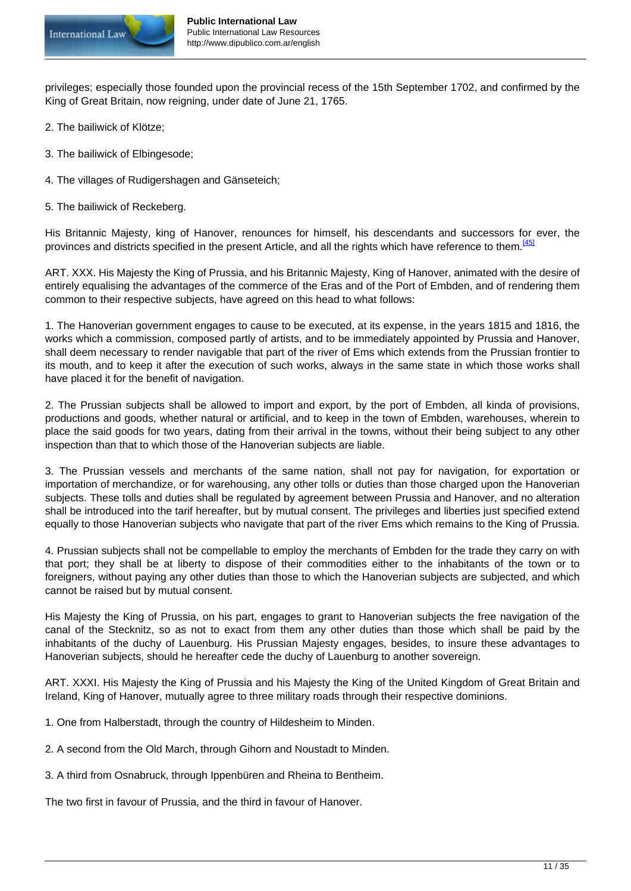

privileges; especially those founded upon the provincial recess of the 15th September 1702, and confirmed by the King of Great Britain, now reigning, under date of June 21, 1765.

- 2. The bailiwick of Klötze;
- 3. The bailiwick of Elbingesode;
- 4. The villages of Rudigershagen and Gänseteich;
- 5. The bailiwick of Reckeberg.

His Britannic Majesty, king of Hanover, renounces for himself, his descendants and successors for ever, the provinces and districts specified in the present Article, and all the rights which have reference to them.[\[45\]](http://en.wikisource.org/wiki/Final_Act_of_the_Congress_of_Vienna/General_Treaty#cite_note-44)

ART. XXX. His Majesty the King of Prussia, and his Britannic Majesty, King of Hanover, animated with the desire of entirely equalising the advantages of the commerce of the Eras and of the Port of Embden, and of rendering them common to their respective subjects, have agreed on this head to what follows:

1. The Hanoverian government engages to cause to be executed, at its expense, in the years 1815 and 1816, the works which a commission, composed partly of artists, and to be immediately appointed by Prussia and Hanover, shall deem necessary to render navigable that part of the river of Ems which extends from the Prussian frontier to its mouth, and to keep it after the execution of such works, always in the same state in which those works shall have placed it for the benefit of navigation.

2. The Prussian subjects shall be allowed to import and export, by the port of Embden, all kinda of provisions, productions and goods, whether natural or artificial, and to keep in the town of Embden, warehouses, wherein to place the said goods for two years, dating from their arrival in the towns, without their being subject to any other inspection than that to which those of the Hanoverian subjects are liable.

3. The Prussian vessels and merchants of the same nation, shall not pay for navigation, for exportation or importation of merchandize, or for warehousing, any other tolls or duties than those charged upon the Hanoverian subjects. These tolls and duties shall be regulated by agreement between Prussia and Hanover, and no alteration shall be introduced into the tarif hereafter, but by mutual consent. The privileges and liberties just specified extend equally to those Hanoverian subjects who navigate that part of the river Ems which remains to the King of Prussia.

4. Prussian subjects shall not be compellable to employ the merchants of Embden for the trade they carry on with that port; they shall be at liberty to dispose of their commodities either to the inhabitants of the town or to foreigners, without paying any other duties than those to which the Hanoverian subjects are subjected, and which cannot be raised but by mutual consent.

His Majesty the King of Prussia, on his part, engages to grant to Hanoverian subjects the free navigation of the canal of the Stecknitz, so as not to exact from them any other duties than those which shall be paid by the inhabitants of the duchy of Lauenburg. His Prussian Majesty engages, besides, to insure these advantages to Hanoverian subjects, should he hereafter cede the duchy of Lauenburg to another sovereign.

ART. XXXI. His Majesty the King of Prussia and his Majesty the King of the United Kingdom of Great Britain and Ireland, King of Hanover, mutually agree to three military roads through their respective dominions.

- 1. One from Halberstadt, through the country of Hildesheim to Minden.
- 2. A second from the Old March, through Gihorn and Noustadt to Minden.
- 3. A third from Osnabruck, through Ippenbüren and Rheina to Bentheim.

The two first in favour of Prussia, and the third in favour of Hanover.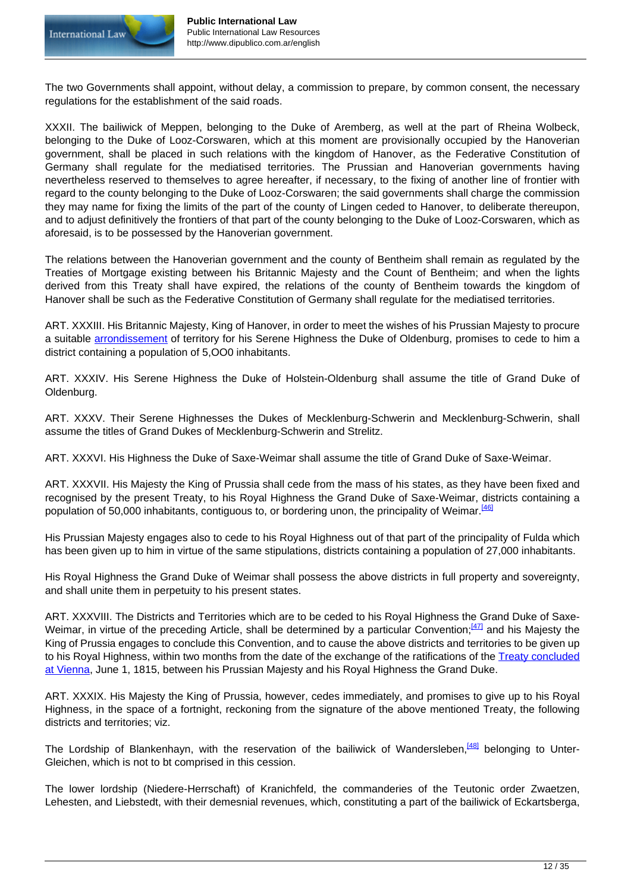

The two Governments shall appoint, without delay, a commission to prepare, by common consent, the necessary regulations for the establishment of the said roads.

XXXII. The bailiwick of Meppen, belonging to the Duke of Aremberg, as well at the part of Rheina Wolbeck, belonging to the Duke of Looz-Corswaren, which at this moment are provisionally occupied by the Hanoverian government, shall be placed in such relations with the kingdom of Hanover, as the Federative Constitution of Germany shall regulate for the mediatised territories. The Prussian and Hanoverian governments having nevertheless reserved to themselves to agree hereafter, if necessary, to the fixing of another line of frontier with regard to the county belonging to the Duke of Looz-Corswaren; the said governments shall charge the commission they may name for fixing the limits of the part of the county of Lingen ceded to Hanover, to deliberate thereupon, and to adjust definitively the frontiers of that part of the county belonging to the Duke of Looz-Corswaren, which as aforesaid, is to be possessed by the Hanoverian government.

The relations between the Hanoverian government and the county of Bentheim shall remain as regulated by the Treaties of Mortgage existing between his Britannic Majesty and the Count of Bentheim; and when the lights derived from this Treaty shall have expired, the relations of the county of Bentheim towards the kingdom of Hanover shall be such as the Federative Constitution of Germany shall regulate for the mediatised territories.

ART. XXXIII. His Britannic Majesty, King of Hanover, in order to meet the wishes of his Prussian Majesty to procure a suitable [arrondissement](http://en.wikipedia.org/wiki/arrondissement) of territory for his Serene Highness the Duke of Oldenburg, promises to cede to him a district containing a population of 5,OO0 inhabitants.

ART. XXXIV. His Serene Highness the Duke of Holstein-Oldenburg shall assume the title of Grand Duke of Oldenburg.

ART. XXXV. Their Serene Highnesses the Dukes of Mecklenburg-Schwerin and Mecklenburg-Schwerin, shall assume the titles of Grand Dukes of Mecklenburg-Schwerin and Strelitz.

ART. XXXVI. His Highness the Duke of Saxe-Weimar shall assume the title of Grand Duke of Saxe-Weimar.

ART. XXXVII. His Majesty the King of Prussia shall cede from the mass of his states, as they have been fixed and recognised by the present Treaty, to his Royal Highness the Grand Duke of Saxe-Weimar, districts containing a population of 50,000 inhabitants, contiguous to, or bordering unon, the principality of Weimar.<sup>[\[46\]](http://en.wikisource.org/wiki/Final_Act_of_the_Congress_of_Vienna/General_Treaty#cite_note-45)</sup>

His Prussian Majesty engages also to cede to his Royal Highness out of that part of the principality of Fulda which has been given up to him in virtue of the same stipulations, districts containing a population of 27,000 inhabitants.

His Royal Highness the Grand Duke of Weimar shall possess the above districts in full property and sovereignty, and shall unite them in perpetuity to his present states.

ART. XXXVIII. The Districts and Territories which are to be ceded to his Royal Highness the Grand Duke of SaxeWeimar, in virtue of the preceding Article, shall be determined by a particular Conventio[n;](http://en.wikisource.org/wiki/Final_Act_of_the_Congress_of_Vienna/General_Treaty#cite_note-46)<sup>[47]</sup> and his Majesty the King of Prussia engages to conclude this Convention, and to cause the above districts and territories to be given up to his Royal Highness, within two months from the date of the exchange of the ratifications of the [Treaty concluded](http://en.wikisource.org/w/index.php?title=Final_Act_of_the_Congress_of_Vienna/Convention_between_Prussia_and_the_Grand_Duke_of_Saxe-Weimar&action=edit&redlink=1) [at Vienna,](http://en.wikisource.org/w/index.php?title=Final_Act_of_the_Congress_of_Vienna/Convention_between_Prussia_and_the_Grand_Duke_of_Saxe-Weimar&action=edit&redlink=1) June 1, 1815, between his Prussian Majesty and his Royal Highness the Grand Duke.

ART. XXXIX. His Majesty the King of Prussia, however, cedes immediately, and promises to give up to his Royal Highness, in the space of a fortnight, reckoning from the signature of the above mentioned Treaty, the following districts and territories; viz.

The Lordship of Blankenhayn, with the reservation of the bailiwick of Wanders[leb](http://en.wikisource.org/wiki/Final_Act_of_the_Congress_of_Vienna/General_Treaty#cite_note-47)en, <sup>[48]</sup> belonging to Unter-Gleichen, which is not to bt comprised in this cession.

The lower lordship (Niedere-Herrschaft) of Kranichfeld, the commanderies of the Teutonic order Zwaetzen, Lehesten, and Liebstedt, with their demesnial revenues, which, constituting a part of the bailiwick of Eckartsberga,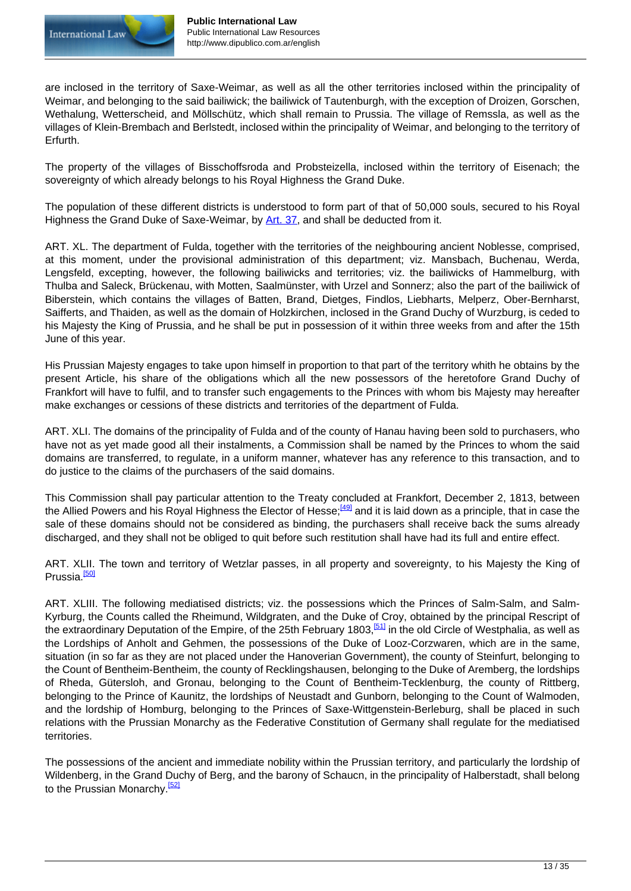are inclosed in the territory of Saxe-Weimar, as well as all the other territories inclosed within the principality of Weimar, and belonging to the said bailiwick; the bailiwick of Tautenburgh, with the exception of Droizen, Gorschen, Wethalung, Wetterscheid, and Möllschütz, which shall remain to Prussia. The village of Remssla, as well as the villages of Klein-Brembach and Berlstedt, inclosed within the principality of Weimar, and belonging to the territory of Erfurth.

The property of the villages of Bisschoffsroda and Probsteizella, inclosed within the territory of Eisenach; the sovereignty of which already belongs to his Royal Highness the Grand Duke.

The population of these different districts is understood to form part of that of 50,000 souls, secured to his Royal Highness the Grand Duke of Saxe-Weimar, by [Art. 37](http://en.wikisource.org/wiki/Final_Act_of_the_Congress_of_Vienna/General_Treaty#ART.XXXVII), and shall be deducted from it.

ART. XL. The department of Fulda, together with the territories of the neighbouring ancient Noblesse, comprised, at this moment, under the provisional administration of this department; viz. Mansbach, Buchenau, Werda, Lengsfeld, excepting, however, the following bailiwicks and territories; viz. the bailiwicks of Hammelburg, with Thulba and Saleck, Brückenau, with Motten, Saalmünster, with Urzel and Sonnerz; also the part of the bailiwick of Biberstein, which contains the villages of Batten, Brand, Dietges, Findlos, Liebharts, Melperz, Ober-Bernharst, Saifferts, and Thaiden, as well as the domain of Holzkirchen, inclosed in the Grand Duchy of Wurzburg, is ceded to his Majesty the King of Prussia, and he shall be put in possession of it within three weeks from and after the 15th June of this year.

His Prussian Majesty engages to take upon himself in proportion to that part of the territory whith he obtains by the present Article, his share of the obligations which all the new possessors of the heretofore Grand Duchy of Frankfort will have to fulfil, and to transfer such engagements to the Princes with whom bis Majesty may hereafter make exchanges or cessions of these districts and territories of the department of Fulda.

ART. XLI. The domains of the principality of Fulda and of the county of Hanau having been sold to purchasers, who have not as yet made good all their instalments, a Commission shall be named by the Princes to whom the said domains are transferred, to regulate, in a uniform manner, whatever has any reference to this transaction, and to do justice to the claims of the purchasers of the said domains.

This Commission shall pay particular attention to the Treaty concluded at Frankfort, December 2, 1813, between the Allied Powers and his Royal Highness the Elector of Hesse;<sup>[[49\]](http://en.wikisource.org/wiki/Final_Act_of_the_Congress_of_Vienna/General_Treaty#cite_note-48)</sup> and it is laid down as a principle, that in case the sale of these domains should not be considered as binding, the purchasers shall receive back the sums already discharged, and they shall not be obliged to quit before such restitution shall have had its full and entire effect.

ART. XLII. The town and territory of Wetzlar passes, in all property and sovereignty, to his Majesty the King of Prussia<sup>[\[50\]](http://en.wikisource.org/wiki/Final_Act_of_the_Congress_of_Vienna/General_Treaty#cite_note-49)</sup>

ART. XLIII. The following mediatised districts; viz. the possessions which the Princes of Salm-Salm, and Salm-Kyrburg, the Counts called the Rheimund, Wildgraten, and the Duke of Croy, obtained by the principal Rescript of the extraordinary Deputation of the Empire, of the 25th February 1803,<sup>[\[51\]](http://en.wikisource.org/wiki/Final_Act_of_the_Congress_of_Vienna/General_Treaty#cite_note-50)</sup> in the old Circle of Westphalia, as well as the Lordships of Anholt and Gehmen, the possessions of the Duke of Looz-Corzwaren, which are in the same, situation (in so far as they are not placed under the Hanoverian Government), the county of Steinfurt, belonging to the Count of Bentheim-Bentheim, the county of Recklingshausen, belonging to the Duke of Aremberg, the lordships of Rheda, Gütersloh, and Gronau, belonging to the Count of Bentheim-Tecklenburg, the county of Rittberg, belonging to the Prince of Kaunitz, the lordships of Neustadt and Gunborn, belonging to the Count of Walmoden, and the lordship of Homburg, belonging to the Princes of Saxe-Wittgenstein-Berleburg, shall be placed in such relations with the Prussian Monarchy as the Federative Constitution of Germany shall regulate for the mediatised territories.

The possessions of the ancient and immediate nobility within the Prussian territory, and particularly the lordship of Wildenberg, in the Grand Duchy of Berg, and the barony of Schaucn, in the principality of Halberstadt, shall belong to the Prussian Monarchy.<sup>[\[52\]](http://en.wikisource.org/wiki/Final_Act_of_the_Congress_of_Vienna/General_Treaty#cite_note-51)</sup>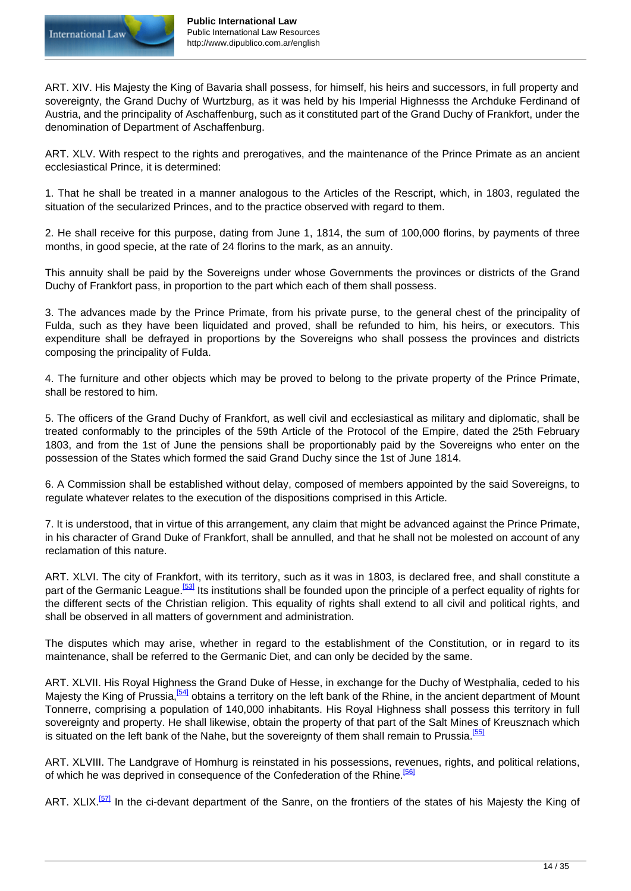

ART. XIV. His Majesty the King of Bavaria shall possess, for himself, his heirs and successors, in full property and sovereignty, the Grand Duchy of Wurtzburg, as it was held by his Imperial Highnesss the Archduke Ferdinand of Austria, and the principality of Aschaffenburg, such as it constituted part of the Grand Duchy of Frankfort, under the denomination of Department of Aschaffenburg.

ART. XLV. With respect to the rights and prerogatives, and the maintenance of the Prince Primate as an ancient ecclesiastical Prince, it is determined:

1. That he shall be treated in a manner analogous to the Articles of the Rescript, which, in 1803, regulated the situation of the secularized Princes, and to the practice observed with regard to them.

2. He shall receive for this purpose, dating from June 1, 1814, the sum of 100,000 florins, by payments of three months, in good specie, at the rate of 24 florins to the mark, as an annuity.

This annuity shall be paid by the Sovereigns under whose Governments the provinces or districts of the Grand Duchy of Frankfort pass, in proportion to the part which each of them shall possess.

3. The advances made by the Prince Primate, from his private purse, to the general chest of the principality of Fulda, such as they have been liquidated and proved, shall be refunded to him, his heirs, or executors. This expenditure shall be defrayed in proportions by the Sovereigns who shall possess the provinces and districts composing the principality of Fulda.

4. The furniture and other objects which may be proved to belong to the private property of the Prince Primate, shall be restored to him.

5. The officers of the Grand Duchy of Frankfort, as well civil and ecclesiastical as military and diplomatic, shall be treated conformably to the principles of the 59th Article of the Protocol of the Empire, dated the 25th February 1803, and from the 1st of June the pensions shall be proportionably paid by the Sovereigns who enter on the possession of the States which formed the said Grand Duchy since the 1st of June 1814.

6. A Commission shall be established without delay, composed of members appointed by the said Sovereigns, to regulate whatever relates to the execution of the dispositions comprised in this Article.

7. It is understood, that in virtue of this arrangement, any claim that might be advanced against the Prince Primate, in his character of Grand Duke of Frankfort, shall be annulled, and that he shall not be molested on account of any reclamation of this nature.

ART. XLVI. The city of Frankfort, with its territory, such as it was in 1803, is declared free, and shall constitute a part of the Germanic League.<sup>[\[53\]](http://en.wikisource.org/wiki/Final_Act_of_the_Congress_of_Vienna/General_Treaty#cite_note-52)</sup> Its institutions shall be founded upon the principle of a perfect equality of rights for the different sects of the Christian religion. This equality of rights shall extend to all civil and political rights, and shall be observed in all matters of government and administration.

The disputes which may arise, whether in regard to the establishment of the Constitution, or in regard to its maintenance, shall be referred to the Germanic Diet, and can only be decided by the same.

ART. XLVII. His Royal Highness the Grand Duke of Hesse, in exchange for the Duchy of Westphalia, ceded to his Majesty the King of Prussia,<sup>[\[54\]](http://en.wikisource.org/wiki/Final_Act_of_the_Congress_of_Vienna/General_Treaty#cite_note-53)</sup> obtains a territory on the left bank of the Rhine, in the ancient department of Mount Tonnerre, comprising a population of 140,000 inhabitants. His Royal Highness shall possess this territory in full sovereignty and property. He shall likewise, obtain the property of that part of the Salt Mines of Kreusznach which is situated on the left bank of the Nahe, but the sovereignty of them shall remain to Prussia.<sup>[\[55\]](http://en.wikisource.org/wiki/Final_Act_of_the_Congress_of_Vienna/General_Treaty#cite_note-54)</sup>

ART. XLVIII. The Landgrave of Homhurg is reinstated in his possessions, revenues, rights, and political relations, of which he was deprived in consequence of the Confederation of the Rhine.<sup>[\[56\]](http://en.wikisource.org/wiki/Final_Act_of_the_Congress_of_Vienna/General_Treaty#cite_note-55)</sup>

ART. XLIX<sup>[\[57\]](http://en.wikisource.org/wiki/Final_Act_of_the_Congress_of_Vienna/General_Treaty#cite_note-56)</sup> In the ci-devant department of the Sanre, on the frontiers of the states of his Majesty the King of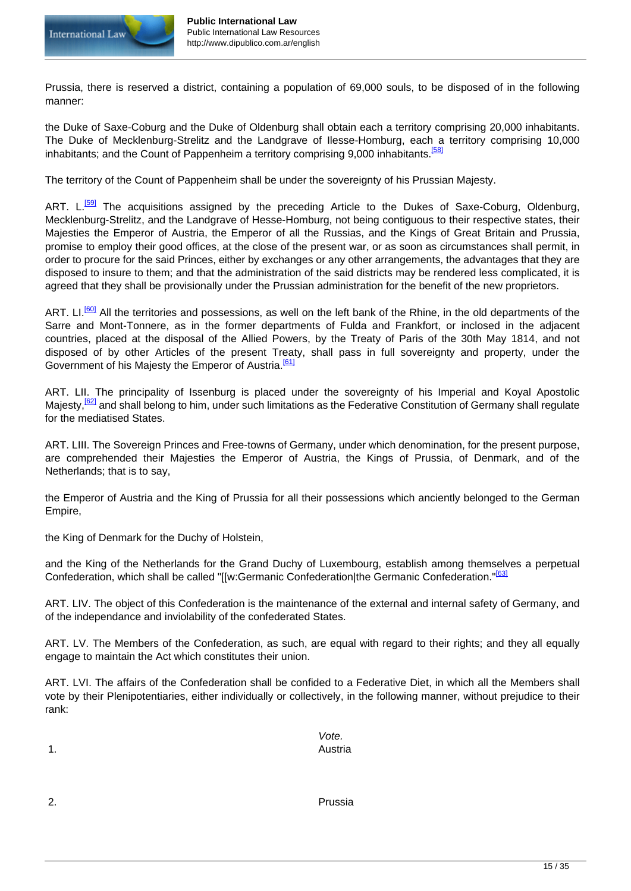

Prussia, there is reserved a district, containing a population of 69,000 souls, to be disposed of in the following manner:

the Duke of Saxe-Coburg and the Duke of Oldenburg shall obtain each a territory comprising 20,000 inhabitants. The Duke of Mecklenburg-Strelitz and the Landgrave of Ilesse-Homburg, each a territory comprising 10,000 inhabitants; and the Count of Pappenheim a territory comprising 9,000 inhabitants.<sup>[\[58\]](http://en.wikisource.org/wiki/Final_Act_of_the_Congress_of_Vienna/General_Treaty#cite_note-57)</sup>

The territory of the Count of Pappenheim shall be under the sovereignty of his Prussian Majesty.

ART. L.<sup>[\[59](http://en.wikisource.org/wiki/Final_Act_of_the_Congress_of_Vienna/General_Treaty#cite_note-58)]</sup> The acquisitions assigned by the preceding Article to the Dukes of Saxe-Coburg, Oldenburg, Mecklenburg-Strelitz, and the Landgrave of Hesse-Homburg, not being contiguous to their respective states, their Majesties the Emperor of Austria, the Emperor of all the Russias, and the Kings of Great Britain and Prussia, promise to employ their good offices, at the close of the present war, or as soon as circumstances shall permit, in order to procure for the said Princes, either by exchanges or any other arrangements, the advantages that they are disposed to insure to them; and that the administration of the said districts may be rendered less complicated, it is agreed that they shall be provisionally under the Prussian administration for the benefit of the new proprietors.

ART. LI.<sup>[\[60\]](http://en.wikisource.org/wiki/Final_Act_of_the_Congress_of_Vienna/General_Treaty#cite_note-59)</sup> All the territories and possessions, as well on the left bank of the Rhine, in the old departments of the Sarre and Mont-Tonnere, as in the former departments of Fulda and Frankfort, or inclosed in the adjacent countries, placed at the disposal of the Allied Powers, by the Treaty of Paris of the 30th May 1814, and not disposed of by other Articles of the present Treaty, shall pass in full sovereignty and property, under the Government of his Majesty the Emperor of Austria.<sup>[\[61\]](http://en.wikisource.org/wiki/Final_Act_of_the_Congress_of_Vienna/General_Treaty#cite_note-60)</sup>

ART. LII. The principality of Issenburg is placed under the sovereignty of his Imperial and Koyal Apostolic Majesty,<sup>[\[62\]](http://en.wikisource.org/wiki/Final_Act_of_the_Congress_of_Vienna/General_Treaty#cite_note-61)</sup> and shall belong to him, under such limitations as the Federative Constitution of Germany shall regulate for the mediatised States.

ART. LIII. The Sovereign Princes and Free-towns of Germany, under which denomination, for the present purpose, are comprehended their Majesties the Emperor of Austria, the Kings of Prussia, of Denmark, and of the Netherlands; that is to say,

the Emperor of Austria and the King of Prussia for all their possessions which anciently belonged to the German Empire,

the King of Denmark for the Duchy of Holstein,

and the King of the Netherlands for the Grand Duchy of Luxembourg, establish among themselves a perpetual Confederation, which shall be called "[[w:Germanic Confederation|the Germanic Confederation."[\[63\]](http://en.wikisource.org/wiki/Final_Act_of_the_Congress_of_Vienna/General_Treaty#cite_note-62)

ART. LIV. The object of this Confederation is the maintenance of the external and internal safety of Germany, and of the independance and inviolability of the confederated States.

ART. LV. The Members of the Confederation, as such, are equal with regard to their rights; and they all equally engage to maintain the Act which constitutes their union.

ART. LVI. The affairs of the Confederation shall be confided to a Federative Diet, in which all the Members shall vote by their Plenipotentiaries, either individually or collectively, in the following manner, without prejudice to their rank:

Vote. 1. Austria

2. Prussia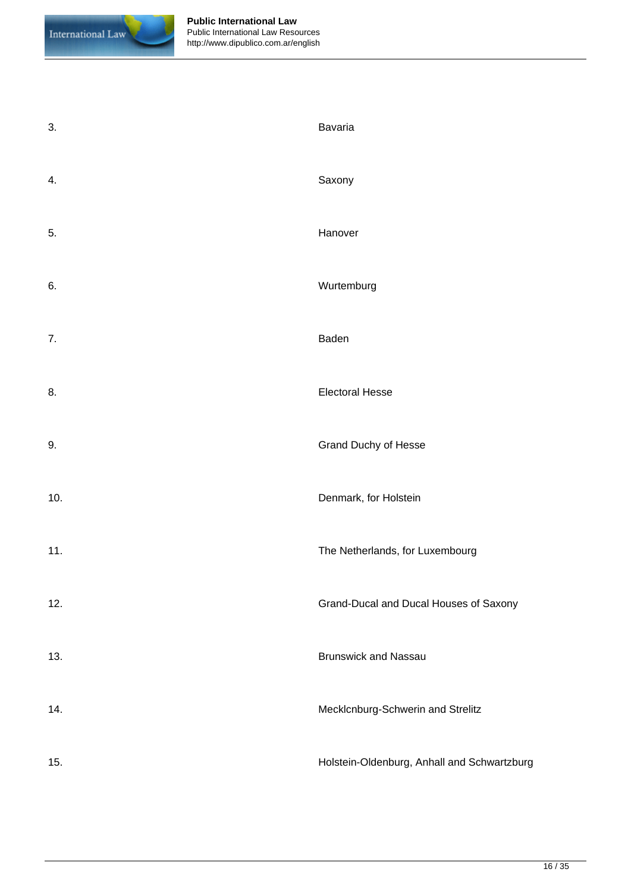

| 3.  | Bavaria                                     |
|-----|---------------------------------------------|
| 4.  | Saxony                                      |
| 5.  | Hanover                                     |
| 6.  | Wurtemburg                                  |
| 7.  | Baden                                       |
| 8.  | <b>Electoral Hesse</b>                      |
| 9.  | Grand Duchy of Hesse                        |
| 10. | Denmark, for Holstein                       |
| 11. | The Netherlands, for Luxembourg             |
| 12. | Grand-Ducal and Ducal Houses of Saxony      |
| 13. | <b>Brunswick and Nassau</b>                 |
| 14. | Mecklcnburg-Schwerin and Strelitz           |
| 15. | Holstein-Oldenburg, Anhall and Schwartzburg |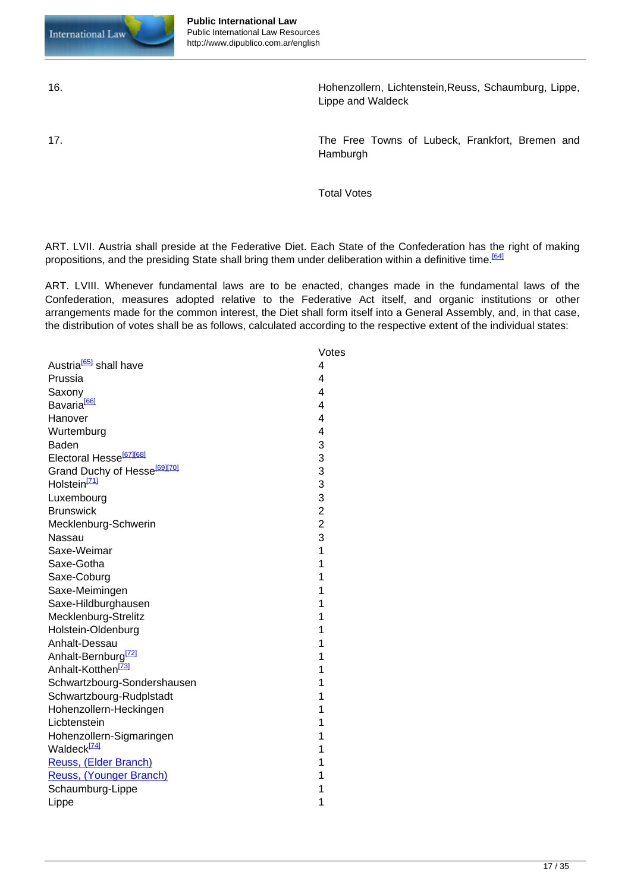

16. Hohenzollern, Lichtenstein,Reuss, Schaumburg, Lippe, Lippe and Waldeck

17. The Free Towns of Lubeck, Frankfort, Bremen and Hamburgh

Total Votes

ART. LVII. Austria shall preside at the Federative Diet. Each State of the Confederation has the right of making propositions, and the presiding State shall bring them under deliberation within a definitive time.<sup>[\[64\]](http://en.wikisource.org/wiki/Final_Act_of_the_Congress_of_Vienna/General_Treaty#cite_note-63)</sup>

ART. LVIII. Whenever fundamental laws are to be enacted, changes made in the fundamental laws of the Confederation, measures adopted relative to the Federative Act itself, and organic institutions or other arrangements made for the common interest, the Diet shall form itself into a General Assembly, and, in that case, the distribution of votes shall be as follows, calculated according to the respective extent of the individual states:

|                                          | Votes          |
|------------------------------------------|----------------|
| Austria <sup>[65]</sup> shall have       | 4              |
| Prussia                                  | 4              |
| Saxony                                   | 4              |
| Bavaria <sup>[66]</sup>                  | 4              |
| Hanover                                  | 4              |
| Wurtemburg                               | 4              |
| Baden                                    | 3              |
| Electoral Hesse <sup>[67][68]</sup>      | 3              |
| Grand Duchy of Hesse <sup>[69][70]</sup> | 3              |
| Holstein <sup>[71]</sup>                 | 3              |
| Luxembourg                               | 3              |
| <b>Brunswick</b>                         | $\overline{c}$ |
| Mecklenburg-Schwerin                     | $\overline{2}$ |
| Nassau                                   | 3              |
| Saxe-Weimar                              | 1              |
| Saxe-Gotha                               | 1              |
| Saxe-Coburg                              | 1              |
| Saxe-Meimingen                           | 1              |
| Saxe-Hildburghausen                      | 1              |
| Mecklenburg-Strelitz                     | 1              |
| Holstein-Oldenburg                       | 1              |
| Anhalt-Dessau                            | 1              |
| Anhalt-Bernburg <sup>[72]</sup>          | 1              |
| Anhalt-Kotthen <sup>[73]</sup>           | 1              |
| Schwartzbourg-Sondershausen              | 1              |
| Schwartzbourg-Rudplstadt                 | 1              |
| Hohenzollern-Heckingen                   | 1              |
| Licbtenstein                             | 1              |
| Hohenzollern-Sigmaringen                 | 1              |
| Waldeck <sup>[74]</sup>                  | 1              |
| Reuss, (Elder Branch)                    | 1              |
| Reuss, (Younger Branch)                  | 1              |
| Schaumburg-Lippe                         | 1              |
| Lippe                                    | 1              |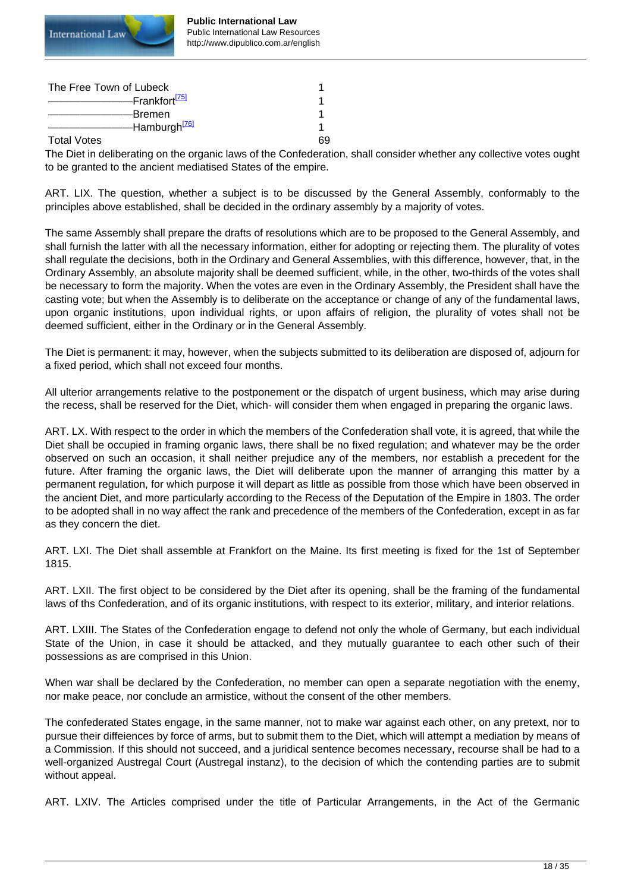

| The Free Town of Lubeck     |  |
|-----------------------------|--|
| - Frankfort <sup>[75]</sup> |  |
| Bremen·                     |  |
| -Hamburgh <sup>[76]</sup>   |  |
|                             |  |

Total Votes 69

The Diet in deliberating on the organic laws of the Confederation, shall consider whether any collective votes ought to be granted to the ancient mediatised States of the empire.

ART. LIX. The question, whether a subject is to be discussed by the General Assembly, conformably to the principles above established, shall be decided in the ordinary assembly by a majority of votes.

The same Assembly shall prepare the drafts of resolutions which are to be proposed to the General Assembly, and shall furnish the latter with all the necessary information, either for adopting or rejecting them. The plurality of votes shall regulate the decisions, both in the Ordinary and General Assemblies, with this difference, however, that, in the Ordinary Assembly, an absolute majority shall be deemed sufficient, while, in the other, two-thirds of the votes shall be necessary to form the majority. When the votes are even in the Ordinary Assembly, the President shall have the casting vote; but when the Assembly is to deliberate on the acceptance or change of any of the fundamental laws, upon organic institutions, upon individual rights, or upon affairs of religion, the plurality of votes shall not be deemed sufficient, either in the Ordinary or in the General Assembly.

The Diet is permanent: it may, however, when the subjects submitted to its deliberation are disposed of, adjourn for a fixed period, which shall not exceed four months.

All ulterior arrangements relative to the postponement or the dispatch of urgent business, which may arise during the recess, shall be reserved for the Diet, which- will consider them when engaged in preparing the organic laws.

ART. LX. With respect to the order in which the members of the Confederation shall vote, it is agreed, that while the Diet shall be occupied in framing organic laws, there shall be no fixed regulation; and whatever may be the order observed on such an occasion, it shall neither prejudice any of the members, nor establish a precedent for the future. After framing the organic laws, the Diet will deliberate upon the manner of arranging this matter by a permanent regulation, for which purpose it will depart as little as possible from those which have been observed in the ancient Diet, and more particularly according to the Recess of the Deputation of the Empire in 1803. The order to be adopted shall in no way affect the rank and precedence of the members of the Confederation, except in as far as they concern the diet.

ART. LXI. The Diet shall assemble at Frankfort on the Maine. Its first meeting is fixed for the 1st of September 1815.

ART. LXII. The first object to be considered by the Diet after its opening, shall be the framing of the fundamental laws of ths Confederation, and of its organic institutions, with respect to its exterior, military, and interior relations.

ART. LXIII. The States of the Confederation engage to defend not only the whole of Germany, but each individual State of the Union, in case it should be attacked, and they mutually guarantee to each other such of their possessions as are comprised in this Union.

When war shall be declared by the Confederation, no member can open a separate negotiation with the enemy, nor make peace, nor conclude an armistice, without the consent of the other members.

The confederated States engage, in the same manner, not to make war against each other, on any pretext, nor to pursue their diffeiences by force of arms, but to submit them to the Diet, which will attempt a mediation by means of a Commission. If this should not succeed, and a juridical sentence becomes necessary, recourse shall be had to a well-organized Austregal Court (Austregal instanz), to the decision of which the contending parties are to submit without appeal.

ART. LXIV. The Articles comprised under the title of Particular Arrangements, in the Act of the Germanic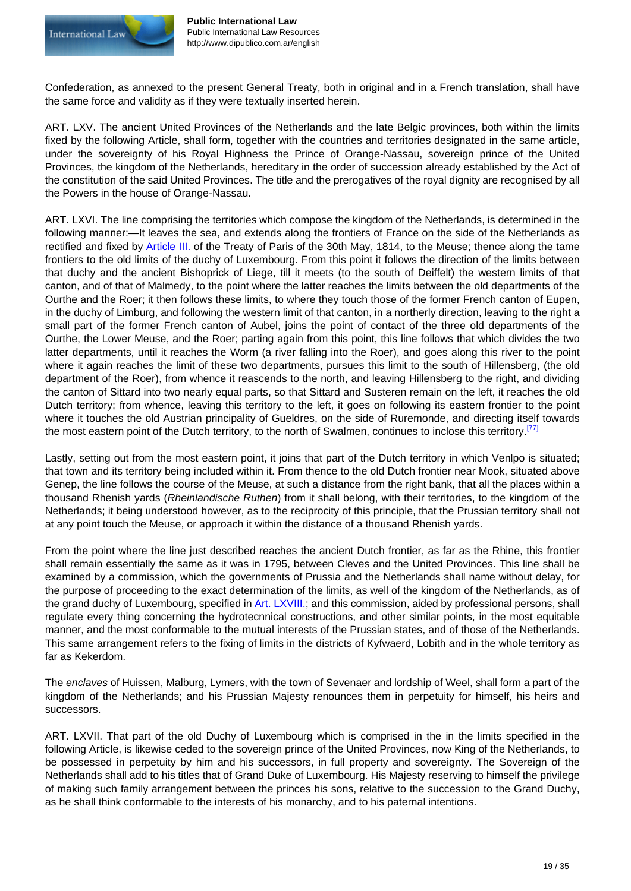Confederation, as annexed to the present General Treaty, both in original and in a French translation, shall have the same force and validity as if they were textually inserted herein.

ART. LXV. The ancient United Provinces of the Netherlands and the late Belgic provinces, both within the limits fixed by the following Article, shall form, together with the countries and territories designated in the same article, under the sovereignty of his Royal Highness the Prince of Orange-Nassau, sovereign prince of the United Provinces, the kingdom of the Netherlands, hereditary in the order of succession already established by the Act of the constitution of the said United Provinces. The title and the prerogatives of the royal dignity are recognised by all the Powers in the house of Orange-Nassau.

ART. LXVI. The line comprising the territories which compose the kingdom of the Netherlands, is determined in the following manner:—It leaves the sea, and extends along the frontiers of France on the side of the Netherlands as rectified and fixed by **Article III.** of the Treaty of Paris of the 30th May, 1814, to the Meuse; thence along the tame frontiers to the old limits of the duchy of Luxembourg. From this point it follows the direction of the limits between that duchy and the ancient Bishoprick of Liege, till it meets (to the south of Deiffelt) the western limits of that canton, and of that of Malmedy, to the point where the latter reaches the limits between the old departments of the Ourthe and the Roer; it then follows these limits, to where they touch those of the former French canton of Eupen, in the duchy of Limburg, and following the western limit of that canton, in a northerly direction, leaving to the right a small part of the former French canton of Aubel, joins the point of contact of the three old departments of the Ourthe, the Lower Meuse, and the Roer; parting again from this point, this line follows that which divides the two latter departments, until it reaches the Worm (a river falling into the Roer), and goes along this river to the point where it again reaches the limit of these two departments, pursues this limit to the south of Hillensberg, (the old department of the Roer), from whence it reascends to the north, and leaving Hillensberg to the right, and dividing the canton of Sittard into two nearly equal parts, so that Sittard and Susteren remain on the left, it reaches the old Dutch territory; from whence, leaving this territory to the left, it goes on following its eastern frontier to the point where it touches the old Austrian principality of Gueldres, on the side of Ruremonde, and directing itself towards the most eastern point of the Dutch territory, to the north of Swalmen, continues to inclose this territory.<sup>[\[77\]](http://en.wikisource.org/wiki/Final_Act_of_the_Congress_of_Vienna/General_Treaty#cite_note-76)</sup>

Lastly, setting out from the most eastern point, it joins that part of the Dutch territory in which Venlpo is situated; that town and its territory being included within it. From thence to the old Dutch frontier near Mook, situated above Genep, the line follows the course of the Meuse, at such a distance from the right bank, that all the places within a thousand Rhenish yards (Rheinlandische Ruthen) from it shall belong, with their territories, to the kingdom of the Netherlands; it being understood however, as to the reciprocity of this principle, that the Prussian territory shall not at any point touch the Meuse, or approach it within the distance of a thousand Rhenish yards.

From the point where the line just described reaches the ancient Dutch frontier, as far as the Rhine, this frontier shall remain essentially the same as it was in 1795, between Cleves and the United Provinces. This line shall be examined by a commission, which the governments of Prussia and the Netherlands shall name without delay, for the purpose of proceeding to the exact determination of the limits, as well of the kingdom of the Netherlands, as of the grand duchy of Luxembourg, specified in [Art. LXVIII.](http://en.wikisource.org/wiki/Final_Act_of_the_Congress_of_Vienna/General_Treaty#ART.LXVIII); and this commission, aided by professional persons, shall regulate every thing concerning the hydrotecnnical constructions, and other similar points, in the most equitable manner, and the most conformable to the mutual interests of the Prussian states, and of those of the Netherlands. This same arrangement refers to the fixing of limits in the districts of Kyfwaerd, Lobith and in the whole territory as far as Kekerdom.

The enclaves of Huissen, Malburg, Lymers, with the town of Sevenaer and lordship of Weel, shall form a part of the kingdom of the Netherlands; and his Prussian Majesty renounces them in perpetuity for himself, his heirs and successors.

ART. LXVII. That part of the old Duchy of Luxembourg which is comprised in the in the limits specified in the following Article, is likewise ceded to the sovereign prince of the United Provinces, now King of the Netherlands, to be possessed in perpetuity by him and his successors, in full property and sovereignty. The Sovereign of the Netherlands shall add to his titles that of Grand Duke of Luxembourg. His Majesty reserving to himself the privilege of making such family arrangement between the princes his sons, relative to the succession to the Grand Duchy, as he shall think conformable to the interests of his monarchy, and to his paternal intentions.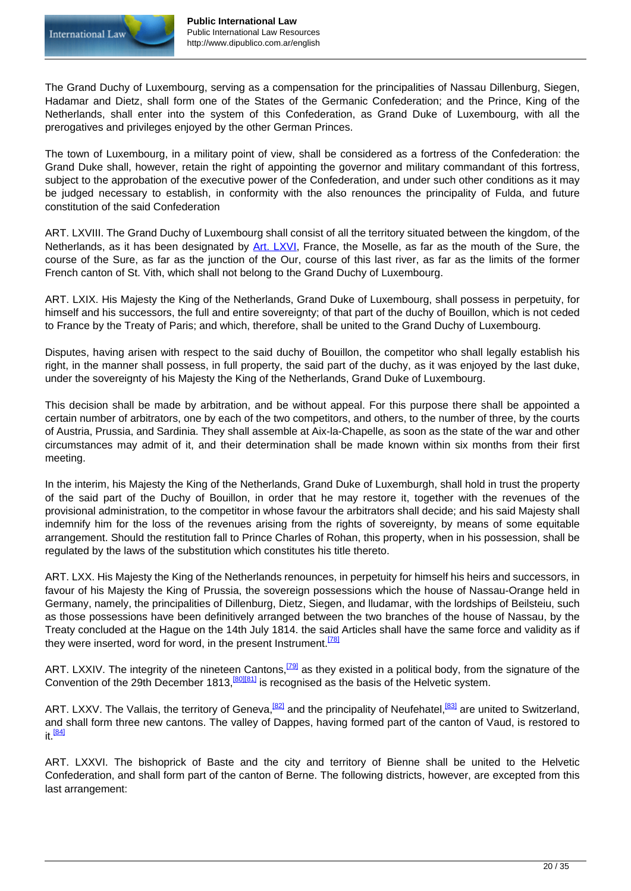

The Grand Duchy of Luxembourg, serving as a compensation for the principalities of Nassau Dillenburg, Siegen, Hadamar and Dietz, shall form one of the States of the Germanic Confederation; and the Prince, King of the Netherlands, shall enter into the system of this Confederation, as Grand Duke of Luxembourg, with all the prerogatives and privileges enjoyed by the other German Princes.

The town of Luxembourg, in a military point of view, shall be considered as a fortress of the Confederation: the Grand Duke shall, however, retain the right of appointing the governor and military commandant of this fortress, subject to the approbation of the executive power of the Confederation, and under such other conditions as it may be judged necessary to establish, in conformity with the also renounces the principality of Fulda, and future constitution of the said Confederation

ART. LXVIII. The Grand Duchy of Luxembourg shall consist of all the territory situated between the kingdom, of the Netherlands, as it has been designated by [Art. LXVI,](http://en.wikisource.org/wiki/Final_Act_of_the_Congress_of_Vienna/General_Treaty#ART.LXVI) France, the Moselle, as far as the mouth of the Sure, the course of the Sure, as far as the junction of the Our, course of this last river, as far as the limits of the former French canton of St. Vith, which shall not belong to the Grand Duchy of Luxembourg.

ART. LXIX. His Majesty the King of the Netherlands, Grand Duke of Luxembourg, shall possess in perpetuity, for himself and his successors, the full and entire sovereignty; of that part of the duchy of Bouillon, which is not ceded to France by the Treaty of Paris; and which, therefore, shall be united to the Grand Duchy of Luxembourg.

Disputes, having arisen with respect to the said duchy of Bouillon, the competitor who shall legally establish his right, in the manner shall possess, in full property, the said part of the duchy, as it was enjoyed by the last duke, under the sovereignty of his Majesty the King of the Netherlands, Grand Duke of Luxembourg.

This decision shall be made by arbitration, and be without appeal. For this purpose there shall be appointed a certain number of arbitrators, one by each of the two competitors, and others, to the number of three, by the courts of Austria, Prussia, and Sardinia. They shall assemble at Aix-la-Chapelle, as soon as the state of the war and other circumstances may admit of it, and their determination shall be made known within six months from their first meeting.

In the interim, his Majesty the King of the Netherlands, Grand Duke of Luxemburgh, shall hold in trust the property of the said part of the Duchy of Bouillon, in order that he may restore it, together with the revenues of the provisional administration, to the competitor in whose favour the arbitrators shall decide; and his said Majesty shall indemnify him for the loss of the revenues arising from the rights of sovereignty, by means of some equitable arrangement. Should the restitution fall to Prince Charles of Rohan, this property, when in his possession, shall be regulated by the laws of the substitution which constitutes his title thereto.

ART. LXX. His Majesty the King of the Netherlands renounces, in perpetuity for himself his heirs and successors, in favour of his Majesty the King of Prussia, the sovereign possessions which the house of Nassau-Orange held in Germany, namely, the principalities of Dillenburg, Dietz, Siegen, and lludamar, with the lordships of Beilsteiu, such as those possessions have been definitively arranged between the two branches of the house of Nassau, by the Treaty concluded at the Hague on the 14th July 1814. the said Articles shall have the same force and validity as if they were inserted, word for word, in the present Instrument. $^{[78]}$  $^{[78]}$  $^{[78]}$ 

ART. LXXIV. The integrity of the nineteen Cantons,<sup>[\[79\]](http://en.wikisource.org/wiki/Final_Act_of_the_Congress_of_Vienna/General_Treaty#cite_note-78)</sup> as they existed in a political body, from the signature of the Convention of the 29th December 1813,  $\frac{[80][81]}{S}$  $\frac{[80][81]}{S}$  $\frac{[80][81]}{S}$  $\frac{[80][81]}{S}$  is recognised as the basis of the Helvetic system.

ART. LXXV. The Vallais, the territory of Geneva,  $\frac{1821}{2}$  and the principality of Neufehatel,  $\frac{1831}{2}$  are united to Switzerland, and shall form three new cantons. The valley of Dappes, having formed part of the canton of Vaud, is restored to  $it.$ <sup>[\[84\]](http://en.wikisource.org/wiki/Final_Act_of_the_Congress_of_Vienna/General_Treaty#cite_note-83)</sup>

ART. LXXVI. The bishoprick of Baste and the city and territory of Bienne shall be united to the Helvetic Confederation, and shall form part of the canton of Berne. The following districts, however, are excepted from this last arrangement: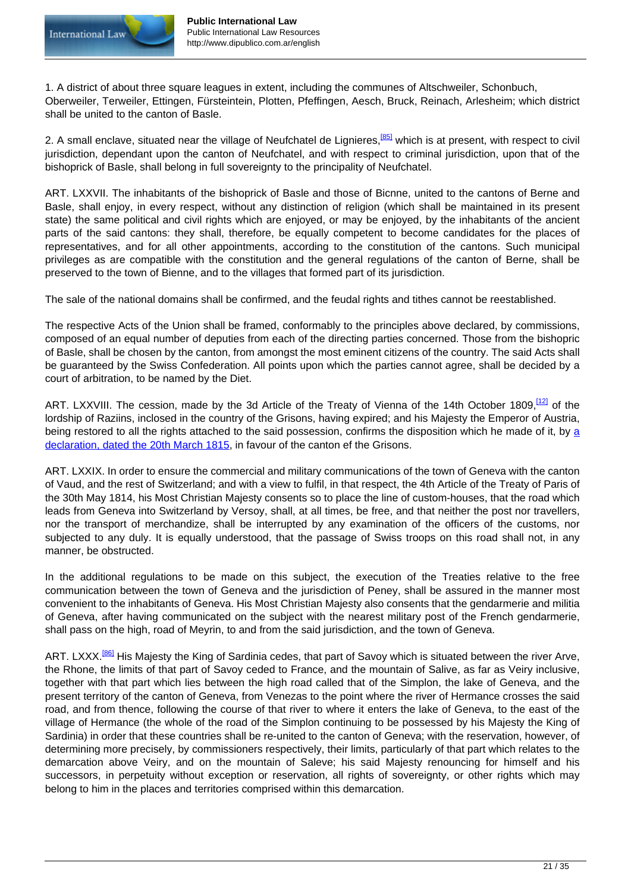

1. A district of about three square leagues in extent, including the communes of Altschweiler, Schonbuch, Oberweiler, Terweiler, Ettingen, Fürsteintein, Plotten, Pfeffingen, Aesch, Bruck, Reinach, Arlesheim; which district shall be united to the canton of Basle.

2. A small enclave, situated near the village of Neufchatel de Lignieres, <sup>[\[85](http://en.wikisource.org/wiki/Final_Act_of_the_Congress_of_Vienna/General_Treaty#cite_note-84)]</sup> which is at present, with respect to civil jurisdiction, dependant upon the canton of Neufchatel, and with respect to criminal jurisdiction, upon that of the bishoprick of Basle, shall belong in full sovereignty to the principality of Neufchatel.

ART. LXXVII. The inhabitants of the bishoprick of Basle and those of Bicnne, united to the cantons of Berne and Basle, shall enjoy, in every respect, without any distinction of religion (which shall be maintained in its present state) the same political and civil rights which are enjoyed, or may be enjoyed, by the inhabitants of the ancient parts of the said cantons: they shall, therefore, be equally competent to become candidates for the places of representatives, and for all other appointments, according to the constitution of the cantons. Such municipal privileges as are compatible with the constitution and the general regulations of the canton of Berne, shall be preserved to the town of Bienne, and to the villages that formed part of its jurisdiction.

The sale of the national domains shall be confirmed, and the feudal rights and tithes cannot be reestablished.

The respective Acts of the Union shall be framed, conformably to the principles above declared, by commissions, composed of an equal number of deputies from each of the directing parties concerned. Those from the bishopric of Basle, shall be chosen by the canton, from amongst the most eminent citizens of the country. The said Acts shall be guaranteed by the Swiss Confederation. All points upon which the parties cannot agree, shall be decided by a court of arbitration, to be named by the Diet.

ART. LXXVIII. The cession, made by the 3d Article of the Treaty of Vienna of the 14th October 1[809](http://en.wikisource.org/wiki/Final_Act_of_the_Congress_of_Vienna/General_Treaty#cite_note-Hertslet-23-11), <sup>[12]</sup> of the lordship of Raziins, inclosed in the country of the Grisons, having expired; and his Majesty the Emperor of Austria, being restored to [a](http://en.wikisource.org/w/index.php?title=Declaration_of_the_Powers_on_the_affairs_of_the_Helvetic_Confederacy&action=edit&redlink=1)ll the rights attached to the said possession, confirms the disposition which he made of it, by a [declaration, dated the 20th March 1815,](http://en.wikisource.org/w/index.php?title=Declaration_of_the_Powers_on_the_affairs_of_the_Helvetic_Confederacy&action=edit&redlink=1) in favour of the canton ef the Grisons.

ART. LXXIX. In order to ensure the commercial and military communications of the town of Geneva with the canton of Vaud, and the rest of Switzerland; and with a view to fulfil, in that respect, the 4th Article of the Treaty of Paris of the 30th May 1814, his Most Christian Majesty consents so to place the line of custom-houses, that the road which leads from Geneva into Switzerland by Versoy, shall, at all times, be free, and that neither the post nor travellers, nor the transport of merchandize, shall be interrupted by any examination of the officers of the customs, nor subjected to any duly. It is equally understood, that the passage of Swiss troops on this road shall not, in any manner, be obstructed.

In the additional regulations to be made on this subject, the execution of the Treaties relative to the free communication between the town of Geneva and the jurisdiction of Peney, shall be assured in the manner most convenient to the inhabitants of Geneva. His Most Christian Majesty also consents that the gendarmerie and militia of Geneva, after having communicated on the subject with the nearest military post of the French gendarmerie, shall pass on the high, road of Meyrin, to and from the said jurisdiction, and the town of Geneva.

ART. LXXX.<sup>[\[86\]](http://en.wikisource.org/wiki/Final_Act_of_the_Congress_of_Vienna/General_Treaty#cite_note-85)</sup> His Maiesty the King of Sardinia cedes, that part of Savoy which is situated between the river Arve, the Rhone, the limits of that part of Savoy ceded to France, and the mountain of Salive, as far as Veiry inclusive, together with that part which lies between the high road called that of the Simplon, the lake of Geneva, and the present territory of the canton of Geneva, from Venezas to the point where the river of Hermance crosses the said road, and from thence, following the course of that river to where it enters the lake of Geneva, to the east of the village of Hermance (the whole of the road of the Simplon continuing to be possessed by his Majesty the King of Sardinia) in order that these countries shall be re-united to the canton of Geneva; with the reservation, however, of determining more precisely, by commissioners respectively, their limits, particularly of that part which relates to the demarcation above Veiry, and on the mountain of Saleve; his said Majesty renouncing for himself and his successors, in perpetuity without exception or reservation, all rights of sovereignty, or other rights which may belong to him in the places and territories comprised within this demarcation.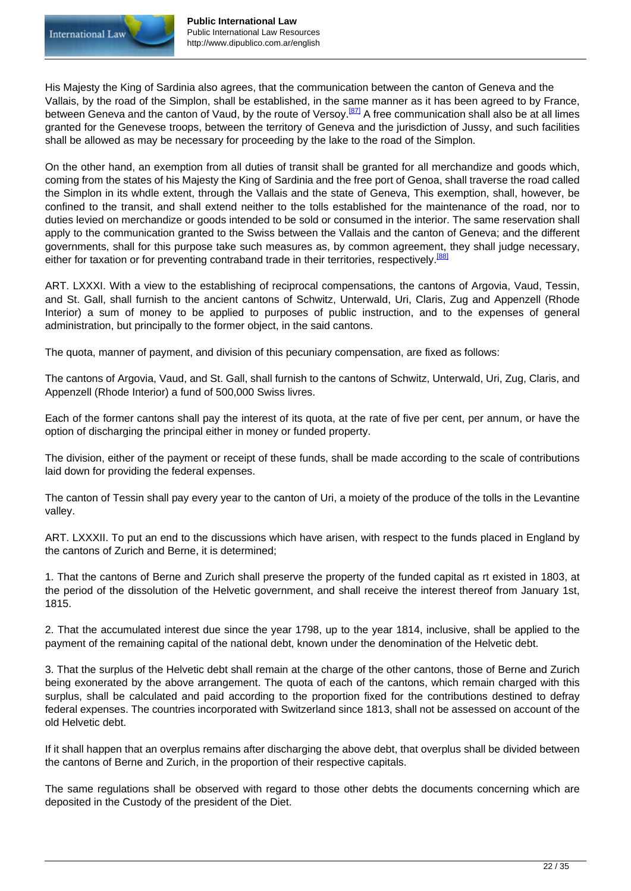

His Majesty the King of Sardinia also agrees, that the communication between the canton of Geneva and the Vallais, by the road of the Simplon, shall be established, in the same manner as it has been agreed to by France, between Geneva and the canton of Vaud, by the route of Versoy.<sup>[\[87\]](http://en.wikisource.org/wiki/Final_Act_of_the_Congress_of_Vienna/General_Treaty#cite_note-86)</sup> A free communication shall also be at all limes granted for the Genevese troops, between the territory of Geneva and the jurisdiction of Jussy, and such facilities shall be allowed as may be necessary for proceeding by the lake to the road of the Simplon.

On the other hand, an exemption from all duties of transit shall be granted for all merchandize and goods which, coming from the states of his Majesty the King of Sardinia and the free port of Genoa, shall traverse the road called the Simplon in its whdle extent, through the Vallais and the state of Geneva, This exemption, shall, however, be confined to the transit, and shall extend neither to the tolls established for the maintenance of the road, nor to duties levied on merchandize or goods intended to be sold or consumed in the interior. The same reservation shall apply to the communication granted to the Swiss between the Vallais and the canton of Geneva; and the different governments, shall for this purpose take such measures as, by common agreement, they shall judge necessary, either for taxation or for preventing contraband trade in their territories, respectively.<sup>[\[88\]](http://en.wikisource.org/wiki/Final_Act_of_the_Congress_of_Vienna/General_Treaty#cite_note-87)</sup>

ART. LXXXI. With a view to the establishing of reciprocal compensations, the cantons of Argovia, Vaud, Tessin, and St. Gall, shall furnish to the ancient cantons of Schwitz, Unterwald, Uri, Claris, Zug and Appenzell (Rhode Interior) a sum of money to be applied to purposes of public instruction, and to the expenses of general administration, but principally to the former object, in the said cantons.

The quota, manner of payment, and division of this pecuniary compensation, are fixed as follows:

The cantons of Argovia, Vaud, and St. Gall, shall furnish to the cantons of Schwitz, Unterwald, Uri, Zug, Claris, and Appenzell (Rhode Interior) a fund of 500,000 Swiss livres.

Each of the former cantons shall pay the interest of its quota, at the rate of five per cent, per annum, or have the option of discharging the principal either in money or funded property.

The division, either of the payment or receipt of these funds, shall be made according to the scale of contributions laid down for providing the federal expenses.

The canton of Tessin shall pay every year to the canton of Uri, a moiety of the produce of the tolls in the Levantine valley.

ART. LXXXII. To put an end to the discussions which have arisen, with respect to the funds placed in England by the cantons of Zurich and Berne, it is determined;

1. That the cantons of Berne and Zurich shall preserve the property of the funded capital as rt existed in 1803, at the period of the dissolution of the Helvetic government, and shall receive the interest thereof from January 1st, 1815.

2. That the accumulated interest due since the year 1798, up to the year 1814, inclusive, shall be applied to the payment of the remaining capital of the national debt, known under the denomination of the Helvetic debt.

3. That the surplus of the Helvetic debt shall remain at the charge of the other cantons, those of Berne and Zurich being exonerated by the above arrangement. The quota of each of the cantons, which remain charged with this surplus, shall be calculated and paid according to the proportion fixed for the contributions destined to defray federal expenses. The countries incorporated with Switzerland since 1813, shall not be assessed on account of the old Helvetic debt.

If it shall happen that an overplus remains after discharging the above debt, that overplus shall be divided between the cantons of Berne and Zurich, in the proportion of their respective capitals.

The same regulations shall be observed with regard to those other debts the documents concerning which are deposited in the Custody of the president of the Diet.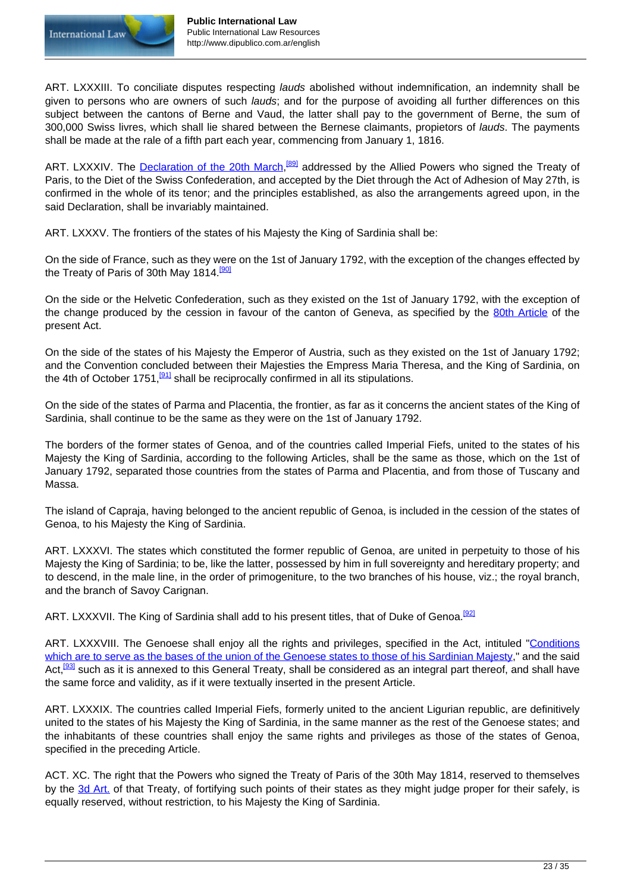

ART. LXXXIII. To conciliate disputes respecting *lauds* abolished without indemnification, an indemnity shall be given to persons who are owners of such *lauds*; and for the purpose of avoiding all further differences on this subject between the cantons of Berne and Vaud, the latter shall pay to the government of Berne, the sum of 300,000 Swiss livres, which shall lie shared between the Bernese claimants, propietors of *lauds*. The payments shall be made at the rale of a fifth part each year, commencing from January 1, 1816.

ART. LXXXIV. The [Declaration of the 20th March](http://en.wikisource.org/w/index.php?title=Declaration_of_the_Powers_on_the_affairs_of_the_Helvetic_Confederacy&action=edit&redlink=1)[,](http://en.wikisource.org/wiki/Final_Act_of_the_Congress_of_Vienna/General_Treaty#cite_note-88)<sup>[89]</sup> addressed by the Allied Powers who signed the Treaty of Paris, to the Diet of the Swiss Confederation, and accepted by the Diet through the Act of Adhesion of May 27th, is confirmed in the whole of its tenor; and the principles established, as also the arrangements agreed upon, in the said Declaration, shall be invariably maintained.

ART. LXXXV. The frontiers of the states of his Majesty the King of Sardinia shall be:

On the side of France, such as they were on the 1st of January 1792, with the exception of the changes effected by the Treaty of Paris of 30th May 1814.<sup>[\[90\]](http://en.wikisource.org/wiki/Final_Act_of_the_Congress_of_Vienna/General_Treaty#cite_note-89)</sup>

On the side or the Helvetic Confederation, such as they existed on the 1st of January 1792, with the exception of the change produced by the cession in favour of the canton of Geneva, as specified by the [80th Article](http://en.wikisource.org/wiki/Final_Act_of_the_Congress_of_Vienna/General_Treaty#ART.LXXX) of the present Act.

On the side of the states of his Majesty the Emperor of Austria, such as they existed on the 1st of January 1792; and the Convention concluded between their Majesties the Empress Maria Theresa, and the King of Sardinia, on the 4th of October 1751,  $\frac{91}{2}$  shall be reciprocally confirmed in all its stipulations.

On the side of the states of Parma and Placentia, the frontier, as far as it concerns the ancient states of the King of Sardinia, shall continue to be the same as they were on the 1st of January 1792.

The borders of the former states of Genoa, and of the countries called Imperial Fiefs, united to the states of his Majesty the King of Sardinia, according to the following Articles, shall be the same as those, which on the 1st of January 1792, separated those countries from the states of Parma and Placentia, and from those of Tuscany and Massa.

The island of Capraja, having belonged to the ancient republic of Genoa, is included in the cession of the states of Genoa, to his Majesty the King of Sardinia.

ART. LXXXVI. The states which constituted the former republic of Genoa, are united in perpetuity to those of his Majesty the King of Sardinia; to be, like the latter, possessed by him in full sovereignty and hereditary property; and to descend, in the male line, in the order of primogeniture, to the two branches of his house, viz.; the royal branch, and the branch of Savoy Carignan.

ART. LXXXVII. The King of Sardinia shall add to his present titles, that of Duke of Genoa.<sup>[\[92\]](http://en.wikisource.org/wiki/Final_Act_of_the_Congress_of_Vienna/General_Treaty#cite_note-91)</sup>

ART. LXXXVIII. The Genoese shall enjoy all the rights and privileges, specified in the Act, intituled "[Conditions](http://en.wikisource.org/w/index.php?title=Conditions_which_are_to_serve_as_the_bases_of_the_union_of_the_Genoese_states_to_those_of_his_Sardinian_Majesty&action=edit&redlink=1) [which are to serve as the bases of the union of the Genoese states to those of his Sardinian Majesty](http://en.wikisource.org/w/index.php?title=Conditions_which_are_to_serve_as_the_bases_of_the_union_of_the_Genoese_states_to_those_of_his_Sardinian_Majesty&action=edit&redlink=1)," and the said Act,<sup>[\[93\]](http://en.wikisource.org/wiki/Final_Act_of_the_Congress_of_Vienna/General_Treaty#cite_note-92)</sup> such as it is annexed to this General Treaty, shall be considered as an integral part thereof, and shall have the same force and validity, as if it were textually inserted in the present Article.

ART. LXXXIX. The countries called Imperial Fiefs, formerly united to the ancient Ligurian republic, are definitively united to the states of his Majesty the King of Sardinia, in the same manner as the rest of the Genoese states; and the inhabitants of these countries shall enjoy the same rights and privileges as those of the states of Genoa, specified in the preceding Article.

ACT. XC. The right that the Powers who signed the Treaty of Paris of the 30th May 1814, reserved to themselves by the [3d Art.](http://en.wikisource.org/wiki/Treaty_of_Paris_%281814%29#ART.III) of that Treaty, of fortifying such points of their states as they might judge proper for their safely, is equally reserved, without restriction, to his Majesty the King of Sardinia.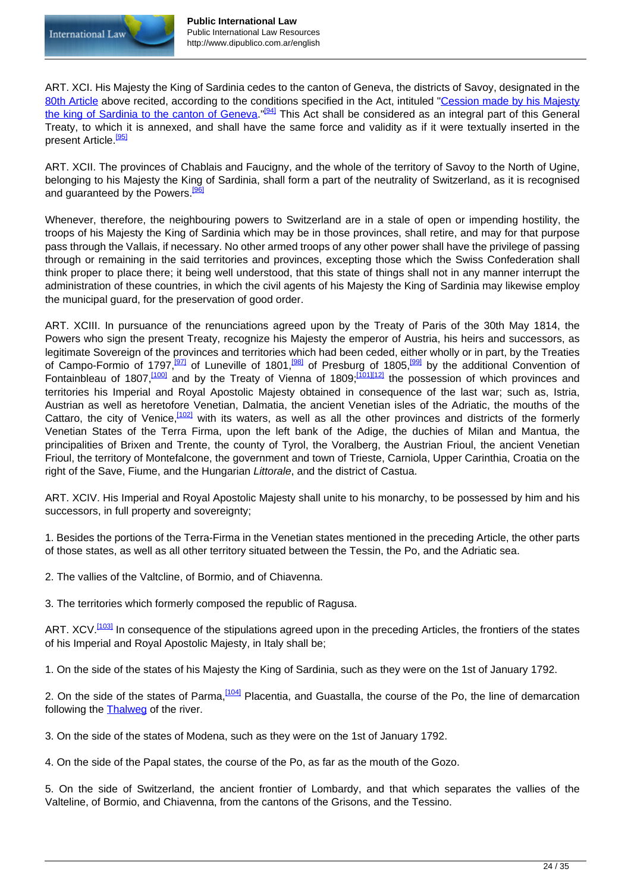ART. XCI. His Majesty the King of Sardinia cedes to the canton of Geneva, the districts of Savoy, designated in the [80th Article](http://en.wikisource.org/wiki/Final_Act_of_the_Congress_of_Vienna/General_Treaty#ART.LXXX) above recited, according to the conditions specified in the Act, intituled ["Cession made by his Majesty](http://en.wikisource.org/w/index.php?title=Cession_made_by_his_Majesty_the_king_of_Sardinia_to_the_canton_of_Geneva&action=edit&redlink=1) [the king of Sardinia to the canton of Geneva."](http://en.wikisource.org/w/index.php?title=Cession_made_by_his_Majesty_the_king_of_Sardinia_to_the_canton_of_Geneva&action=edit&redlink=1)<sup>[\[94](http://en.wikisource.org/wiki/Final_Act_of_the_Congress_of_Vienna/General_Treaty#cite_note-93)]</sup> This Act shall be considered as an integral part of this General Treaty, to which it is annexed, and shall have the same force and validity as if it were textually inserted in the present Article.<sup>[\[95\]](http://en.wikisource.org/wiki/Final_Act_of_the_Congress_of_Vienna/General_Treaty#cite_note-94)</sup>

ART. XCII. The provinces of Chablais and Faucigny, and the whole of the territory of Savoy to the North of Ugine, belonging to his Majesty the King of Sardinia, shall form a part of the neutrality of Switzerland, as it is recognised and guaranteed by the Powers.<sup>[\[96\]](http://en.wikisource.org/wiki/Final_Act_of_the_Congress_of_Vienna/General_Treaty#cite_note-95)</sup>

Whenever, therefore, the neighbouring powers to Switzerland are in a stale of open or impending hostility, the troops of his Majesty the King of Sardinia which may be in those provinces, shall retire, and may for that purpose pass through the Vallais, if necessary. No other armed troops of any other power shall have the privilege of passing through or remaining in the said territories and provinces, excepting those which the Swiss Confederation shall think proper to place there; it being well understood, that this state of things shall not in any manner interrupt the administration of these countries, in which the civil agents of his Majesty the King of Sardinia may likewise employ the municipal guard, for the preservation of good order.

ART. XCIII. In pursuance of the renunciations agreed upon by the Treaty of Paris of the 30th May 1814, the Powers who sign the present Treaty, recognize his Majesty the emperor of Austria, his heirs and successors, as legitimate Sovereign of the provinces and territories which had been ceded, either wholly or in part, by the Treaties of Campo-Formio of 1797,<sup>[\[9](http://en.wikisource.org/wiki/Final_Act_of_the_Congress_of_Vienna/General_Treaty#cite_note-96)7]</sup> of Luneville of 18[01,](http://en.wikisource.org/wiki/Final_Act_of_the_Congress_of_Vienna/General_Treaty#cite_note-97)<sup>[98]</sup> of Presburg of [180](http://en.wikisource.org/wiki/Final_Act_of_the_Congress_of_Vienna/General_Treaty#cite_note-98)5,<sup>[99]</sup> by the additional Convention of Fontainbleau of 1807,<sup>[\[100](http://en.wikisource.org/wiki/Final_Act_of_the_Congress_of_Vienna/General_Treaty#cite_note-99)]</sup> and by the Treaty of Vienna of 1[809](http://en.wikisource.org/wiki/Final_Act_of_the_Congress_of_Vienna/General_Treaty#cite_note-100);<sup>[\[10](http://en.wikisource.org/wiki/Final_Act_of_the_Congress_of_Vienna/General_Treaty#cite_note-Hertslet-23-11)1][12]</sup> the possession of which provinces and territories his Imperial and Royal Apostolic Majesty obtained in consequence of the last war; such as, Istria, Austrian as well as heretofore Venetian, Dalmatia, the ancient Venetian isles of the Adriatic, the mouths of the Cattaro, the city of Venice,<sup>[\[10](http://en.wikisource.org/wiki/Final_Act_of_the_Congress_of_Vienna/General_Treaty#cite_note-101)2]</sup> with its waters, as well as all the other provinces and districts of the formerly Venetian States of the Terra Firma, upon the left bank of the Adige, the duchies of Milan and Mantua, the principalities of Brixen and Trente, the county of Tyrol, the Voralberg, the Austrian Frioul, the ancient Venetian Frioul, the territory of Montefalcone, the government and town of Trieste, Carniola, Upper Carinthia, Croatia on the right of the Save, Fiume, and the Hungarian Littorale, and the district of Castua.

ART. XCIV. His Imperial and Royal Apostolic Majesty shall unite to his monarchy, to be possessed by him and his successors, in full property and sovereignty;

1. Besides the portions of the Terra-Firma in the Venetian states mentioned in the preceding Article, the other parts of those states, as well as all other territory situated between the Tessin, the Po, and the Adriatic sea.

2. The vallies of the Valtcline, of Bormio, and of Chiavenna.

3. The territories which formerly composed the republic of Ragusa.

ART. XCV.<sup>[\[103\]](http://en.wikisource.org/wiki/Final_Act_of_the_Congress_of_Vienna/General_Treaty#cite_note-102)</sup> In consequence of the stipulations agreed upon in the preceding Articles, the frontiers of the states of his Imperial and Royal Apostolic Majesty, in Italy shall be;

1. On the side of the states of his Majesty the King of Sardinia, such as they were on the 1st of January 1792.

2. On the side of the states of Parma, <sup>[\[104](http://en.wikisource.org/wiki/Final_Act_of_the_Congress_of_Vienna/General_Treaty#cite_note-103)]</sup> Placentia, and Guastalla, the course of the Po, the line of demarcation following the [Thalweg](http://en.wikipedia.org/wiki/Thalweg) of the river.

3. On the side of the states of Modena, such as they were on the 1st of January 1792.

4. On the side of the Papal states, the course of the Po, as far as the mouth of the Gozo.

5. On the side of Switzerland, the ancient frontier of Lombardy, and that which separates the vallies of the Valteline, of Bormio, and Chiavenna, from the cantons of the Grisons, and the Tessino.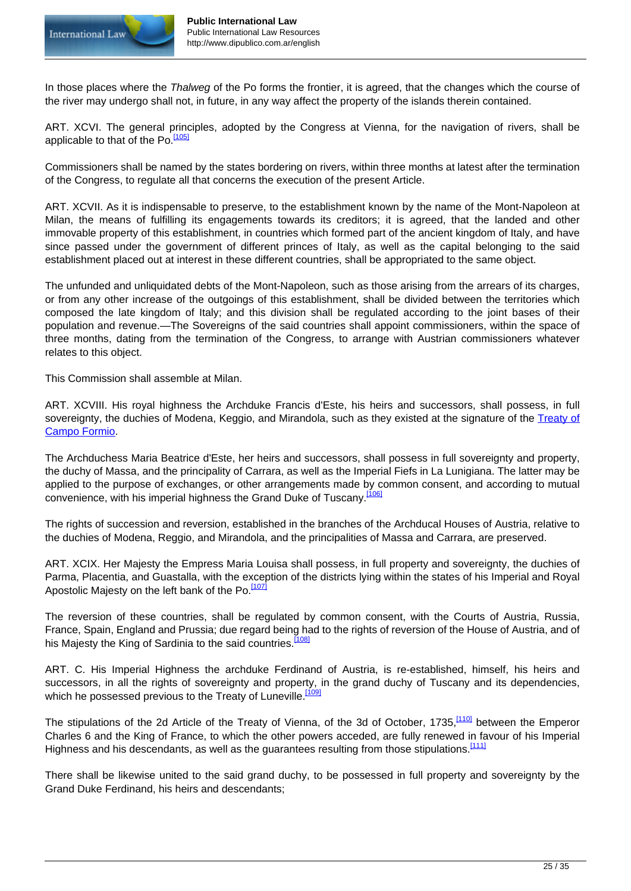

In those places where the Thalweg of the Po forms the frontier, it is agreed, that the changes which the course of the river may undergo shall not, in future, in any way affect the property of the islands therein contained.

ART. XCVI. The general principles, adopted by the Congress at Vienna, for the navigation of rivers, shall be applicable to that of the Po.<sup>[\[105\]](http://en.wikisource.org/wiki/Final_Act_of_the_Congress_of_Vienna/General_Treaty#cite_note-104)</sup>

Commissioners shall be named by the states bordering on rivers, within three months at latest after the termination of the Congress, to regulate all that concerns the execution of the present Article.

ART. XCVII. As it is indispensable to preserve, to the establishment known by the name of the Mont-Napoleon at Milan, the means of fulfilling its engagements towards its creditors; it is agreed, that the landed and other immovable property of this establishment, in countries which formed part of the ancient kingdom of Italy, and have since passed under the government of different princes of Italy, as well as the capital belonging to the said establishment placed out at interest in these different countries, shall be appropriated to the same object.

The unfunded and unliquidated debts of the Mont-Napoleon, such as those arising from the arrears of its charges, or from any other increase of the outgoings of this establishment, shall be divided between the territories which composed the late kingdom of Italy; and this division shall be regulated according to the joint bases of their population and revenue.—The Sovereigns of the said countries shall appoint commissioners, within the space of three months, dating from the termination of the Congress, to arrange with Austrian commissioners whatever relates to this object.

This Commission shall assemble at Milan.

ART. XCVIII. His royal highness the Archduke Francis d'Este, his heirs and successors, shall possess, in full sovereignty, the duchies of Modena, Keggio, and Mirandola, such as they existed at the signature of the [Treaty of](http://en.wikisource.org/w/index.php?title=Treaty_of_Campo_Formio&action=edit&redlink=1) [Campo Formio.](http://en.wikisource.org/w/index.php?title=Treaty_of_Campo_Formio&action=edit&redlink=1)

The Archduchess Maria Beatrice d'Este, her heirs and successors, shall possess in full sovereignty and property, the duchy of Massa, and the principality of Carrara, as well as the Imperial Fiefs in La Lunigiana. The latter may be applied to the purpose of exchanges, or other arrangements made by common consent, and according to mutual convenience, with his imperial highness the Grand Duke of Tuscany.<sup>[\[106\]](http://en.wikisource.org/wiki/Final_Act_of_the_Congress_of_Vienna/General_Treaty#cite_note-105)</sup>

The rights of succession and reversion, established in the branches of the Archducal Houses of Austria, relative to the duchies of Modena, Reggio, and Mirandola, and the principalities of Massa and Carrara, are preserved.

ART. XCIX. Her Majesty the Empress Maria Louisa shall possess, in full property and sovereignty, the duchies of Parma, Placentia, and Guastalla, with the exception of the districts lying within the states of his Imperial and Royal Apostolic Majesty on the left bank of the Po.<sup>[\[107\]](http://en.wikisource.org/wiki/Final_Act_of_the_Congress_of_Vienna/General_Treaty#cite_note-106)</sup>

The reversion of these countries, shall be regulated by common consent, with the Courts of Austria, Russia, France, Spain, England and Prussia; due regard being had to the rights of reversion of the House of Austria, and of his Majesty the King of Sardinia to the said countries.<sup>[\[108\]](http://en.wikisource.org/wiki/Final_Act_of_the_Congress_of_Vienna/General_Treaty#cite_note-107)</sup>

ART. C. His Imperial Highness the archduke Ferdinand of Austria, is re-established, himself, his heirs and successors, in all the rights of sovereignty and property, in the grand duchy of Tuscany and its dependencies, which he possessed previous to the Treaty of Luneville.<sup>[\[109\]](http://en.wikisource.org/wiki/Final_Act_of_the_Congress_of_Vienna/General_Treaty#cite_note-108)</sup>

The stipulations of the 2d Article of the Treaty of Vienna, of the 3d of October, 1[735,](http://en.wikisource.org/wiki/Final_Act_of_the_Congress_of_Vienna/General_Treaty#cite_note-109)<sup>[110]</sup> between the Emperor Charles 6 and the King of France, to which the other powers acceded, are fully renewed in favour of his Imperial Highness and his descendants, as well as the guarantees resulting from those stipulations.<sup>[\[111\]](http://en.wikisource.org/wiki/Final_Act_of_the_Congress_of_Vienna/General_Treaty#cite_note-110)</sup>

There shall be likewise united to the said grand duchy, to be possessed in full property and sovereignty by the Grand Duke Ferdinand, his heirs and descendants;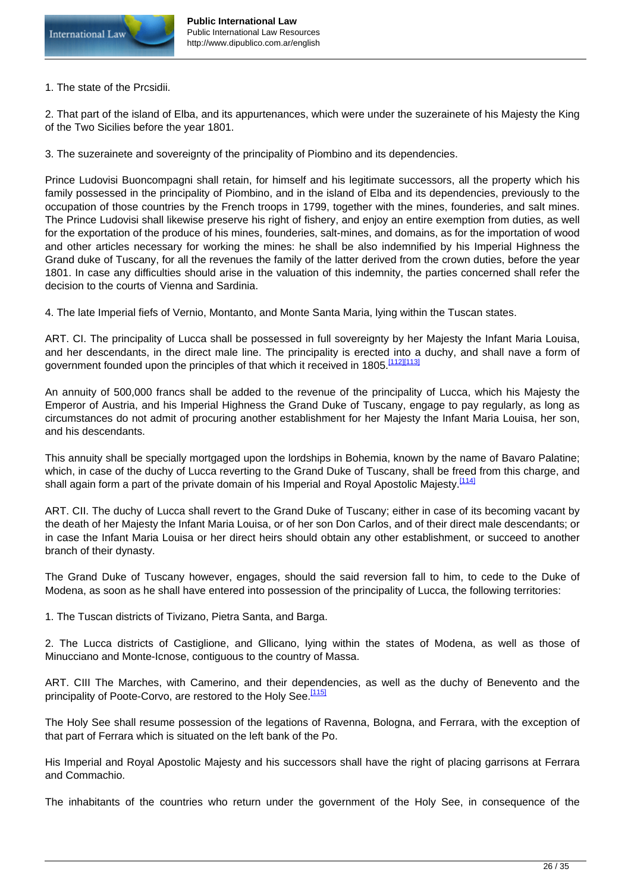

1. The state of the Prcsidii.

2. That part of the island of Elba, and its appurtenances, which were under the suzerainete of his Majesty the King of the Two Sicilies before the year 1801.

3. The suzerainete and sovereignty of the principality of Piombino and its dependencies.

Prince Ludovisi Buoncompagni shall retain, for himself and his legitimate successors, all the property which his family possessed in the principality of Piombino, and in the island of Elba and its dependencies, previously to the occupation of those countries by the French troops in 1799, together with the mines, founderies, and salt mines. The Prince Ludovisi shall likewise preserve his right of fishery, and enjoy an entire exemption from duties, as well for the exportation of the produce of his mines, founderies, salt-mines, and domains, as for the importation of wood and other articles necessary for working the mines: he shall be also indemnified by his Imperial Highness the Grand duke of Tuscany, for all the revenues the family of the latter derived from the crown duties, before the year 1801. In case any difficulties should arise in the valuation of this indemnity, the parties concerned shall refer the decision to the courts of Vienna and Sardinia.

4. The late Imperial fiefs of Vernio, Montanto, and Monte Santa Maria, lying within the Tuscan states.

ART. CI. The principality of Lucca shall be possessed in full sovereignty by her Majesty the Infant Maria Louisa, and her descendants, in the direct male line. The principality is erected into a duchy, and shall nave a form of government founded upon the principles of that which it received in 1805.<sup>[\[112\]](http://en.wikisource.org/wiki/Final_Act_of_the_Congress_of_Vienna/General_Treaty#cite_note-111)[\[113\]](http://en.wikisource.org/wiki/Final_Act_of_the_Congress_of_Vienna/General_Treaty#cite_note-112)</sup>

An annuity of 500,000 francs shall be added to the revenue of the principality of Lucca, which his Majesty the Emperor of Austria, and his Imperial Highness the Grand Duke of Tuscany, engage to pay regularly, as long as circumstances do not admit of procuring another establishment for her Majesty the Infant Maria Louisa, her son, and his descendants.

This annuity shall be specially mortgaged upon the lordships in Bohemia, known by the name of Bavaro Palatine; which, in case of the duchy of Lucca reverting to the Grand Duke of Tuscany, shall be freed from this charge, and shall again form a part of the private domain of his Imperial and Royal Apostolic Majesty.<sup>[\[114\]](http://en.wikisource.org/wiki/Final_Act_of_the_Congress_of_Vienna/General_Treaty#cite_note-113)</sup>

ART. CII. The duchy of Lucca shall revert to the Grand Duke of Tuscany; either in case of its becoming vacant by the death of her Majesty the Infant Maria Louisa, or of her son Don Carlos, and of their direct male descendants; or in case the Infant Maria Louisa or her direct heirs should obtain any other establishment, or succeed to another branch of their dynasty.

The Grand Duke of Tuscany however, engages, should the said reversion fall to him, to cede to the Duke of Modena, as soon as he shall have entered into possession of the principality of Lucca, the following territories:

1. The Tuscan districts of Tivizano, Pietra Santa, and Barga.

2. The Lucca districts of Castiglione, and Gllicano, lying within the states of Modena, as well as those of Minucciano and Monte-Icnose, contiguous to the country of Massa.

ART. CIII The Marches, with Camerino, and their dependencies, as well as the duchy of Benevento and the principality of Poote-Corvo, are restored to the Holy See.<sup>[\[115\]](http://en.wikisource.org/wiki/Final_Act_of_the_Congress_of_Vienna/General_Treaty#cite_note-114)</sup>

The Holy See shall resume possession of the legations of Ravenna, Bologna, and Ferrara, with the exception of that part of Ferrara which is situated on the left bank of the Po.

His Imperial and Royal Apostolic Majesty and his successors shall have the right of placing garrisons at Ferrara and Commachio.

The inhabitants of the countries who return under the government of the Holy See, in consequence of the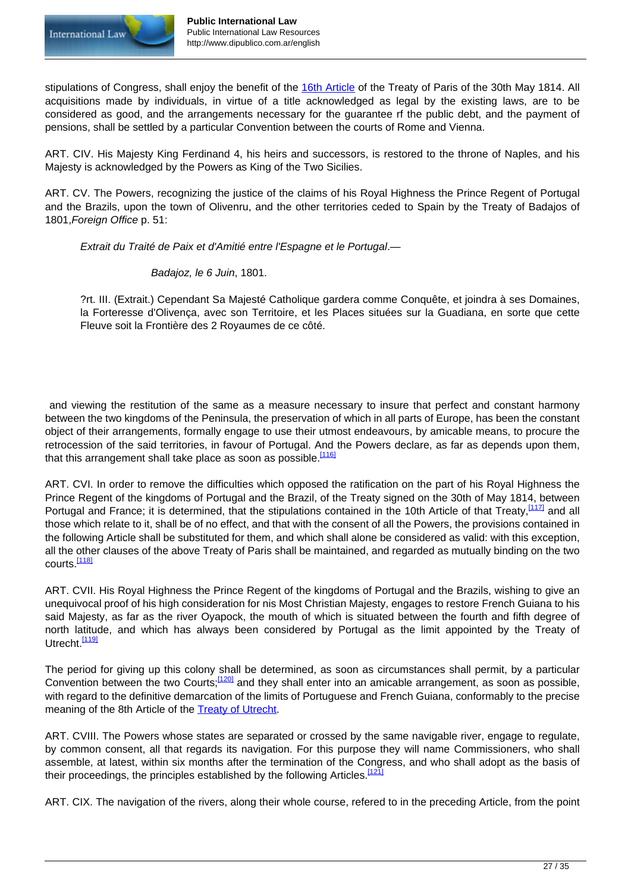stipulations of Congress, shall enjoy the benefit of the [16th Article](http://en.wikisource.org/wiki/Treaty_of_Paris_%281814%29#ART.XVI) of the Treaty of Paris of the 30th May 1814. All acquisitions made by individuals, in virtue of a title acknowledged as legal by the existing laws, are to be considered as good, and the arrangements necessary for the guarantee rf the public debt, and the payment of pensions, shall be settled by a particular Convention between the courts of Rome and Vienna.

ART. CIV. His Majesty King Ferdinand 4, his heirs and successors, is restored to the throne of Naples, and his Majesty is acknowledged by the Powers as King of the Two Sicilies.

ART. CV. The Powers, recognizing the justice of the claims of his Royal Highness the Prince Regent of Portugal and the Brazils, upon the town of Olivenru, and the other territories ceded to Spain by the Treaty of Badajos of 1801,Foreign Office p. 51:

Extrait du Traité de Paix et d'Amitié entre l'Espagne et le Portugal.—

## Badajoz, le 6 Juin, 1801.

?rt. III. (Extrait.) Cependant Sa Majesté Catholique gardera comme Conquête, et joindra à ses Domaines, la Forteresse d'Olivença, avec son Territoire, et les Places situées sur la Guadiana, en sorte que cette Fleuve soit la Frontière des 2 Royaumes de ce côté.

 and viewing the restitution of the same as a measure necessary to insure that perfect and constant harmony between the two kingdoms of the Peninsula, the preservation of which in all parts of Europe, has been the constant object of their arrangements, formally engage to use their utmost endeavours, by amicable means, to procure the retrocession of the said territories, in favour of Portugal. And the Powers declare, as far as depends upon them, that this arrangement shall take place as soon as possible.<sup>[\[116\]](http://en.wikisource.org/wiki/Final_Act_of_the_Congress_of_Vienna/General_Treaty#cite_note-115)</sup>

ART. CVI. In order to remove the difficulties which opposed the ratification on the part of his Royal Highness the Prince Regent of the kingdoms of Portugal and the Brazil, of the Treaty signed on the 30th of May 1814, between Portugal and France; it is determined, that the stipulations contained in the 10th Article of that Trea[ty,](http://en.wikisource.org/wiki/Final_Act_of_the_Congress_of_Vienna/General_Treaty#cite_note-116) [117] and all those which relate to it, shall be of no effect, and that with the consent of all the Powers, the provisions contained in the following Article shall be substituted for them, and which shall alone be considered as valid: with this exception, all the other clauses of the above Treaty of Paris shall be maintained, and regarded as mutually binding on the two courts.[\[118\]](http://en.wikisource.org/wiki/Final_Act_of_the_Congress_of_Vienna/General_Treaty#cite_note-117)

ART. CVII. His Royal Highness the Prince Regent of the kingdoms of Portugal and the Brazils, wishing to give an unequivocal proof of his high consideration for nis Most Christian Majesty, engages to restore French Guiana to his said Majesty, as far as the river Oyapock, the mouth of which is situated between the fourth and fifth degree of north latitude, and which has always been considered by Portugal as the limit appointed by the Treaty of Utrecht.<sup>[\[119\]](http://en.wikisource.org/wiki/Final_Act_of_the_Congress_of_Vienna/General_Treaty#cite_note-118)</sup>

The period for giving up this colony shall be determined, as soon as circumstances shall permit, by a particular Convention between the two Courts;[\[120\]](http://en.wikisource.org/wiki/Final_Act_of_the_Congress_of_Vienna/General_Treaty#cite_note-119) and they shall enter into an amicable arrangement, as soon as possible, with regard to the definitive demarcation of the limits of Portuguese and French Guiana, conformably to the precise meaning of the 8th Article of the [Treaty of Utrecht.](http://en.wikisource.org/wiki/Treaty_of_Utrecht)

ART. CVIII. The Powers whose states are separated or crossed by the same navigable river, engage to regulate, by common consent, all that regards its navigation. For this purpose they will name Commissioners, who shall assemble, at latest, within six months after the termination of the Congress, and who shall adopt as the basis of their proceedings, the principles established by the following Articles.<sup>[\[121\]](http://en.wikisource.org/wiki/Final_Act_of_the_Congress_of_Vienna/General_Treaty#cite_note-120)</sup>

ART. CIX. The navigation of the rivers, along their whole course, refered to in the preceding Article, from the point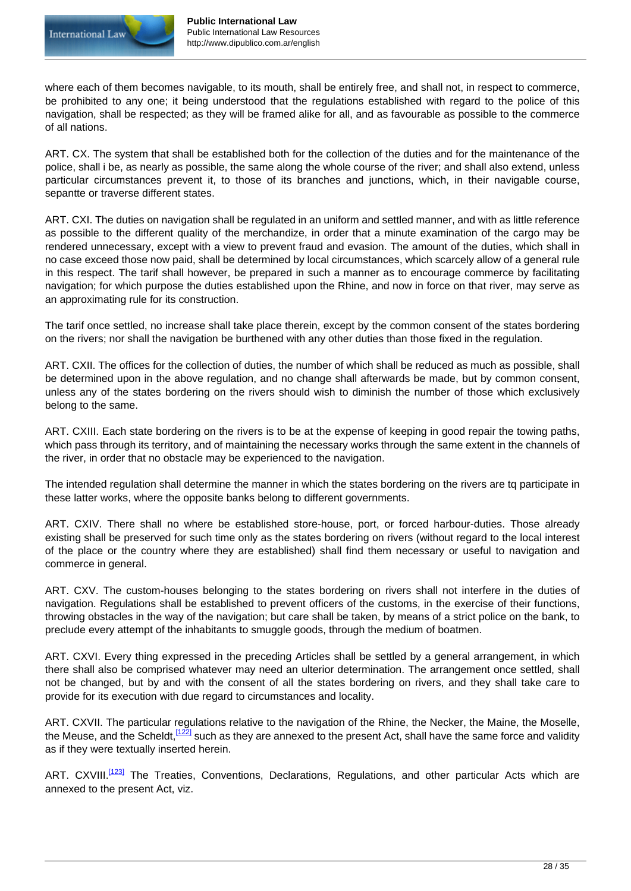

where each of them becomes navigable, to its mouth, shall be entirely free, and shall not, in respect to commerce, be prohibited to any one; it being understood that the regulations established with regard to the police of this navigation, shall be respected; as they will be framed alike for all, and as favourable as possible to the commerce of all nations.

ART. CX. The system that shall be established both for the collection of the duties and for the maintenance of the police, shall i be, as nearly as possible, the same along the whole course of the river; and shall also extend, unless particular circumstances prevent it, to those of its branches and junctions, which, in their navigable course, sepantte or traverse different states.

ART. CXI. The duties on navigation shall be regulated in an uniform and settled manner, and with as little reference as possible to the different quality of the merchandize, in order that a minute examination of the cargo may be rendered unnecessary, except with a view to prevent fraud and evasion. The amount of the duties, which shall in no case exceed those now paid, shall be determined by local circumstances, which scarcely allow of a general rule in this respect. The tarif shall however, be prepared in such a manner as to encourage commerce by facilitating navigation; for which purpose the duties established upon the Rhine, and now in force on that river, may serve as an approximating rule for its construction.

The tarif once settled, no increase shall take place therein, except by the common consent of the states bordering on the rivers; nor shall the navigation be burthened with any other duties than those fixed in the regulation.

ART. CXII. The offices for the collection of duties, the number of which shall be reduced as much as possible, shall be determined upon in the above regulation, and no change shall afterwards be made, but by common consent, unless any of the states bordering on the rivers should wish to diminish the number of those which exclusively belong to the same.

ART. CXIII. Each state bordering on the rivers is to be at the expense of keeping in good repair the towing paths, which pass through its territory, and of maintaining the necessary works through the same extent in the channels of the river, in order that no obstacle may be experienced to the navigation.

The intended regulation shall determine the manner in which the states bordering on the rivers are tg participate in these latter works, where the opposite banks belong to different governments.

ART. CXIV. There shall no where be established store-house, port, or forced harbour-duties. Those already existing shall be preserved for such time only as the states bordering on rivers (without regard to the local interest of the place or the country where they are established) shall find them necessary or useful to navigation and commerce in general.

ART. CXV. The custom-houses belonging to the states bordering on rivers shall not interfere in the duties of navigation. Regulations shall be established to prevent officers of the customs, in the exercise of their functions, throwing obstacles in the way of the navigation; but care shall be taken, by means of a strict police on the bank, to preclude every attempt of the inhabitants to smuggle goods, through the medium of boatmen.

ART. CXVI. Every thing expressed in the preceding Articles shall be settled by a general arrangement, in which there shall also be comprised whatever may need an ulterior determination. The arrangement once settled, shall not be changed, but by and with the consent of all the states bordering on rivers, and they shall take care to provide for its execution with due regard to circumstances and locality.

ART. CXVII. The particular regulations relative to the navigation of the Rhine, the Necker, the Maine, the Moselle, the Meuse, and the Scheldt,  $\frac{122}{2}$  such as they are annexed to the present Act, shall have the same force and validity as if they were textually inserted herein.

ART. CXVIII.<sup>[\[123](http://en.wikisource.org/wiki/Final_Act_of_the_Congress_of_Vienna/General_Treaty#cite_note-122)]</sup> The Treaties, Conventions, Declarations, Regulations, and other particular Acts which are annexed to the present Act, viz.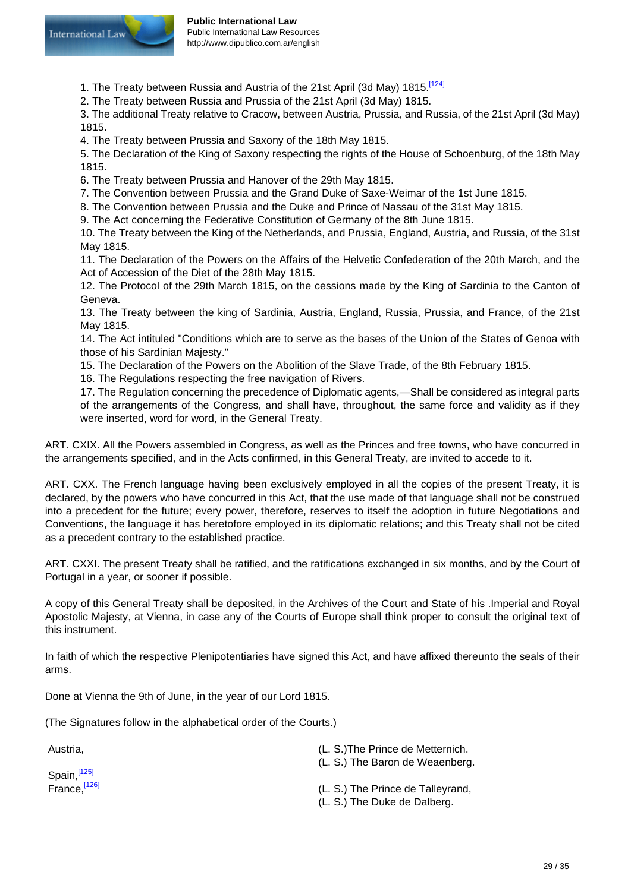

1. The Treaty between Russia and Austria of the 21st April (3d May) 1815.<sup>[\[124\]](http://en.wikisource.org/wiki/Final_Act_of_the_Congress_of_Vienna/General_Treaty#cite_note-123)</sup>

2. The Treaty between Russia and Prussia of the 21st April (3d May) 1815.

3. The additional Treaty relative to Cracow, between Austria, Prussia, and Russia, of the 21st April (3d May) 1815.

4. The Treaty between Prussia and Saxony of the 18th May 1815.

5. The Declaration of the King of Saxony respecting the rights of the House of Schoenburg, of the 18th May 1815.

6. The Treaty between Prussia and Hanover of the 29th May 1815.

7. The Convention between Prussia and the Grand Duke of Saxe-Weimar of the 1st June 1815.

8. The Convention between Prussia and the Duke and Prince of Nassau of the 31st May 1815.

9. The Act concerning the Federative Constitution of Germany of the 8th June 1815.

10. The Treaty between the King of the Netherlands, and Prussia, England, Austria, and Russia, of the 31st May 1815.

11. The Declaration of the Powers on the Affairs of the Helvetic Confederation of the 20th March, and the Act of Accession of the Diet of the 28th May 1815.

12. The Protocol of the 29th March 1815, on the cessions made by the King of Sardinia to the Canton of Geneva.

13. The Treaty between the king of Sardinia, Austria, England, Russia, Prussia, and France, of the 21st May 1815.

14. The Act intituled "Conditions which are to serve as the bases of the Union of the States of Genoa with those of his Sardinian Majesty."

15. The Declaration of the Powers on the Abolition of the Slave Trade, of the 8th February 1815.

16. The Regulations respecting the free navigation of Rivers.

17. The Regulation concerning the precedence of Diplomatic agents,—Shall be considered as integral parts of the arrangements of the Congress, and shall have, throughout, the same force and validity as if they were inserted, word for word, in the General Treaty.

ART. CXIX. All the Powers assembled in Congress, as well as the Princes and free towns, who have concurred in the arrangements specified, and in the Acts confirmed, in this General Treaty, are invited to accede to it.

ART. CXX. The French language having been exclusively employed in all the copies of the present Treaty, it is declared, by the powers who have concurred in this Act, that the use made of that language shall not be construed into a precedent for the future; every power, therefore, reserves to itself the adoption in future Negotiations and Conventions, the language it has heretofore employed in its diplomatic relations; and this Treaty shall not be cited as a precedent contrary to the established practice.

ART. CXXI. The present Treaty shall be ratified, and the ratifications exchanged in six months, and by the Court of Portugal in a year, or sooner if possible.

A copy of this General Treaty shall be deposited, in the Archives of the Court and State of his .Imperial and Royal Apostolic Majesty, at Vienna, in case any of the Courts of Europe shall think proper to consult the original text of this instrument.

In faith of which the respective Plenipotentiaries have signed this Act, and have affixed thereunto the seals of their arms.

Done at Vienna the 9th of June, in the year of our Lord 1815.

(The Signatures follow in the alphabetical order of the Courts.)

Spain, <sup>[\[125\]](http://en.wikisource.org/wiki/Final_Act_of_the_Congress_of_Vienna/General_Treaty#cite_note-124)</sup><br>France. <sup>[126]</sup>

Austria, (L. S.)The Prince de Metternich. (L. S.) The Baron de Weaenberg.

(L. S.) The Prince de Talleyrand,

(L. S.) The Duke de Dalberg.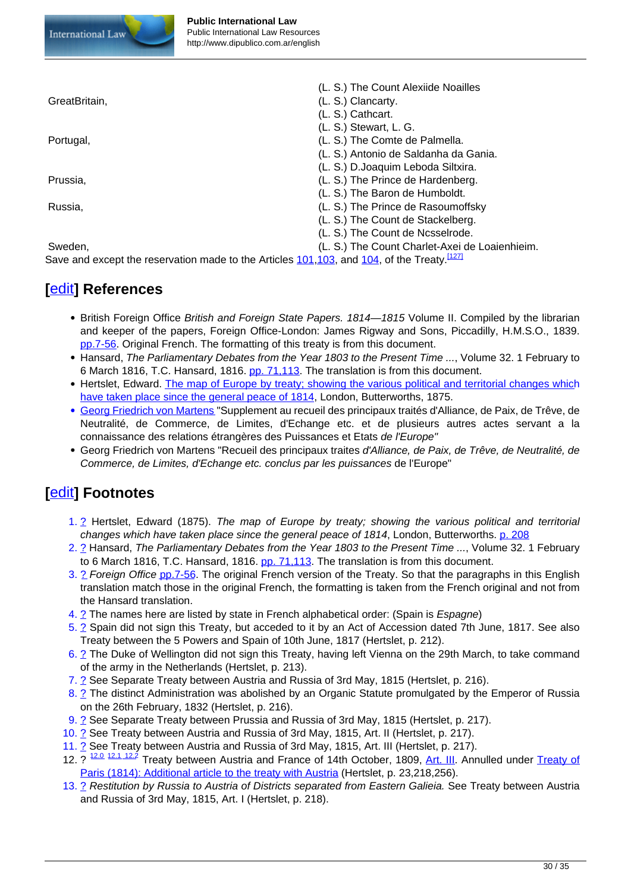**Public International Law**

**International Law** 

Public International Law Resources http://www.dipublico.com.ar/english

|               | (L. S.) The Count Alexiide Noailles            |
|---------------|------------------------------------------------|
| GreatBritain. | (L. S.) Clancarty.                             |
|               | (L. S.) Cathcart.                              |
|               | $(L. S.)$ Stewart, L. G.                       |
| Portugal,     | (L. S.) The Comte de Palmella.                 |
|               | (L. S.) Antonio de Saldanha da Gania.          |
|               | (L. S.) D. Joaquim Leboda Siltxira.            |
| Prussia,      | (L. S.) The Prince de Hardenberg.              |
|               | (L. S.) The Baron de Humboldt.                 |
| Russia,       | (L. S.) The Prince de Rasoumoffsky             |
|               | (L. S.) The Count de Stackelberg.              |
|               | (L. S.) The Count de Ncsselrode.               |
| Sweden,       | (L. S.) The Count Charlet-Axei de Loaienhieim. |

Save and except the reservation made to the Articles [101,](http://en.wikisource.org/wiki/Final_Act_of_the_Congress_of_Vienna/General_Treaty#ART.CI) [103,](http://en.wikisource.org/wiki/Final_Act_of_the_Congress_of_Vienna/General_Treaty#ART.CIII) and [104,](http://en.wikisource.org/wiki/Final_Act_of_the_Congress_of_Vienna/General_Treaty#ART.CIV) of the Treaty.<sup>[\[127\]](http://en.wikisource.org/wiki/Final_Act_of_the_Congress_of_Vienna/General_Treaty#cite_note-126)</sup>

## **[**[edit](http://en.wikisource.org/w/index.php?title=Final_Act_of_the_Congress_of_Vienna/General_Treaty&action=edit§ion=1)**] References**

- British Foreign Office British and Foreign State Papers. 1814—1815 Volume II. Compiled by the librarian and keeper of the papers, Foreign Office-London: James Rigway and Sons, Piccadilly, H.M.S.O., 1839. [pp.7-56.](http://books.google.co.uk/books?id=UY8AAAAAYAAJ&pg=PA7) Original French. The formatting of this treaty is from this document.
- Hansard, The Parliamentary Debates from the Year 1803 to the Present Time ..., Volume 32. 1 February to 6 March 1816, T.C. Hansard, 1816. [pp. 71,113.](http://books.google.co.uk/books?id=I8ETAAAAYAAJ&pg=P74#PPA71,M1) The translation is from this document.
- Hertslet, Edward. [The map of Europe by treaty; showing the various political and territorial changes which](http://www.archive.org/details/mapofeuropebytre01hertuoft) [have taken place since the general peace of 1814,](http://www.archive.org/details/mapofeuropebytre01hertuoft) London, Butterworths, 1875.
- [Georg Friedrich von Martens](http://en.wikipedia.org/wiki/Georg_Friedrich_von_Martens) "Supplement au recueil des principaux traités d'Alliance, de Paix, de Trêve, de Neutralité, de Commerce, de Limites, d'Echange etc. et de plusieurs autres actes servant a la connaissance des relations étrangères des Puissances et Etats de l'Europe"
- Georg Friedrich von Martens "Recueil des principaux traites d'Alliance, de Paix, de Trêve, de Neutralité, de Commerce, de Limites, d'Echange etc. conclus par les puissances de l'Europe"

## **[**[edit](http://en.wikisource.org/w/index.php?title=Final_Act_of_the_Congress_of_Vienna/General_Treaty&action=edit§ion=2)**] Footnotes**

- 1. [?](http://en.wikisource.org/wiki/Final_Act_of_the_Congress_of_Vienna/General_Treaty#cite_ref-Hertslet-208_0-0) Hertslet, Edward (1875). The map of Europe by treaty; showing the various political and territorial changes which have taken place since the general peace of 1814, London, Butterworths. [p. 208](http://www.archive.org/details/mapofeuropebytre01hertuoft)
- 2. [?](http://en.wikisource.org/wiki/Final_Act_of_the_Congress_of_Vienna/General_Treaty#cite_ref-Hansard-71-113_1-0) Hansard, The Parliamentary Debates from the Year 1803 to the Present Time ..., Volume 32. 1 February to 6 March 1816, T.C. Hansard, 1816. pp. 71, 113. The translation is from this document.
- 3. [?](http://en.wikisource.org/wiki/Final_Act_of_the_Congress_of_Vienna/General_Treaty#cite_ref-2) Foreign Office [pp.7-56.](http://books.google.co.uk/books?id=UY8AAAAAYAAJ&pg=PA7) The original French version of the Treaty. So that the paragraphs in this English translation match those in the original French, the formatting is taken from the French original and not from the Hansard translation.
- 4. [?](http://en.wikisource.org/wiki/Final_Act_of_the_Congress_of_Vienna/General_Treaty#cite_ref-3) The names here are listed by state in French alphabetical order: (Spain is Espagne)
- 5. [?](http://en.wikisource.org/wiki/Final_Act_of_the_Congress_of_Vienna/General_Treaty#cite_ref-4) Spain did not sign this Treaty, but acceded to it by an Act of Accession dated 7th June, 1817. See also Treaty between the 5 Powers and Spain of 10th June, 1817 (Hertslet, p. 212).
- 6. [?](http://en.wikisource.org/wiki/Final_Act_of_the_Congress_of_Vienna/General_Treaty#cite_ref-5) The Duke of Wellington did not sign this Treaty, having left Vienna on the 29th March, to take command of the army in the Netherlands (Hertslet, p. 213).
- 7. [?](http://en.wikisource.org/wiki/Final_Act_of_the_Congress_of_Vienna/General_Treaty#cite_ref-6) See Separate Treaty between Austria and Russia of 3rd May, 1815 (Hertslet, p. 216).
- 8. [?](http://en.wikisource.org/wiki/Final_Act_of_the_Congress_of_Vienna/General_Treaty#cite_ref-7) The distinct Administration was abolished by an Organic Statute promulgated by the Emperor of Russia on the 26th February, 1832 (Hertslet, p. 216).
- 9. [?](http://en.wikisource.org/wiki/Final_Act_of_the_Congress_of_Vienna/General_Treaty#cite_ref-8) See Separate Treaty between Prussia and Russia of 3rd May, 1815 (Hertslet, p. 217).
- 10. [?](http://en.wikisource.org/wiki/Final_Act_of_the_Congress_of_Vienna/General_Treaty#cite_ref-9) See Treaty between Austria and Russia of 3rd May, 1815, Art. II (Hertslet, p. 217).
- 11. [?](http://en.wikisource.org/wiki/Final_Act_of_the_Congress_of_Vienna/General_Treaty#cite_ref-10) See Treaty between Austria and Russia of 3rd May, 1815, Art. III (Hertslet, p. 217).
- 12. ? <sup>[12.0](http://en.wikisource.org/wiki/Final_Act_of_the_Congress_of_Vienna/General_Treaty#cite_ref-Hertslet-23_11-0)</sup> <sup>[12.1](http://en.wikisource.org/wiki/Final_Act_of_the_Congress_of_Vienna/General_Treaty#cite_ref-Hertslet-23_11-1)</sup> [12.2](http://en.wikisource.org/wiki/Final_Act_of_the_Congress_of_Vienna/General_Treaty#cite_ref-Hertslet-23_11-2) Treaty between Austria and France of 14th October, 1809, [Art. III](http://en.wikisource.org/wiki/Treaty_of_Vienna_%281809%29#ART.III). Annulled under [Treaty of](http://en.wikisource.org/wiki/Treaty_of_Paris_%281814%29#Additional_article_to_the_treaty_with_Austria) [Paris \(1814\): Additional article to the treaty with Austria](http://en.wikisource.org/wiki/Treaty_of_Paris_%281814%29#Additional_article_to_the_treaty_with_Austria) (Hertslet, p. 23,218,256).
- 13. [?](http://en.wikisource.org/wiki/Final_Act_of_the_Congress_of_Vienna/General_Treaty#cite_ref-12) Restitution by Russia to Austria of Districts separated from Eastern Galieia. See Treaty between Austria and Russia of 3rd May, 1815, Art. I (Hertslet, p. 218).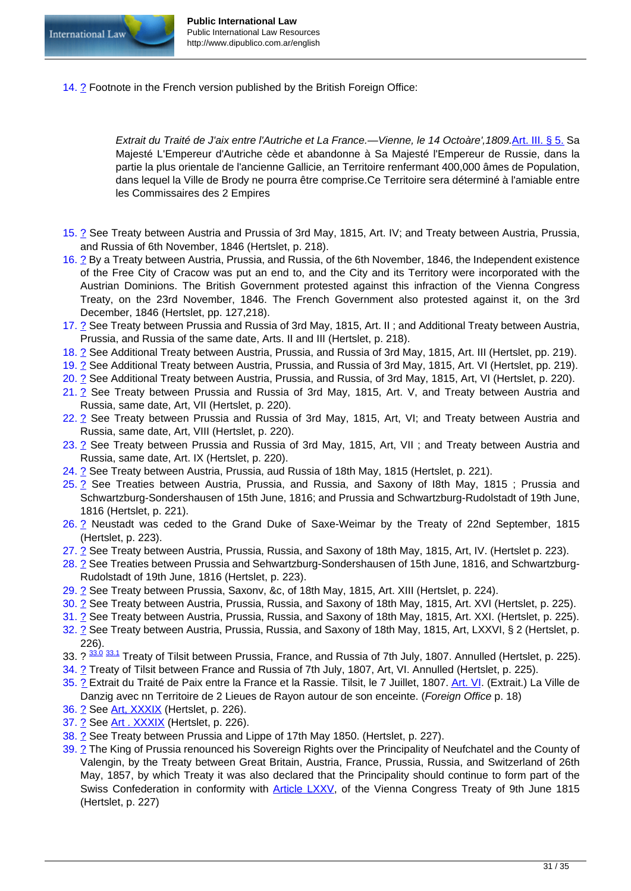

14. [?](http://en.wikisource.org/wiki/Final_Act_of_the_Congress_of_Vienna/General_Treaty#cite_ref-13) Footnote in the French version published by the British Foreign Office:

Extrait du Traité de J'aix entre l'Autriche et La France.—Vienne, le 14 Octoàre',1809.[Art. III. § 5.](http://en.wikisource.org/wiki/Treaty_of_Vienna_%281809%29#ART.III.5) Sa Majesté L'Empereur d'Autriche cède et abandonne à Sa Majesté l'Empereur de Russie, dans la partie la plus orientale de l'ancienne Gallicie, an Territoire renfermant 400,000 âmes de Population, dans lequel la Ville de Brody ne pourra être comprise.Ce Territoire sera déterminé à l'amiable entre les Commissaires des 2 Empires

- 15. [?](http://en.wikisource.org/wiki/Final_Act_of_the_Congress_of_Vienna/General_Treaty#cite_ref-14) See Treaty between Austria and Prussia of 3rd May, 1815, Art. IV; and Treaty between Austria, Prussia, and Russia of 6th November, 1846 (Hertslet, p. 218).
- 16. [?](http://en.wikisource.org/wiki/Final_Act_of_the_Congress_of_Vienna/General_Treaty#cite_ref-15) By a Treaty between Austria, Prussia, and Russia, of the 6th November, 1846, the Independent existence of the Free City of Cracow was put an end to, and the City and its Territory were incorporated with the Austrian Dominions. The British Government protested against this infraction of the Vienna Congress Treaty, on the 23rd November, 1846. The French Government also protested against it, on the 3rd December, 1846 (Hertslet, pp. 127,218).
- 17. [?](http://en.wikisource.org/wiki/Final_Act_of_the_Congress_of_Vienna/General_Treaty#cite_ref-16) See Treaty between Prussia and Russia of 3rd May, 1815, Art. II ; and Additional Treaty between Austria, Prussia, and Russia of the same date, Arts. II and III (Hertslet, p. 218).
- 18. [?](http://en.wikisource.org/wiki/Final_Act_of_the_Congress_of_Vienna/General_Treaty#cite_ref-17) See Additional Treaty between Austria, Prussia, and Russia of 3rd May, 1815, Art. III (Hertslet, pp. 219).
- 19. [?](http://en.wikisource.org/wiki/Final_Act_of_the_Congress_of_Vienna/General_Treaty#cite_ref-18) See Additional Treaty between Austria, Prussia, and Russia of 3rd May, 1815, Art. VI (Hertslet, pp. 219).
- 20. [?](http://en.wikisource.org/wiki/Final_Act_of_the_Congress_of_Vienna/General_Treaty#cite_ref-19) See Additional Treaty between Austria, Prussia, and Russia, of 3rd May, 1815, Art, VI (Hertslet, p. 220).
- 21. [?](http://en.wikisource.org/wiki/Final_Act_of_the_Congress_of_Vienna/General_Treaty#cite_ref-20) See Treaty between Prussia and Russia of 3rd May, 1815, Art. V, and Treaty between Austria and Russia, same date, Art, VII (Hertslet, p. 220).
- 22. [?](http://en.wikisource.org/wiki/Final_Act_of_the_Congress_of_Vienna/General_Treaty#cite_ref-21) See Treaty between Prussia and Russia of 3rd May, 1815, Art, VI; and Treaty between Austria and Russia, same date, Art, VIII (Hertslet, p. 220).
- 23. [?](http://en.wikisource.org/wiki/Final_Act_of_the_Congress_of_Vienna/General_Treaty#cite_ref-22) See Treaty between Prussia and Russia of 3rd May, 1815, Art, VII ; and Treaty between Austria and Russia, same date, Art. IX (Hertslet, p. 220).
- 24. [?](http://en.wikisource.org/wiki/Final_Act_of_the_Congress_of_Vienna/General_Treaty#cite_ref-23) See Treaty between Austria, Prussia, aud Russia of 18th May, 1815 (Hertslet, p. 221).
- 25. [?](http://en.wikisource.org/wiki/Final_Act_of_the_Congress_of_Vienna/General_Treaty#cite_ref-24) See Treaties between Austria, Prussia, and Russia, and Saxony of I8th May, 1815 ; Prussia and Schwartzburg-Sondershausen of 15th June, 1816; and Prussia and Schwartzburg-Rudolstadt of 19th June, 1816 (Hertslet, p. 221).
- 26. [?](http://en.wikisource.org/wiki/Final_Act_of_the_Congress_of_Vienna/General_Treaty#cite_ref-25) Neustadt was ceded to the Grand Duke of Saxe-Weimar by the Treaty of 22nd September, 1815 (Hertslet, p. 223).
- 27. [?](http://en.wikisource.org/wiki/Final_Act_of_the_Congress_of_Vienna/General_Treaty#cite_ref-26) See Treaty between Austria, Prussia, Russia, and Saxony of 18th May, 1815, Art, IV. (Hertslet p. 223).
- 28. [?](http://en.wikisource.org/wiki/Final_Act_of_the_Congress_of_Vienna/General_Treaty#cite_ref-27) See Treaties between Prussia and Sehwartzburg-Sondershausen of 15th June, 1816, and Schwartzburg-Rudolstadt of 19th June, 1816 (Hertslet, p. 223).
- 29. [?](http://en.wikisource.org/wiki/Final_Act_of_the_Congress_of_Vienna/General_Treaty#cite_ref-28) See Treaty between Prussia, Saxonv, &c, of 18th May, 1815, Art. XIII (Hertslet, p. 224).
- 30. [?](http://en.wikisource.org/wiki/Final_Act_of_the_Congress_of_Vienna/General_Treaty#cite_ref-29) See Treaty between Austria, Prussia, Russia, and Saxony of 18th May, 1815, Art. XVI (Hertslet, p. 225).
- 31. [?](http://en.wikisource.org/wiki/Final_Act_of_the_Congress_of_Vienna/General_Treaty#cite_ref-30) See Treaty between Austria, Prussia, Russia, and Saxony of 18th May, 1815, Art. XXI. (Hertslet, p. 225).
- 32. [?](http://en.wikisource.org/wiki/Final_Act_of_the_Congress_of_Vienna/General_Treaty#cite_ref-31) See Treaty between Austria, Prussia, Russia, and Saxony of 18th May, 1815, Art, LXXVI, § 2 (Hertslet, p. 226).
- 33. ? [33.0](http://en.wikisource.org/wiki/Final_Act_of_the_Congress_of_Vienna/General_Treaty#cite_ref-Hertslet-225-Tilsit_32-0) [33.1](http://en.wikisource.org/wiki/Final_Act_of_the_Congress_of_Vienna/General_Treaty#cite_ref-Hertslet-225-Tilsit_32-1) Treaty of Tilsit between Prussia, France, and Russia of 7th July, 1807. Annulled (Hertslet, p. 225).
- 34. [?](http://en.wikisource.org/wiki/Final_Act_of_the_Congress_of_Vienna/General_Treaty#cite_ref-33) Treaty of Tilsit between France and Russia of 7th July, 1807, Art, VI. Annulled (Hertslet, p. 225).
- 35. [?](http://en.wikisource.org/wiki/Final_Act_of_the_Congress_of_Vienna/General_Treaty#cite_ref-34) Extrait du Traité de Paix entre la France et la Rassie. Tilsit, le 7 Juillet, 1807. [Art. VI](http://en.wikisource.org/wiki/Treaty_of_Tilsit,_7_July_1807#ART.VI). (Extrait.) La Ville de Danzig avec nn Territoire de 2 Lieues de Rayon autour de son enceinte. (Foreign Office p. 18)
- 36. [?](http://en.wikisource.org/wiki/Final_Act_of_the_Congress_of_Vienna/General_Treaty#cite_ref-35) See [Art, XXXIX](http://en.wikisource.org/wiki/Final_Act_of_the_Congress_of_Vienna/General_Treaty#ART.XXXIX) (Hertslet, p. 226).
- 37. [?](http://en.wikisource.org/wiki/Final_Act_of_the_Congress_of_Vienna/General_Treaty#cite_ref-36) See [Art . XXXIX](http://en.wikisource.org/wiki/Final_Act_of_the_Congress_of_Vienna/General_Treaty#ART.XXXIX) (Hertslet, p. 226).
- 38. [?](http://en.wikisource.org/wiki/Final_Act_of_the_Congress_of_Vienna/General_Treaty#cite_ref-37) See Treaty between Prussia and Lippe of 17th May 1850. (Hertslet, p. 227).
- 39. [?](http://en.wikisource.org/wiki/Final_Act_of_the_Congress_of_Vienna/General_Treaty#cite_ref-38) The King of Prussia renounced his Sovereign Rights over the Principality of Neufchatel and the County of Valengin, by the Treaty between Great Britain, Austria, France, Prussia, Russia, and Switzerland of 26th May, 1857, by which Treaty it was also declared that the Principality should continue to form part of the Swiss Confederation in conformity with [Article LXXV](http://en.wikisource.org/wiki/Final_Act_of_the_Congress_of_Vienna/General_Treaty#ART.LXXV), of the Vienna Congress Treaty of 9th June 1815 (Hertslet, p. 227)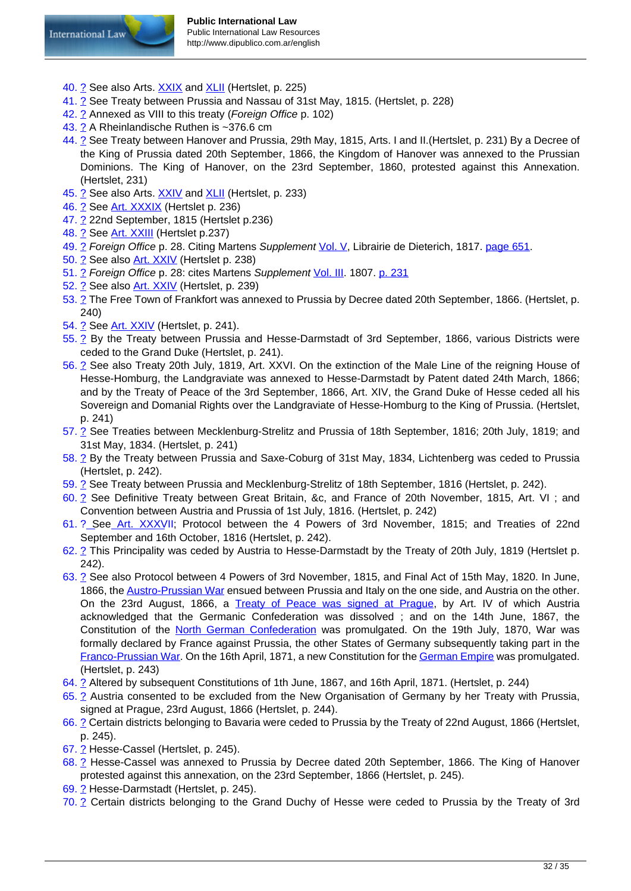

- 40. [?](http://en.wikisource.org/wiki/Final_Act_of_the_Congress_of_Vienna/General_Treaty#cite_ref-39) See also Arts. [XXIX](http://en.wikisource.org/wiki/Final_Act_of_the_Congress_of_Vienna/General_Treaty#ART.XXIX) and [XLII](http://en.wikisource.org/wiki/Final_Act_of_the_Congress_of_Vienna/General_Treaty#ART.XLII) (Hertslet, p. 225)
- 41. [?](http://en.wikisource.org/wiki/Final_Act_of_the_Congress_of_Vienna/General_Treaty#cite_ref-40) See Treaty between Prussia and Nassau of 31st May, 1815. (Hertslet, p. 228)
- 42. [?](http://en.wikisource.org/wiki/Final_Act_of_the_Congress_of_Vienna/General_Treaty#cite_ref-41) Annexed as VIII to this treaty (Foreign Office p. 102)
- 43. [?](http://en.wikisource.org/wiki/Final_Act_of_the_Congress_of_Vienna/General_Treaty#cite_ref-42) A Rheinlandische Ruthen is ~376.6 cm
- 44. [?](http://en.wikisource.org/wiki/Final_Act_of_the_Congress_of_Vienna/General_Treaty#cite_ref-Hertslet-231_43-0) See Treaty between Hanover and Prussia, 29th May, 1815, Arts. I and II.(Hertslet, p. 231) By a Decree of the King of Prussia dated 20th September, 1866, the Kingdom of Hanover was annexed to the Prussian Dominions. The King of Hanover, on the 23rd September, 1860, protested against this Annexation. (Hertslet, 231)
- 45. [?](http://en.wikisource.org/wiki/Final_Act_of_the_Congress_of_Vienna/General_Treaty#cite_ref-44) See also Arts. [XXIV](http://en.wikisource.org/wiki/Final_Act_of_the_Congress_of_Vienna/General_Treaty#ART.XXIV) and [XLII](http://en.wikisource.org/wiki/Final_Act_of_the_Congress_of_Vienna/General_Treaty#ART.XLII) (Hertslet, p. 233)
- 46. [?](http://en.wikisource.org/wiki/Final_Act_of_the_Congress_of_Vienna/General_Treaty#cite_ref-45) See [Art. XXXIX](http://en.wikisource.org/wiki/Final_Act_of_the_Congress_of_Vienna/General_Treaty#ART.XXXIX) (Hertslet p. 236)
- 47. [?](http://en.wikisource.org/wiki/Final_Act_of_the_Congress_of_Vienna/General_Treaty#cite_ref-46) 22nd September, 1815 (Hertslet p.236)
- 48. [?](http://en.wikisource.org/wiki/Final_Act_of_the_Congress_of_Vienna/General_Treaty#cite_ref-47) See [Art. XXIII](http://en.wikisource.org/wiki/Final_Act_of_the_Congress_of_Vienna/General_Treaty#ART.XXIII) (Hertslet p.237)
- 49. [?](http://en.wikisource.org/wiki/Final_Act_of_the_Congress_of_Vienna/General_Treaty#cite_ref-48) Foreign Office p. 28. Citing Martens Supplement [Vol. V,](http://books.google.co.uk/books?id=QbWXy72yTLkC&pg=PP7#PPP7,M1) Librairie de Dieterich, 1817. [page 651.](http://books.google.co.uk/books?id=QbWXy72yTLkC&pg=PP7#PRA1-PA651,M1)
- 50. [?](http://en.wikisource.org/wiki/Final_Act_of_the_Congress_of_Vienna/General_Treaty#cite_ref-49) See also [Art. XXIV](http://en.wikisource.org/wiki/Final_Act_of_the_Congress_of_Vienna/General_Treaty#ART.XXIV) (Hertslet p. 238)
- 51. [?](http://en.wikisource.org/wiki/Final_Act_of_the_Congress_of_Vienna/General_Treaty#cite_ref-50) Foreign Office p. 28: cites Martens Supplement [Vol. III](http://books.google.co.uk/books?id=CTMUAAAAQAAJ&pg=PP6#PPP5,M1). 1807. [p. 231](http://books.google.co.uk/books?id=CTMUAAAAQAAJ&pg=PP6#PPA231,M1)
- 52. [?](http://en.wikisource.org/wiki/Final_Act_of_the_Congress_of_Vienna/General_Treaty#cite_ref-51) See also [Art. XXIV](http://en.wikisource.org/wiki/Final_Act_of_the_Congress_of_Vienna/General_Treaty#ART.XXIV) (Hertslet, p. 239)
- 53. [?](http://en.wikisource.org/wiki/Final_Act_of_the_Congress_of_Vienna/General_Treaty#cite_ref-52) The Free Town of Frankfort was annexed to Prussia by Decree dated 20th September, 1866. (Hertslet, p. 240)
- 54. [?](http://en.wikisource.org/wiki/Final_Act_of_the_Congress_of_Vienna/General_Treaty#cite_ref-53) See [Art. XXIV](http://en.wikisource.org/wiki/Final_Act_of_the_Congress_of_Vienna/General_Treaty#ART.XXIV) (Hertslet, p. 241).
- 55. [?](http://en.wikisource.org/wiki/Final_Act_of_the_Congress_of_Vienna/General_Treaty#cite_ref-54) By the Treaty between Prussia and Hesse-Darmstadt of 3rd September, 1866, various Districts were ceded to the Grand Duke (Hertslet, p. 241).
- 56. [?](http://en.wikisource.org/wiki/Final_Act_of_the_Congress_of_Vienna/General_Treaty#cite_ref-55) See also Treaty 20th July, 1819, Art. XXVI. On the extinction of the Male Line of the reigning House of Hesse-Homburg, the Landgraviate was annexed to Hesse-Darmstadt by Patent dated 24th March, 1866; and by the Treaty of Peace of the 3rd September, 1866, Art. XIV, the Grand Duke of Hesse ceded all his Sovereign and Domanial Rights over the Landgraviate of Hesse-Homburg to the King of Prussia. (Hertslet, p. 241)
- 57. [?](http://en.wikisource.org/wiki/Final_Act_of_the_Congress_of_Vienna/General_Treaty#cite_ref-56) See Treaties between Mecklenburg-Strelitz and Prussia of 18th September, 1816; 20th July, 1819; and 31st May, 1834. (Hertslet, p. 241)
- 58. [?](http://en.wikisource.org/wiki/Final_Act_of_the_Congress_of_Vienna/General_Treaty#cite_ref-57) By the Treaty between Prussia and Saxe-Coburg of 31st May, 1834, Lichtenberg was ceded to Prussia (Hertslet, p. 242).
- 59. [?](http://en.wikisource.org/wiki/Final_Act_of_the_Congress_of_Vienna/General_Treaty#cite_ref-58) See Treaty between Prussia and Mecklenburg-Strelitz of 18th September, 1816 (Hertslet, p. 242).
- 60. [?](http://en.wikisource.org/wiki/Final_Act_of_the_Congress_of_Vienna/General_Treaty#cite_ref-59) See Definitive Treaty between Great Britain, &c, and France of 20th November, 1815, Art. VI ; and Convention between Austria and Prussia of 1st July, 1816. (Hertslet, p. 242)
- 61. [?](http://en.wikisource.org/wiki/Final_Act_of_the_Congress_of_Vienna/General_Treaty#cite_ref-60) See [Art. XXXVII;](http://en.wikisource.org/wiki/Final_Act_of_the_Congress_of_Vienna/General_Treaty#ART.XXXVII) Protocol between the 4 Powers of 3rd November, 1815; and Treaties of 22nd September and 16th October, 1816 (Hertslet, p. 242).
- 62. [?](http://en.wikisource.org/wiki/Final_Act_of_the_Congress_of_Vienna/General_Treaty#cite_ref-61) This Principality was ceded by Austria to Hesse-Darmstadt by the Treaty of 20th July, 1819 (Hertslet p. 242).
- 63. [?](http://en.wikisource.org/wiki/Final_Act_of_the_Congress_of_Vienna/General_Treaty#cite_ref-62) See also Protocol between 4 Powers of 3rd November, 1815, and Final Act of 15th May, 1820. In June, 1866, the [Austro-Prussian War](http://en.wikipedia.org/wiki/Austro-Prussian_War) ensued between Prussia and Italy on the one side, and Austria on the other. On the 23rd August, 1866, a [Treaty of Peace was signed at Prague](http://en.wikipedia.org/wiki/Peace_of_Prague_%281866%29), by Art. IV of which Austria acknowledged that the Germanic Confederation was dissolved ; and on the 14th June, 1867, the Constitution of the [North German Confederation](http://en.wikipedia.org/wiki/North_German_Confederation) was promulgated. On the 19th July, 1870, War was formally declared by France against Prussia, the other States of Germany subsequently taking part in the [Franco-Prussian War.](http://en.wikipedia.org/wiki/Franco-Prussian_War) On the 16th April, 1871, a new Constitution for the [German Empire](http://en.wikipedia.org/wiki/German_Empire) was promulgated. (Hertslet, p. 243)
- 64. [?](http://en.wikisource.org/wiki/Final_Act_of_the_Congress_of_Vienna/General_Treaty#cite_ref-63) Altered by subsequent Constitutions of 1th June, 1867, and 16th April, 1871. (Hertslet, p. 244)
- 65. [?](http://en.wikisource.org/wiki/Final_Act_of_the_Congress_of_Vienna/General_Treaty#cite_ref-64) Austria consented to be excluded from the New Organisation of Germany by her Treaty with Prussia, signed at Prague, 23rd August, 1866 (Hertslet, p. 244).
- 66. [?](http://en.wikisource.org/wiki/Final_Act_of_the_Congress_of_Vienna/General_Treaty#cite_ref-65) Certain districts belonging to Bavaria were ceded to Prussia by the Treaty of 22nd August, 1866 (Hertslet, p. 245).
- 67. [?](http://en.wikisource.org/wiki/Final_Act_of_the_Congress_of_Vienna/General_Treaty#cite_ref-66) Hesse-Cassel (Hertslet, p. 245).
- 68. [?](http://en.wikisource.org/wiki/Final_Act_of_the_Congress_of_Vienna/General_Treaty#cite_ref-67) Hesse-Cassel was annexed to Prussia by Decree dated 20th September, 1866. The King of Hanover protested against this annexation, on the 23rd September, 1866 (Hertslet, p. 245).
- 69. [?](http://en.wikisource.org/wiki/Final_Act_of_the_Congress_of_Vienna/General_Treaty#cite_ref-68) Hesse-Darmstadt (Hertslet, p. 245).
- 70. [?](http://en.wikisource.org/wiki/Final_Act_of_the_Congress_of_Vienna/General_Treaty#cite_ref-69) Certain districts belonging to the Grand Duchy of Hesse were ceded to Prussia by the Treaty of 3rd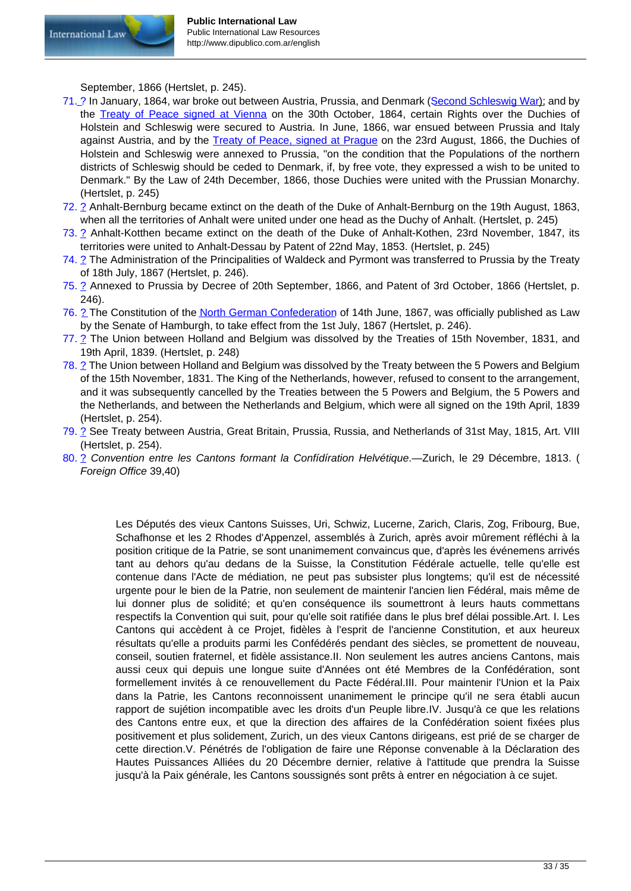September, 1866 (Hertslet, p. 245).

- 71. [?](http://en.wikisource.org/wiki/Final_Act_of_the_Congress_of_Vienna/General_Treaty#cite_ref-70) In January, 1864, war broke out between Austria, Prussia, and Denmark ([Second Schleswig War\)](http://en.wikipedia.org/wiki/Second_Schleswig_War); and by the [Treaty of Peace signed at Vienna](http://en.wikipedia.org/wiki/Treaty_of_Vienna_%281864%29) on the 30th October, 1864, certain Rights over the Duchies of Holstein and Schleswig were secured to Austria. In June, 1866, war ensued between Prussia and Italy against Austria, and by the [Treaty of Peace, signed at Prague](http://en.wikipedia.org/wiki/Peace_of_Prague_%281866%29) on the 23rd August, 1866, the Duchies of Holstein and Schleswig were annexed to Prussia, "on the condition that the Populations of the northern districts of Schleswig should be ceded to Denmark, if, by free vote, they expressed a wish to be united to Denmark." By the Law of 24th December, 1866, those Duchies were united with the Prussian Monarchy. (Hertslet, p. 245)
- 72. [?](http://en.wikisource.org/wiki/Final_Act_of_the_Congress_of_Vienna/General_Treaty#cite_ref-71) Anhalt-Bernburg became extinct on the death of the Duke of Anhalt-Bernburg on the 19th August, 1863, when all the territories of Anhalt were united under one head as the Duchy of Anhalt. (Hertslet, p. 245)
- 73. [?](http://en.wikisource.org/wiki/Final_Act_of_the_Congress_of_Vienna/General_Treaty#cite_ref-72) Anhalt-Kotthen became extinct on the death of the Duke of Anhalt-Kothen, 23rd November, 1847, its territories were united to Anhalt-Dessau by Patent of 22nd May, 1853. (Hertslet, p. 245)
- 74. [?](http://en.wikisource.org/wiki/Final_Act_of_the_Congress_of_Vienna/General_Treaty#cite_ref-73) The Administration of the Principalities of Waldeck and Pyrmont was transferred to Prussia by the Treaty of 18th July, 1867 (Hertslet, p. 246).
- 75. [?](http://en.wikisource.org/wiki/Final_Act_of_the_Congress_of_Vienna/General_Treaty#cite_ref-74) Annexed to Prussia by Decree of 20th September, 1866, and Patent of 3rd October, 1866 (Hertslet, p. 246).
- 76. 2 The Constitution of the [North German Confederation](http://en.wikipedia.org/wiki/North_German_Confederation) of 14th June, 1867, was officially published as Law by the Senate of Hamburgh, to take effect from the 1st July, 1867 (Hertslet, p. 246).
- 77. [?](http://en.wikisource.org/wiki/Final_Act_of_the_Congress_of_Vienna/General_Treaty#cite_ref-76) The Union between Holland and Belgium was dissolved by the Treaties of 15th November, 1831, and 19th April, 1839. (Hertslet, p. 248)
- 78. [?](http://en.wikisource.org/wiki/Final_Act_of_the_Congress_of_Vienna/General_Treaty#cite_ref-77) The Union between Holland and Belgium was dissolved by the Treaty between the 5 Powers and Belgium of the 15th November, 1831. The King of the Netherlands, however, refused to consent to the arrangement, and it was subsequently cancelled by the Treaties between the 5 Powers and Belgium, the 5 Powers and the Netherlands, and between the Netherlands and Belgium, which were all signed on the 19th April, 1839 (Hertslet, p. 254).
- 79. [?](http://en.wikisource.org/wiki/Final_Act_of_the_Congress_of_Vienna/General_Treaty#cite_ref-78) See Treaty between Austria, Great Britain, Prussia, Russia, and Netherlands of 31st May, 1815, Art. VIII (Hertslet, p. 254).
- 80. [?](http://en.wikisource.org/wiki/Final_Act_of_the_Congress_of_Vienna/General_Treaty#cite_ref-79) Convention entre les Cantons formant la Confídíration Helvétique.—Zurich, le 29 Décembre, 1813. ( Foreign Office 39,40)

Les Députés des vieux Cantons Suisses, Uri, Schwiz, Lucerne, Zarich, Claris, Zog, Fribourg, Bue, Schafhonse et les 2 Rhodes d'Appenzel, assemblés à Zurich, après avoir mûrement réfléchi à la position critique de la Patrie, se sont unanimement convaincus que, d'après les événemens arrivés tant au dehors qu'au dedans de la Suisse, la Constitution Fédérale actuelle, telle qu'elle est contenue dans l'Acte de médiation, ne peut pas subsister plus longtems; qu'il est de nécessité urgente pour le bien de la Patrie, non seulement de maintenir l'ancien lien Fédéral, mais même de lui donner plus de solidité; et qu'en conséquence ils soumettront à leurs hauts commettans respectifs la Convention qui suit, pour qu'elle soit ratifiée dans le plus bref délai possible.Art. I. Les Cantons qui accèdent à ce Projet, fidèles à l'esprit de l'ancienne Constitution, et aux heureux résultats qu'elle a produits parmi les Confédérés pendant des siècles, se promettent de nouveau, conseil, soutien fraternel, et fidèle assistance.II. Non seulement les autres anciens Cantons, mais aussi ceux qui depuis une longue suite d'Années ont été Membres de la Confédération, sont formellement invités à ce renouvellement du Pacte Fédéral.III. Pour maintenir l'Union et la Paix dans la Patrie, les Cantons reconnoissent unanimement le principe qu'il ne sera établi aucun rapport de sujétion incompatible avec les droits d'un Peuple libre.IV. Jusqu'à ce que les relations des Cantons entre eux, et que la direction des affaires de la Confédération soient fixées plus positivement et plus solidement, Zurich, un des vieux Cantons dirigeans, est prié de se charger de cette direction.V. Pénétrés de l'obligation de faire une Réponse convenable à la Déclaration des Hautes Puissances Alliées du 20 Décembre dernier, relative à l'attitude que prendra la Suisse jusqu'à la Paix générale, les Cantons soussignés sont prêts à entrer en négociation à ce sujet.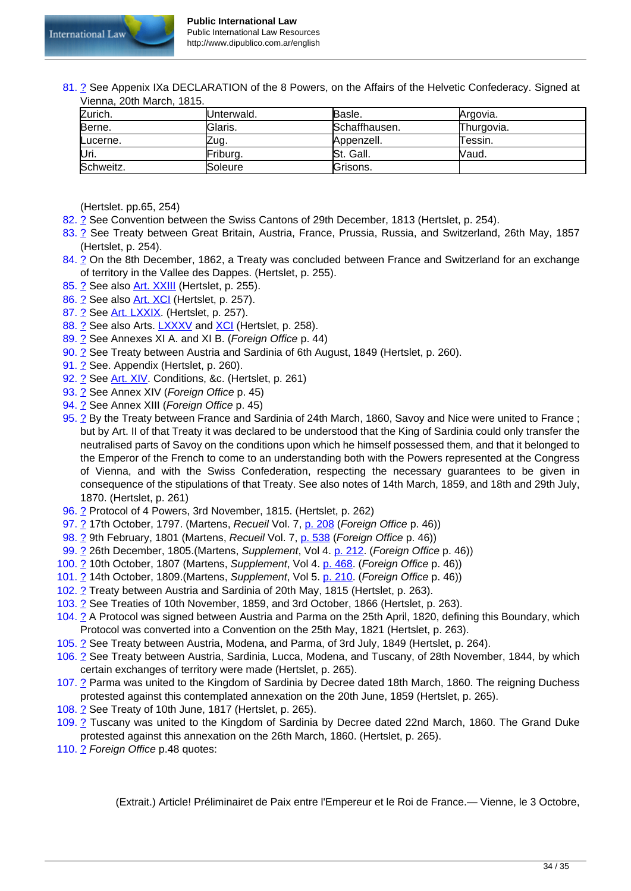

81. [?](http://en.wikisource.org/wiki/Final_Act_of_the_Congress_of_Vienna/General_Treaty#cite_ref-80) See Appenix IXa DECLARATION of the 8 Powers, on the Affairs of the Helvetic Confederacy. Signed at Vienna, 20th March, 1815.

| Zurich.   | Unterwald. | Basle.        | Argovia.    |
|-----------|------------|---------------|-------------|
| Berne.    | Glaris.    | Schaffhausen. | IThurɑovia. |
| Lucerne.  | Zug.       | Appenzell.    | Tessin.     |
| Uri.      | Fribura.   | St. Gall.     | Vaud.       |
| Schweitz. | Soleure    | Grisons.      |             |

(Hertslet. pp.65, 254)

- 82. [?](http://en.wikisource.org/wiki/Final_Act_of_the_Congress_of_Vienna/General_Treaty#cite_ref-81) See Convention between the Swiss Cantons of 29th December, 1813 (Hertslet, p. 254).
- 83. [?](http://en.wikisource.org/wiki/Final_Act_of_the_Congress_of_Vienna/General_Treaty#cite_ref-82) See Treaty between Great Britain, Austria, France, Prussia, Russia, and Switzerland, 26th May, 1857 (Hertslet, p. 254).
- 84. [?](http://en.wikisource.org/wiki/Final_Act_of_the_Congress_of_Vienna/General_Treaty#cite_ref-83) On the 8th December, 1862, a Treaty was concluded between France and Switzerland for an exchange of territory in the Vallee des Dappes. (Hertslet, p. 255).
- 85. [?](http://en.wikisource.org/wiki/Final_Act_of_the_Congress_of_Vienna/General_Treaty#cite_ref-84) See also [Art. XXIII](http://en.wikisource.org/wiki/Final_Act_of_the_Congress_of_Vienna/General_Treaty#ART.XXIII) (Hertslet, p. 255).
- 86. [?](http://en.wikisource.org/wiki/Final_Act_of_the_Congress_of_Vienna/General_Treaty#cite_ref-85) See also [Art. XCI](http://en.wikisource.org/wiki/Final_Act_of_the_Congress_of_Vienna/General_Treaty#ART.XCI) (Hertslet, p. 257).
- 87. [?](http://en.wikisource.org/wiki/Final_Act_of_the_Congress_of_Vienna/General_Treaty#cite_ref-86) See [Art. LXXIX](http://en.wikisource.org/wiki/Final_Act_of_the_Congress_of_Vienna/General_Treaty#ART.LXXIX). (Hertslet, p. 257).
- 88. [?](http://en.wikisource.org/wiki/Final_Act_of_the_Congress_of_Vienna/General_Treaty#cite_ref-87) See also Arts. [LXXXV](http://en.wikisource.org/wiki/Final_Act_of_the_Congress_of_Vienna/General_Treaty#ART.LXXXV) and [XCI](http://en.wikisource.org/wiki/Final_Act_of_the_Congress_of_Vienna/General_Treaty#ART.XCI) (Hertslet, p. 258).
- 89. [?](http://en.wikisource.org/wiki/Final_Act_of_the_Congress_of_Vienna/General_Treaty#cite_ref-88) See Annexes XI A. and XI B. (Foreign Office p. 44)
- 90. [?](http://en.wikisource.org/wiki/Final_Act_of_the_Congress_of_Vienna/General_Treaty#cite_ref-89) See Treaty between Austria and Sardinia of 6th August, 1849 (Hertslet, p. 260).
- 91. [?](http://en.wikisource.org/wiki/Final_Act_of_the_Congress_of_Vienna/General_Treaty#cite_ref-90) See. Appendix (Hertslet, p. 260).
- 92. [?](http://en.wikisource.org/wiki/Final_Act_of_the_Congress_of_Vienna/General_Treaty#cite_ref-91) See [Art. XIV](http://en.wikisource.org/wiki/Final_Act_of_the_Congress_of_Vienna/General_Treaty#ART.IV). Conditions, &c. (Hertslet, p. 261)
- 93. [?](http://en.wikisource.org/wiki/Final_Act_of_the_Congress_of_Vienna/General_Treaty#cite_ref-92) See Annex XIV (Foreign Office p. 45)
- 94. [?](http://en.wikisource.org/wiki/Final_Act_of_the_Congress_of_Vienna/General_Treaty#cite_ref-93) See Annex XIII (Foreign Office p. 45)
- 95. [?](http://en.wikisource.org/wiki/Final_Act_of_the_Congress_of_Vienna/General_Treaty#cite_ref-94) By the Treaty between France and Sardinia of 24th March, 1860, Savoy and Nice were united to France ; but by Art. II of that Treaty it was declared to be understood that the King of Sardinia could only transfer the neutralised parts of Savoy on the conditions upon which he himself possessed them, and that it belonged to the Emperor of the French to come to an understanding both with the Powers represented at the Congress of Vienna, and with the Swiss Confederation, respecting the necessary guarantees to be given in consequence of the stipulations of that Treaty. See also notes of 14th March, 1859, and 18th and 29th July, 1870. (Hertslet, p. 261)
- 96. [?](http://en.wikisource.org/wiki/Final_Act_of_the_Congress_of_Vienna/General_Treaty#cite_ref-95) Protocol of 4 Powers, 3rd November, 1815. (Hertslet, p. 262)
- 97. [?](http://en.wikisource.org/wiki/Final_Act_of_the_Congress_of_Vienna/General_Treaty#cite_ref-96) 17th October, 1797. (Martens, Recueil Vol. 7, [p. 208](http://books.google.co.uk/books?id=XjIUAAAAQAAJ&pg=PR3&as_brr=1#PPA208,M1) (Foreign Office p. 46))
- 98. [?](http://en.wikisource.org/wiki/Final_Act_of_the_Congress_of_Vienna/General_Treaty#cite_ref-97) 9th February, 1801 (Martens, Recueil Vol. 7, [p. 538](http://books.google.co.uk/books?id=XjIUAAAAQAAJ&pg=PR3&as_brr=1#PRA1-PA538,M1) (Foreign Office p. 46))
- 99. [?](http://en.wikisource.org/wiki/Final_Act_of_the_Congress_of_Vienna/General_Treaty#cite_ref-98) 26th December, 1805.(Martens, Supplement, Vol 4. [p. 212](http://books.google.co.uk/books?id=VugxAAAAIAAJ&pg=PT265&as_pt=ALLTYPES#PPA212,M1). (Foreign Office p. 46))
- 100. [?](http://en.wikisource.org/wiki/Final_Act_of_the_Congress_of_Vienna/General_Treaty#cite_ref-99) 10th October, 1807 (Martens, Supplement, Vol 4. [p. 468.](http://books.google.co.uk/books?id=VugxAAAAIAAJ&pg=PT265&as_pt=ALLTYPES#PPA468,M1) (Foreign Office p. 46))
- 101. [?](http://en.wikisource.org/wiki/Final_Act_of_the_Congress_of_Vienna/General_Treaty#cite_ref-100) 14th October, 1809.(Martens, Supplement, Vol 5. [p. 210.](http://books.google.co.uk/books?id=QbWXy72yTLkC&pg=PP7#PPA210,M1) (Foreign Office p. 46))
- 102. [?](http://en.wikisource.org/wiki/Final_Act_of_the_Congress_of_Vienna/General_Treaty#cite_ref-101) Treaty between Austria and Sardinia of 20th May, 1815 (Hertslet, p. 263).
- 103. [?](http://en.wikisource.org/wiki/Final_Act_of_the_Congress_of_Vienna/General_Treaty#cite_ref-102) See Treaties of 10th November, 1859, and 3rd October, 1866 (Hertslet, p. 263).
- 104. [?](http://en.wikisource.org/wiki/Final_Act_of_the_Congress_of_Vienna/General_Treaty#cite_ref-103) A Protocol was signed between Austria and Parma on the 25th April, 1820, defining this Boundary, which Protocol was converted into a Convention on the 25th May, 1821 (Hertslet, p. 263).
- 105. [?](http://en.wikisource.org/wiki/Final_Act_of_the_Congress_of_Vienna/General_Treaty#cite_ref-104) See Treaty between Austria, Modena, and Parma, of 3rd July, 1849 (Hertslet, p. 264).
- 106. [?](http://en.wikisource.org/wiki/Final_Act_of_the_Congress_of_Vienna/General_Treaty#cite_ref-105) See Treaty between Austria, Sardinia, Lucca, Modena, and Tuscany, of 28th November, 1844, by which certain exchanges of territory were made (Hertslet, p. 265).
- 107. [?](http://en.wikisource.org/wiki/Final_Act_of_the_Congress_of_Vienna/General_Treaty#cite_ref-106) Parma was united to the Kingdom of Sardinia by Decree dated 18th March, 1860. The reigning Duchess protested against this contemplated annexation on the 20th June, 1859 (Hertslet, p. 265).
- 108. [?](http://en.wikisource.org/wiki/Final_Act_of_the_Congress_of_Vienna/General_Treaty#cite_ref-107) See Treaty of 10th June, 1817 (Hertslet, p. 265).
- 109. [?](http://en.wikisource.org/wiki/Final_Act_of_the_Congress_of_Vienna/General_Treaty#cite_ref-108) Tuscany was united to the Kingdom of Sardinia by Decree dated 22nd March, 1860. The Grand Duke protested against this annexation on the 26th March, 1860. (Hertslet, p. 265).
- 110. [?](http://en.wikisource.org/wiki/Final_Act_of_the_Congress_of_Vienna/General_Treaty#cite_ref-109) Foreign Office p.48 quotes:

(Extrait.) Article! Préliminairet de Paix entre l'Empereur et le Roi de France.— Vienne, le 3 Octobre,